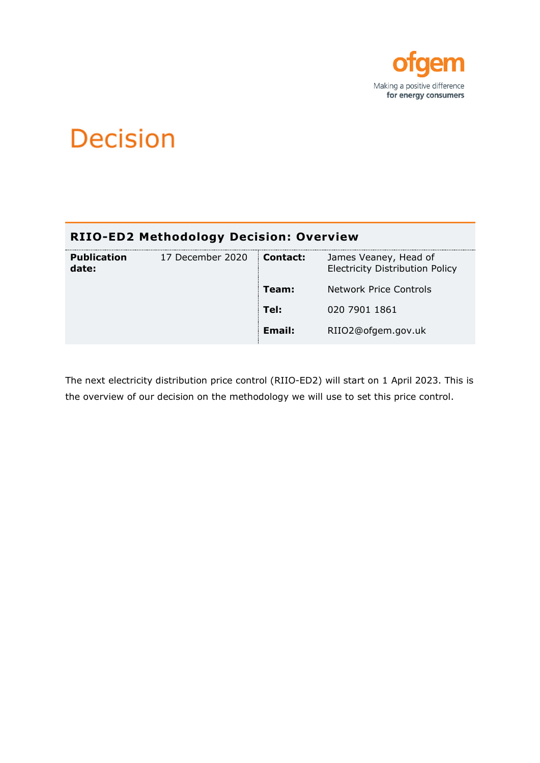

# **Decision**

# **RIIO-ED2 Methodology Decision: Overview**

| <b>Publication</b><br>date: | 17 December 2020 | Contact: | James Veaney, Head of<br><b>Electricity Distribution Policy</b> |
|-----------------------------|------------------|----------|-----------------------------------------------------------------|
|                             |                  | Team:    | Network Price Controls                                          |
|                             |                  | Tel:     | 020 7901 1861                                                   |
|                             |                  | Email:   | RIIO2@ofgem.gov.uk                                              |

The next electricity distribution price control (RIIO-ED2) will start on 1 April 2023. This is the overview of our decision on the methodology we will use to set this price control.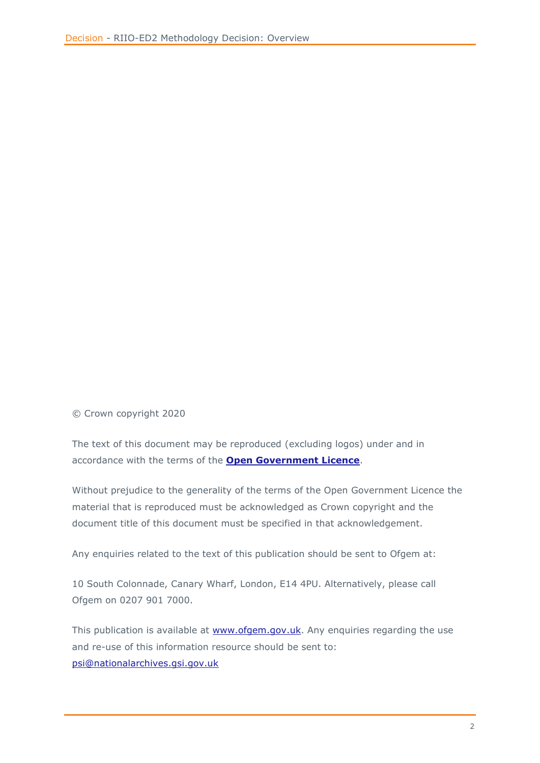© Crown copyright 2020

The text of this document may be reproduced (excluding logos) under and in accordance with the terms of the **[Open Government Licence](http://www.nationalarchives.gov.uk/doc/open-government-licence/version/3/)**.

Without prejudice to the generality of the terms of the Open Government Licence the material that is reproduced must be acknowledged as Crown copyright and the document title of this document must be specified in that acknowledgement.

Any enquiries related to the text of this publication should be sent to Ofgem at:

10 South Colonnade, Canary Wharf, London, E14 4PU. Alternatively, please call Ofgem on 0207 901 7000.

This publication is available at [www.ofgem.gov.uk.](https://ofgemcloud.sharepoint.com/sites/PC/Shared%20Documents/Templates/www.ofgem.gov.uk) Any enquiries regarding the use and re-use of this information resource should be sent to: [psi@nationalarchives.gsi.gov.uk](mailto:psi@nationalarchives.gsi.gov.uk)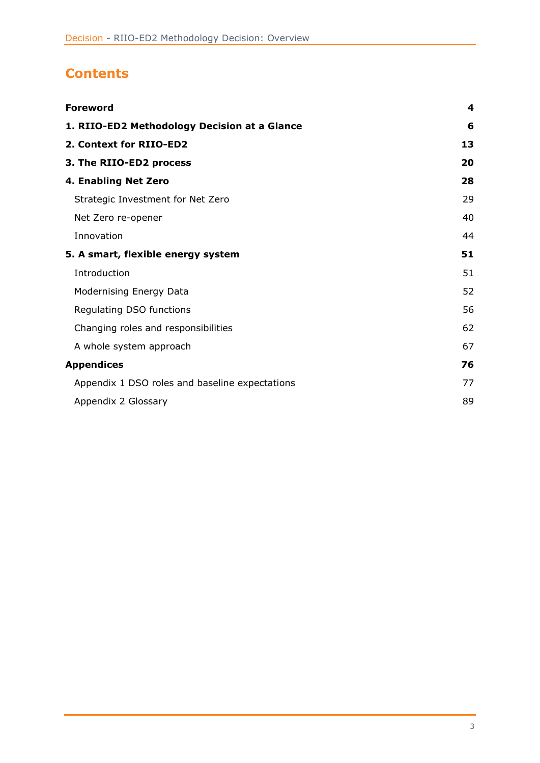# **Contents**

| <b>Foreword</b>                                | 4  |
|------------------------------------------------|----|
| 1. RIIO-ED2 Methodology Decision at a Glance   | 6  |
| 2. Context for RIIO-ED2                        | 13 |
| 3. The RIIO-ED2 process                        | 20 |
| 4. Enabling Net Zero                           | 28 |
| Strategic Investment for Net Zero              | 29 |
| Net Zero re-opener                             | 40 |
| Innovation                                     | 44 |
| 5. A smart, flexible energy system             | 51 |
| Introduction                                   | 51 |
| Modernising Energy Data                        | 52 |
| Regulating DSO functions                       | 56 |
| Changing roles and responsibilities            | 62 |
| A whole system approach                        | 67 |
| <b>Appendices</b>                              | 76 |
| Appendix 1 DSO roles and baseline expectations |    |
| Appendix 2 Glossary                            | 89 |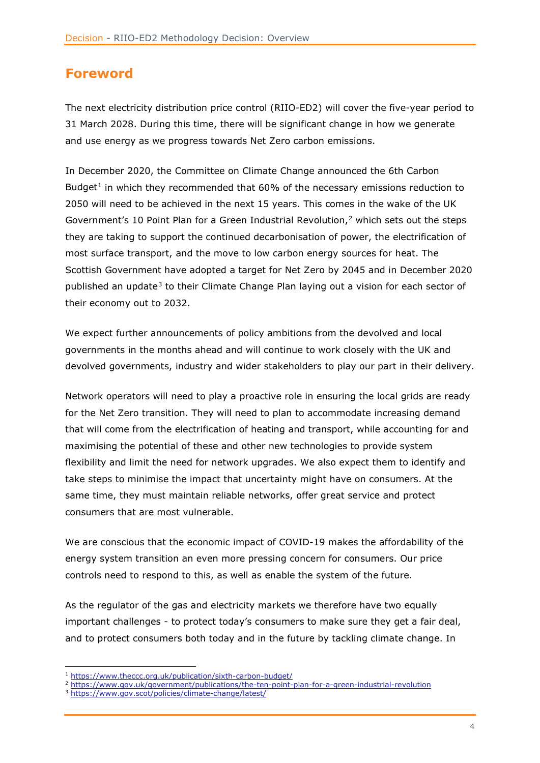# <span id="page-3-0"></span>**Foreword**

The next electricity distribution price control (RIIO-ED2) will cover the five-year period to 31 March 2028. During this time, there will be significant change in how we generate and use energy as we progress towards Net Zero carbon emissions.

In December 2020, the Committee on Climate Change announced the 6th Carbon Budget<sup>[1](#page-3-1)</sup> in which they recommended that  $60\%$  of the necessary emissions reduction to 2050 will need to be achieved in the next 15 years. This comes in the wake of the UK Government's 10 Point Plan for a Green Industrial Revolution, $<sup>2</sup>$  $<sup>2</sup>$  $<sup>2</sup>$  which sets out the steps</sup> they are taking to support the continued decarbonisation of power, the electrification of most surface transport, and the move to low carbon energy sources for heat. The Scottish Government have adopted a target for Net Zero by 2045 and in December 2020 published an update<sup>[3](#page-3-3)</sup> to their Climate Change Plan laying out a vision for each sector of their economy out to 2032.

We expect further announcements of policy ambitions from the devolved and local governments in the months ahead and will continue to work closely with the UK and devolved governments, industry and wider stakeholders to play our part in their delivery.

Network operators will need to play a proactive role in ensuring the local grids are ready for the Net Zero transition. They will need to plan to accommodate increasing demand that will come from the electrification of heating and transport, while accounting for and maximising the potential of these and other new technologies to provide system flexibility and limit the need for network upgrades. We also expect them to identify and take steps to minimise the impact that uncertainty might have on consumers. At the same time, they must maintain reliable networks, offer great service and protect consumers that are most vulnerable.

We are conscious that the economic impact of COVID-19 makes the affordability of the energy system transition an even more pressing concern for consumers. Our price controls need to respond to this, as well as enable the system of the future.

As the regulator of the gas and electricity markets we therefore have two equally important challenges - to protect today's consumers to make sure they get a fair deal, and to protect consumers both today and in the future by tackling climate change. In

<span id="page-3-1"></span><sup>1</sup> <https://www.theccc.org.uk/publication/sixth-carbon-budget/>

<span id="page-3-2"></span><sup>2</sup> <https://www.gov.uk/government/publications/the-ten-point-plan-for-a-green-industrial-revolution>

<span id="page-3-3"></span><https://www.gov.scot/policies/climate-change/latest/>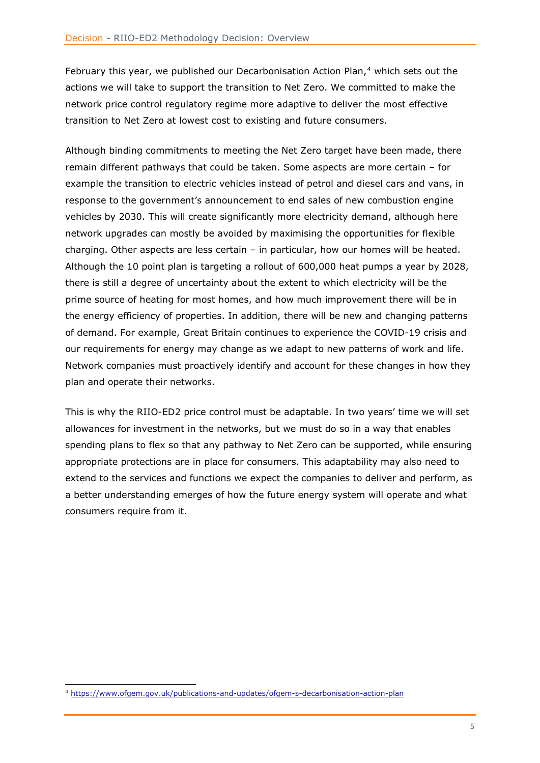February this year, we published our Decarbonisation Action Plan, $4$  which sets out the actions we will take to support the transition to Net Zero. We committed to make the network price control regulatory regime more adaptive to deliver the most effective transition to Net Zero at lowest cost to existing and future consumers.

Although binding commitments to meeting the Net Zero target have been made, there remain different pathways that could be taken. Some aspects are more certain – for example the transition to electric vehicles instead of petrol and diesel cars and vans, in response to the government's announcement to end sales of new combustion engine vehicles by 2030. This will create significantly more electricity demand, although here network upgrades can mostly be avoided by maximising the opportunities for flexible charging. Other aspects are less certain – in particular, how our homes will be heated. Although the 10 point plan is targeting a rollout of 600,000 heat pumps a year by 2028, there is still a degree of uncertainty about the extent to which electricity will be the prime source of heating for most homes, and how much improvement there will be in the energy efficiency of properties. In addition, there will be new and changing patterns of demand. For example, Great Britain continues to experience the COVID-19 crisis and our requirements for energy may change as we adapt to new patterns of work and life. Network companies must proactively identify and account for these changes in how they plan and operate their networks.

This is why the RIIO-ED2 price control must be adaptable. In two years' time we will set allowances for investment in the networks, but we must do so in a way that enables spending plans to flex so that any pathway to Net Zero can be supported, while ensuring appropriate protections are in place for consumers. This adaptability may also need to extend to the services and functions we expect the companies to deliver and perform, as a better understanding emerges of how the future energy system will operate and what consumers require from it.

<span id="page-4-0"></span><sup>4</sup> <https://www.ofgem.gov.uk/publications-and-updates/ofgem-s-decarbonisation-action-plan>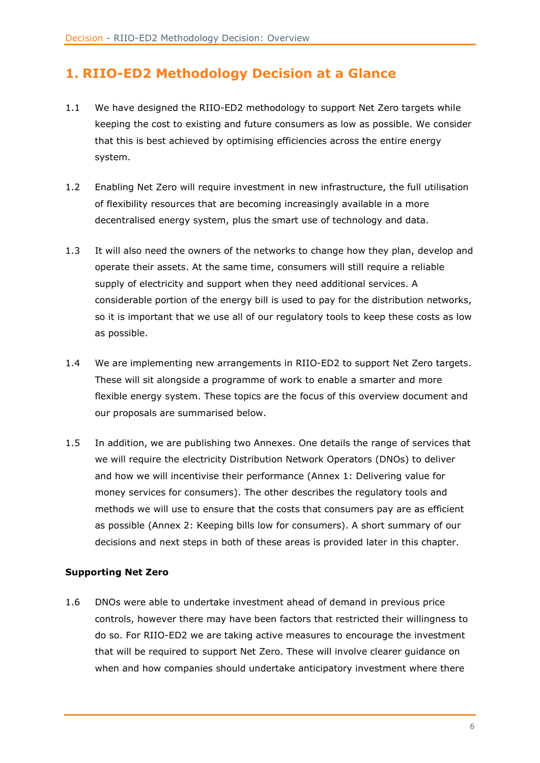# <span id="page-5-0"></span>**1. RIIO-ED2 Methodology Decision at a Glance**

- 1.1 We have designed the RIIO-ED2 methodology to support Net Zero targets while keeping the cost to existing and future consumers as low as possible. We consider that this is best achieved by optimising efficiencies across the entire energy system.
- 1.2 Enabling Net Zero will require investment in new infrastructure, the full utilisation of flexibility resources that are becoming increasingly available in a more decentralised energy system, plus the smart use of technology and data.
- 1.3 It will also need the owners of the networks to change how they plan, develop and operate their assets. At the same time, consumers will still require a reliable supply of electricity and support when they need additional services. A considerable portion of the energy bill is used to pay for the distribution networks, so it is important that we use all of our regulatory tools to keep these costs as low as possible.
- 1.4 We are implementing new arrangements in RIIO-ED2 to support Net Zero targets. These will sit alongside a programme of work to enable a smarter and more flexible energy system. These topics are the focus of this overview document and our proposals are summarised below.
- 1.5 In addition, we are publishing two Annexes. One details the range of services that we will require the electricity Distribution Network Operators (DNOs) to deliver and how we will incentivise their performance (Annex 1: Delivering value for money services for consumers). The other describes the regulatory tools and methods we will use to ensure that the costs that consumers pay are as efficient as possible (Annex 2: Keeping bills low for consumers). A short summary of our decisions and next steps in both of these areas is provided later in this chapter.

### **Supporting Net Zero**

1.6 DNOs were able to undertake investment ahead of demand in previous price controls, however there may have been factors that restricted their willingness to do so. For RIIO-ED2 we are taking active measures to encourage the investment that will be required to support Net Zero. These will involve clearer guidance on when and how companies should undertake anticipatory investment where there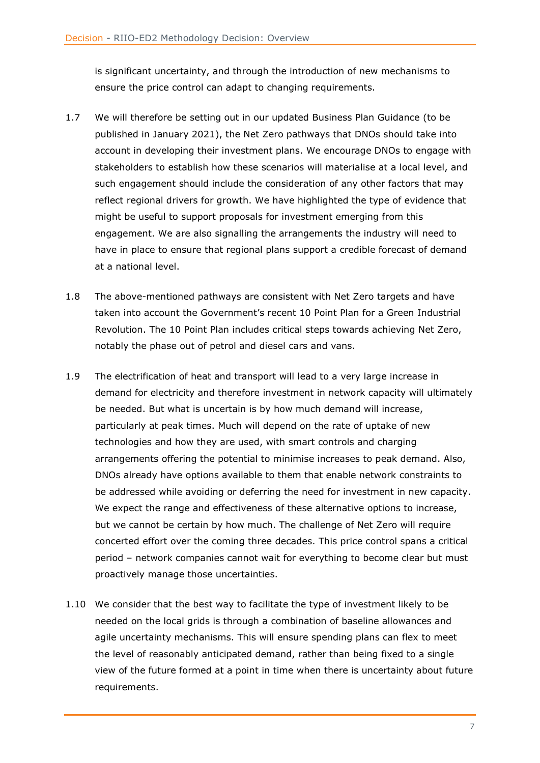is significant uncertainty, and through the introduction of new mechanisms to ensure the price control can adapt to changing requirements.

- 1.7 We will therefore be setting out in our updated Business Plan Guidance (to be published in January 2021), the Net Zero pathways that DNOs should take into account in developing their investment plans. We encourage DNOs to engage with stakeholders to establish how these scenarios will materialise at a local level, and such engagement should include the consideration of any other factors that may reflect regional drivers for growth. We have highlighted the type of evidence that might be useful to support proposals for investment emerging from this engagement. We are also signalling the arrangements the industry will need to have in place to ensure that regional plans support a credible forecast of demand at a national level.
- 1.8 The above-mentioned pathways are consistent with Net Zero targets and have taken into account the Government's recent 10 Point Plan for a Green Industrial Revolution. The 10 Point Plan includes critical steps towards achieving Net Zero, notably the phase out of petrol and diesel cars and vans.
- 1.9 The electrification of heat and transport will lead to a very large increase in demand for electricity and therefore investment in network capacity will ultimately be needed. But what is uncertain is by how much demand will increase, particularly at peak times. Much will depend on the rate of uptake of new technologies and how they are used, with smart controls and charging arrangements offering the potential to minimise increases to peak demand. Also, DNOs already have options available to them that enable network constraints to be addressed while avoiding or deferring the need for investment in new capacity. We expect the range and effectiveness of these alternative options to increase, but we cannot be certain by how much. The challenge of Net Zero will require concerted effort over the coming three decades. This price control spans a critical period – network companies cannot wait for everything to become clear but must proactively manage those uncertainties.
- 1.10 We consider that the best way to facilitate the type of investment likely to be needed on the local grids is through a combination of baseline allowances and agile uncertainty mechanisms. This will ensure spending plans can flex to meet the level of reasonably anticipated demand, rather than being fixed to a single view of the future formed at a point in time when there is uncertainty about future requirements.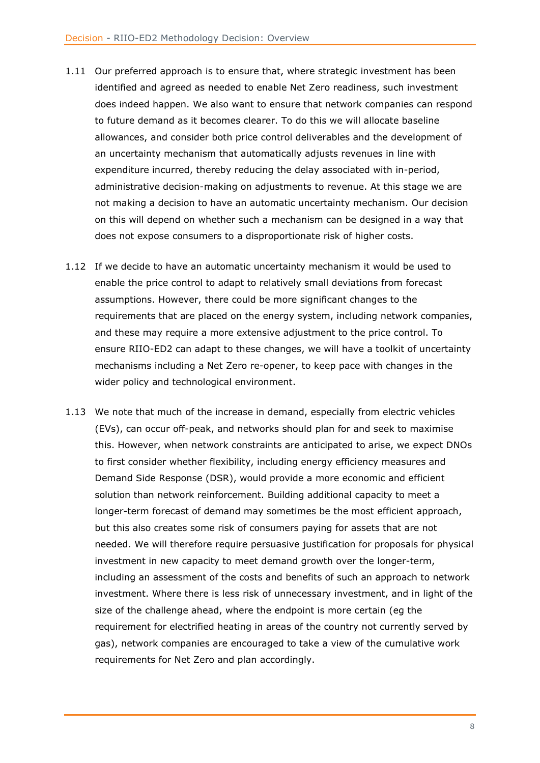- 1.11 Our preferred approach is to ensure that, where strategic investment has been identified and agreed as needed to enable Net Zero readiness, such investment does indeed happen. We also want to ensure that network companies can respond to future demand as it becomes clearer. To do this we will allocate baseline allowances, and consider both price control deliverables and the development of an uncertainty mechanism that automatically adjusts revenues in line with expenditure incurred, thereby reducing the delay associated with in-period, administrative decision-making on adjustments to revenue. At this stage we are not making a decision to have an automatic uncertainty mechanism. Our decision on this will depend on whether such a mechanism can be designed in a way that does not expose consumers to a disproportionate risk of higher costs.
- 1.12 If we decide to have an automatic uncertainty mechanism it would be used to enable the price control to adapt to relatively small deviations from forecast assumptions. However, there could be more significant changes to the requirements that are placed on the energy system, including network companies, and these may require a more extensive adjustment to the price control. To ensure RIIO-ED2 can adapt to these changes, we will have a toolkit of uncertainty mechanisms including a Net Zero re-opener, to keep pace with changes in the wider policy and technological environment.
- 1.13 We note that much of the increase in demand, especially from electric vehicles (EVs), can occur off-peak, and networks should plan for and seek to maximise this. However, when network constraints are anticipated to arise, we expect DNOs to first consider whether flexibility, including energy efficiency measures and Demand Side Response (DSR), would provide a more economic and efficient solution than network reinforcement. Building additional capacity to meet a longer-term forecast of demand may sometimes be the most efficient approach, but this also creates some risk of consumers paying for assets that are not needed. We will therefore require persuasive justification for proposals for physical investment in new capacity to meet demand growth over the longer-term, including an assessment of the costs and benefits of such an approach to network investment. Where there is less risk of unnecessary investment, and in light of the size of the challenge ahead, where the endpoint is more certain (eg the requirement for electrified heating in areas of the country not currently served by gas), network companies are encouraged to take a view of the cumulative work requirements for Net Zero and plan accordingly.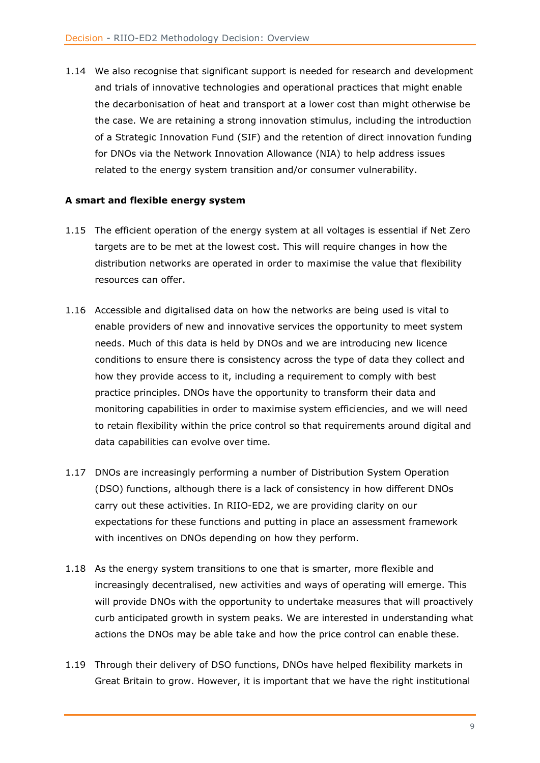1.14 We also recognise that significant support is needed for research and development and trials of innovative technologies and operational practices that might enable the decarbonisation of heat and transport at a lower cost than might otherwise be the case. We are retaining a strong innovation stimulus, including the introduction of a Strategic Innovation Fund (SIF) and the retention of direct innovation funding for DNOs via the Network Innovation Allowance (NIA) to help address issues related to the energy system transition and/or consumer vulnerability.

# **A smart and flexible energy system**

- 1.15 The efficient operation of the energy system at all voltages is essential if Net Zero targets are to be met at the lowest cost. This will require changes in how the distribution networks are operated in order to maximise the value that flexibility resources can offer.
- 1.16 Accessible and digitalised data on how the networks are being used is vital to enable providers of new and innovative services the opportunity to meet system needs. Much of this data is held by DNOs and we are introducing new licence conditions to ensure there is consistency across the type of data they collect and how they provide access to it, including a requirement to comply with best practice principles. DNOs have the opportunity to transform their data and monitoring capabilities in order to maximise system efficiencies, and we will need to retain flexibility within the price control so that requirements around digital and data capabilities can evolve over time.
- 1.17 DNOs are increasingly performing a number of Distribution System Operation (DSO) functions, although there is a lack of consistency in how different DNOs carry out these activities. In RIIO-ED2, we are providing clarity on our expectations for these functions and putting in place an assessment framework with incentives on DNOs depending on how they perform.
- 1.18 As the energy system transitions to one that is smarter, more flexible and increasingly decentralised, new activities and ways of operating will emerge. This will provide DNOs with the opportunity to undertake measures that will proactively curb anticipated growth in system peaks. We are interested in understanding what actions the DNOs may be able take and how the price control can enable these.
- 1.19 Through their delivery of DSO functions, DNOs have helped flexibility markets in Great Britain to grow. However, it is important that we have the right institutional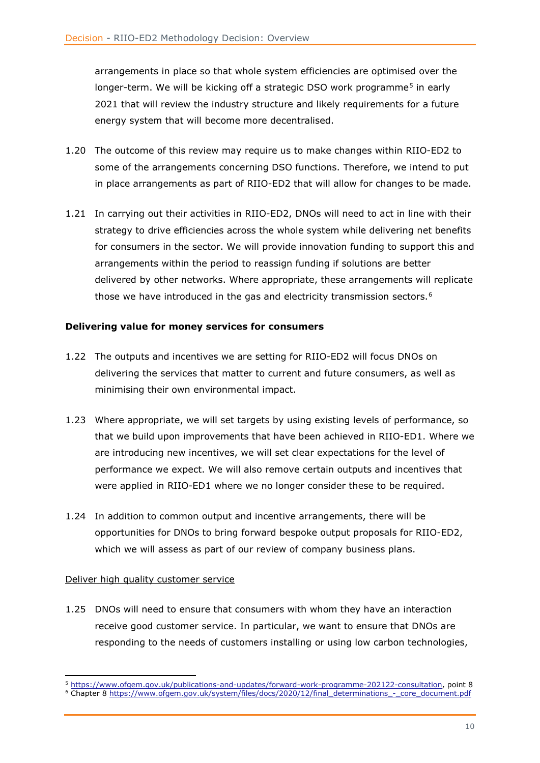arrangements in place so that whole system efficiencies are optimised over the longer-term. We will be kicking off a strategic DSO work programme<sup>[5](#page-9-0)</sup> in early 2021 that will review the industry structure and likely requirements for a future energy system that will become more decentralised.

- 1.20 The outcome of this review may require us to make changes within RIIO-ED2 to some of the arrangements concerning DSO functions. Therefore, we intend to put in place arrangements as part of RIIO-ED2 that will allow for changes to be made.
- 1.21 In carrying out their activities in RIIO-ED2, DNOs will need to act in line with their strategy to drive efficiencies across the whole system while delivering net benefits for consumers in the sector. We will provide innovation funding to support this and arrangements within the period to reassign funding if solutions are better delivered by other networks. Where appropriate, these arrangements will replicate those we have introduced in the gas and electricity transmission sectors.<sup>[6](#page-9-1)</sup>

# **Delivering value for money services for consumers**

- 1.22 The outputs and incentives we are setting for RIIO-ED2 will focus DNOs on delivering the services that matter to current and future consumers, as well as minimising their own environmental impact.
- 1.23 Where appropriate, we will set targets by using existing levels of performance, so that we build upon improvements that have been achieved in RIIO-ED1. Where we are introducing new incentives, we will set clear expectations for the level of performance we expect. We will also remove certain outputs and incentives that were applied in RIIO-ED1 where we no longer consider these to be required.
- 1.24 In addition to common output and incentive arrangements, there will be opportunities for DNOs to bring forward bespoke output proposals for RIIO-ED2, which we will assess as part of our review of company business plans.

### Deliver high quality customer service

1.25 DNOs will need to ensure that consumers with whom they have an interaction receive good customer service. In particular, we want to ensure that DNOs are responding to the needs of customers installing or using low carbon technologies,

<span id="page-9-1"></span><span id="page-9-0"></span><sup>5</sup> [https://www.ofgem.gov.uk/publications-and-updates/forward-work-programme-202122-consultation,](https://www.ofgem.gov.uk/publications-and-updates/forward-work-programme-202122-consultation) point 8 <sup>6</sup> Chapter 8 [https://www.ofgem.gov.uk/system/files/docs/2020/12/final\\_determinations\\_-\\_core\\_document.pdf](https://www.ofgem.gov.uk/system/files/docs/2020/12/final_determinations_-_core_document.pdf)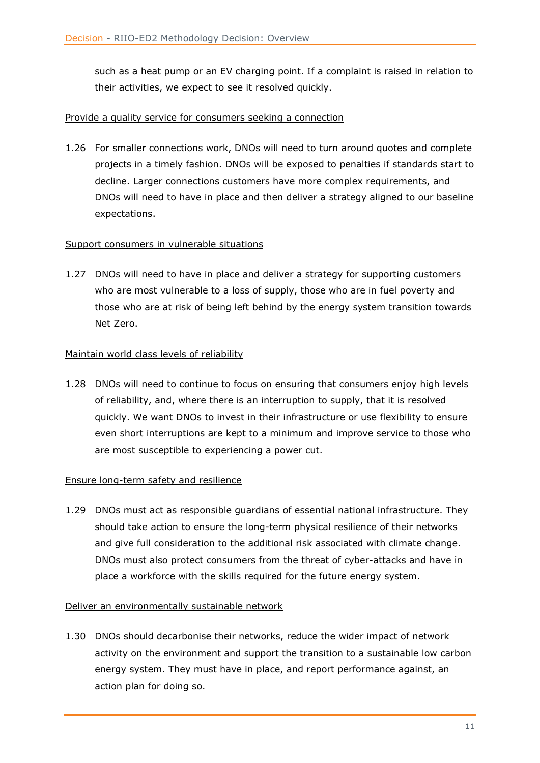such as a heat pump or an EV charging point. If a complaint is raised in relation to their activities, we expect to see it resolved quickly.

### Provide a quality service for consumers seeking a connection

1.26 For smaller connections work, DNOs will need to turn around quotes and complete projects in a timely fashion. DNOs will be exposed to penalties if standards start to decline. Larger connections customers have more complex requirements, and DNOs will need to have in place and then deliver a strategy aligned to our baseline expectations.

# Support consumers in vulnerable situations

1.27 DNOs will need to have in place and deliver a strategy for supporting customers who are most vulnerable to a loss of supply, those who are in fuel poverty and those who are at risk of being left behind by the energy system transition towards Net Zero.

# Maintain world class levels of reliability

1.28 DNOs will need to continue to focus on ensuring that consumers enjoy high levels of reliability, and, where there is an interruption to supply, that it is resolved quickly. We want DNOs to invest in their infrastructure or use flexibility to ensure even short interruptions are kept to a minimum and improve service to those who are most susceptible to experiencing a power cut.

### Ensure long-term safety and resilience

1.29 DNOs must act as responsible guardians of essential national infrastructure. They should take action to ensure the long-term physical resilience of their networks and give full consideration to the additional risk associated with climate change. DNOs must also protect consumers from the threat of cyber-attacks and have in place a workforce with the skills required for the future energy system.

### Deliver an environmentally sustainable network

1.30 DNOs should decarbonise their networks, reduce the wider impact of network activity on the environment and support the transition to a sustainable low carbon energy system. They must have in place, and report performance against, an action plan for doing so.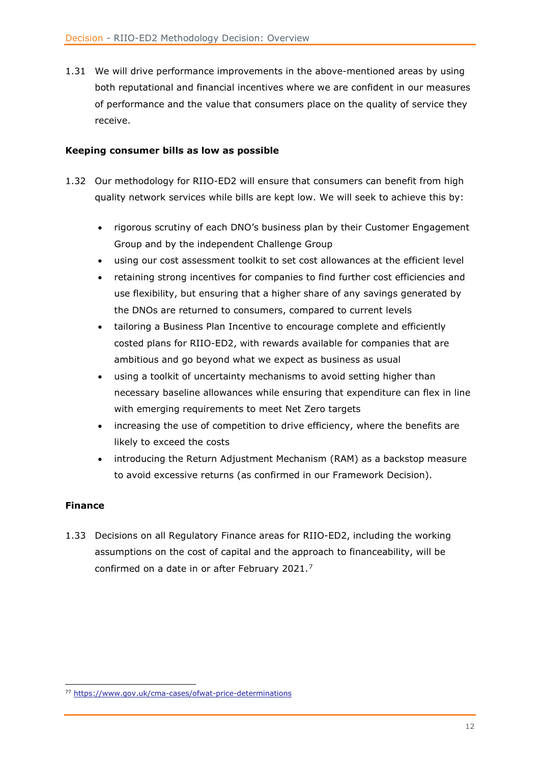1.31 We will drive performance improvements in the above-mentioned areas by using both reputational and financial incentives where we are confident in our measures of performance and the value that consumers place on the quality of service they receive.

## **Keeping consumer bills as low as possible**

- 1.32 Our methodology for RIIO-ED2 will ensure that consumers can benefit from high quality network services while bills are kept low. We will seek to achieve this by:
	- rigorous scrutiny of each DNO's business plan by their Customer Engagement Group and by the independent Challenge Group
	- using our cost assessment toolkit to set cost allowances at the efficient level
	- retaining strong incentives for companies to find further cost efficiencies and use flexibility, but ensuring that a higher share of any savings generated by the DNOs are returned to consumers, compared to current levels
	- tailoring a Business Plan Incentive to encourage complete and efficiently costed plans for RIIO-ED2, with rewards available for companies that are ambitious and go beyond what we expect as business as usual
	- using a toolkit of uncertainty mechanisms to avoid setting higher than necessary baseline allowances while ensuring that expenditure can flex in line with emerging requirements to meet Net Zero targets
	- increasing the use of competition to drive efficiency, where the benefits are likely to exceed the costs
	- introducing the Return Adjustment Mechanism (RAM) as a backstop measure to avoid excessive returns (as confirmed in our Framework Decision).

# **Finance**

1.33 Decisions on all Regulatory Finance areas for RIIO-ED2, including the working assumptions on the cost of capital and the approach to financeability, will be confirmed on a date in or after February 2021.<sup>[7](#page-11-0)</sup>

<span id="page-11-0"></span><sup>77</sup> <https://www.gov.uk/cma-cases/ofwat-price-determinations>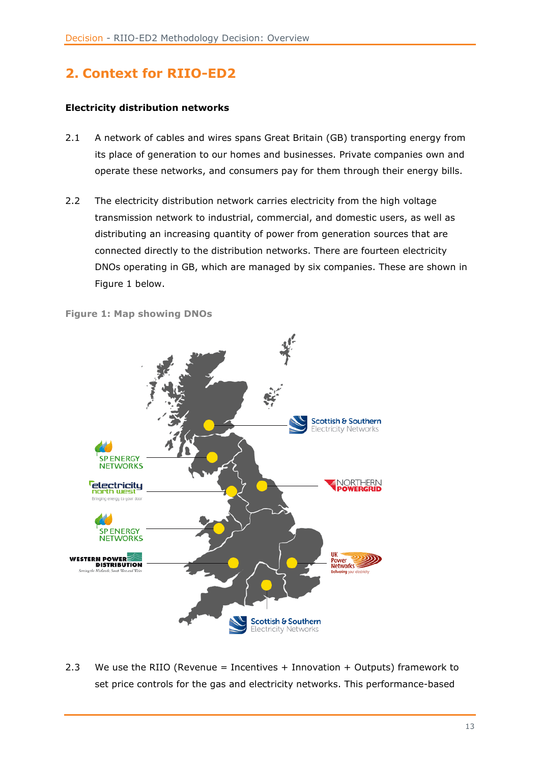# <span id="page-12-0"></span>**2. Context for RIIO-ED2**

#### **Electricity distribution networks**

- 2.1 A network of cables and wires spans Great Britain (GB) transporting energy from its place of generation to our homes and businesses. Private companies own and operate these networks, and consumers pay for them through their energy bills.
- 2.2 The electricity distribution network carries electricity from the high voltage transmission network to industrial, commercial, and domestic users, as well as distributing an increasing quantity of power from generation sources that are connected directly to the distribution networks. There are fourteen electricity DNOs operating in GB, which are managed by six companies. These are shown in Figure 1 below.





2.3 We use the RIIO (Revenue = Incentives + Innovation + Outputs) framework to set price controls for the gas and electricity networks. This performance-based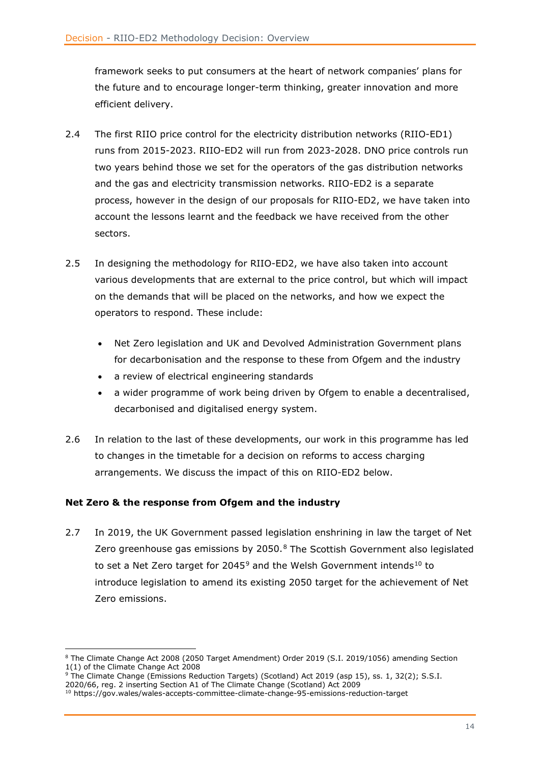framework seeks to put consumers at the heart of network companies' plans for the future and to encourage longer-term thinking, greater innovation and more efficient delivery.

- 2.4 The first RIIO price control for the electricity distribution networks (RIIO-ED1) runs from 2015-2023. RIIO-ED2 will run from 2023-2028. DNO price controls run two years behind those we set for the operators of the gas distribution networks and the gas and electricity transmission networks. RIIO-ED2 is a separate process, however in the design of our proposals for RIIO-ED2, we have taken into account the lessons learnt and the feedback we have received from the other sectors.
- 2.5 In designing the methodology for RIIO-ED2, we have also taken into account various developments that are external to the price control, but which will impact on the demands that will be placed on the networks, and how we expect the operators to respond. These include:
	- Net Zero legislation and UK and Devolved Administration Government plans for decarbonisation and the response to these from Ofgem and the industry
	- a review of electrical engineering standards
	- a wider programme of work being driven by Ofgem to enable a decentralised, decarbonised and digitalised energy system.
- 2.6 In relation to the last of these developments, our work in this programme has led to changes in the timetable for a decision on reforms to access charging arrangements. We discuss the impact of this on RIIO-ED2 below.

# **Net Zero & the response from Ofgem and the industry**

2.7 In 2019, the UK Government passed legislation enshrining in law the target of Net Zero greenhouse gas emissions by 2050.<sup>[8](#page-13-0)</sup> The Scottish Government also legislated to set a Net Zero target for 2045<sup>[9](#page-13-1)</sup> and the Welsh Government intends<sup>[10](#page-13-2)</sup> to introduce legislation to amend its existing 2050 target for the achievement of Net Zero emissions.

<span id="page-13-0"></span><sup>8</sup> The Climate Change Act 2008 (2050 Target Amendment) Order 2019 (S.I. 2019/1056) amending Section 1(1) of the Climate Change Act 2008

<span id="page-13-1"></span><sup>&</sup>lt;sup>9</sup> The Climate Change (Emissions Reduction Targets) (Scotland) Act 2019 (asp 15), ss. 1, 32(2); S.S.I.<br>2020/66, reg. 2 inserting Section A1 of The Climate Change (Scotland) Act 2009

<span id="page-13-2"></span><sup>&</sup>lt;sup>2022</sup>/<sup>6</sup>0, reg. 2009, wales/wales-accepts-committee-climate-change-95-emissions-reduction-target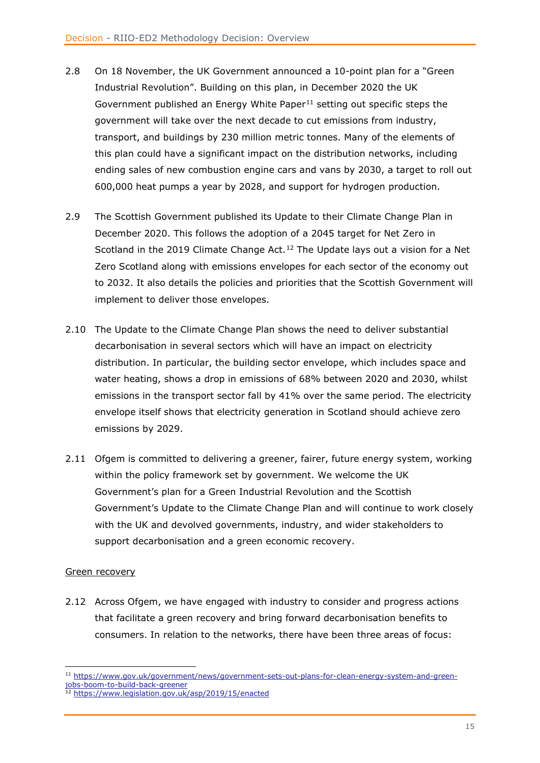- 2.8 On 18 November, the UK Government announced a 10-point plan for a "Green Industrial Revolution". Building on this plan, in December 2020 the UK Government published an Energy White Paper $11$  setting out specific steps the government will take over the next decade to cut emissions from industry, transport, and buildings by 230 million metric tonnes. Many of the elements of this plan could have a significant impact on the distribution networks, including ending sales of new combustion engine cars and vans by 2030, a target to roll out 600,000 heat pumps a year by 2028, and support for hydrogen production.
- 2.9 The Scottish Government published its Update to their Climate Change Plan in December 2020. This follows the adoption of a 2045 target for Net Zero in Scotland in the 2019 Climate Change Act.<sup>[12](#page-14-1)</sup> The Update lays out a vision for a Net Zero Scotland along with emissions envelopes for each sector of the economy out to 2032. It also details the policies and priorities that the Scottish Government will implement to deliver those envelopes.
- 2.10 The Update to the Climate Change Plan shows the need to deliver substantial decarbonisation in several sectors which will have an impact on electricity distribution. In particular, the building sector envelope, which includes space and water heating, shows a drop in emissions of 68% between 2020 and 2030, whilst emissions in the transport sector fall by 41% over the same period. The electricity envelope itself shows that electricity generation in Scotland should achieve zero emissions by 2029.
- 2.11 Ofgem is committed to delivering a greener, fairer, future energy system, working within the policy framework set by government. We welcome the UK Government's plan for a Green Industrial Revolution and the Scottish Government's Update to the Climate Change Plan and will continue to work closely with the UK and devolved governments, industry, and wider stakeholders to support decarbonisation and a green economic recovery.

### Green recovery

2.12 Across Ofgem, we have engaged with industry to consider and progress actions that facilitate a green recovery and bring forward decarbonisation benefits to consumers. In relation to the networks, there have been three areas of focus:

<span id="page-14-0"></span><sup>11</sup> [https://www.gov.uk/government/news/government-sets-out-plans-for-clean-energy-system-and-green](https://www.gov.uk/government/news/government-sets-out-plans-for-clean-energy-system-and-green-jobs-boom-to-build-back-greener)[jobs-boom-to-build-back-greener](https://www.gov.uk/government/news/government-sets-out-plans-for-clean-energy-system-and-green-jobs-boom-to-build-back-greener)

<span id="page-14-1"></span><https://www.legislation.gov.uk/asp/2019/15/enacted>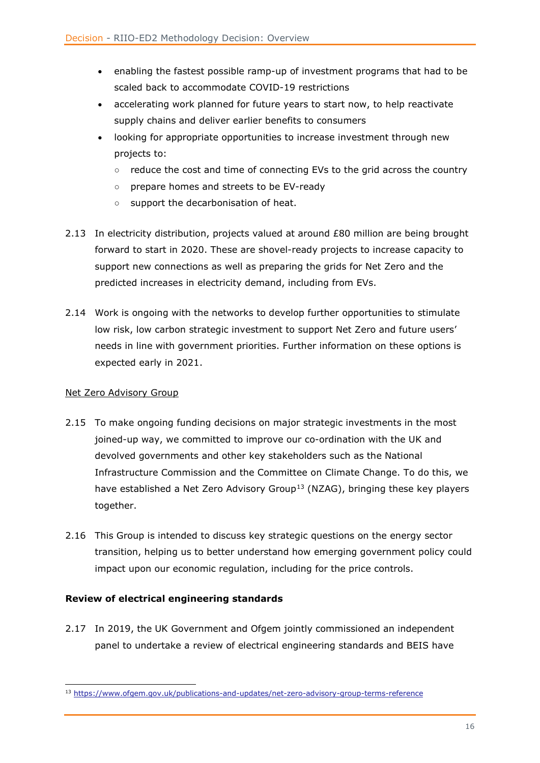- enabling the fastest possible ramp-up of investment programs that had to be scaled back to accommodate COVID-19 restrictions
- accelerating work planned for future years to start now, to help reactivate supply chains and deliver earlier benefits to consumers
- looking for appropriate opportunities to increase investment through new projects to:
	- reduce the cost and time of connecting EVs to the grid across the country
	- prepare homes and streets to be EV-ready
	- support the decarbonisation of heat.
- 2.13 In electricity distribution, projects valued at around £80 million are being brought forward to start in 2020. These are shovel-ready projects to increase capacity to support new connections as well as preparing the grids for Net Zero and the predicted increases in electricity demand, including from EVs.
- 2.14 Work is ongoing with the networks to develop further opportunities to stimulate low risk, low carbon strategic investment to support Net Zero and future users' needs in line with government priorities. Further information on these options is expected early in 2021.

# Net Zero Advisory Group

- 2.15 To make ongoing funding decisions on major strategic investments in the most joined-up way, we committed to improve our co-ordination with the UK and devolved governments and other key stakeholders such as the National Infrastructure Commission and the Committee on Climate Change. To do this, we have established a Net Zero Advisory Group<sup>[13](#page-15-0)</sup> (NZAG), bringing these key players together.
- 2.16 This Group is intended to discuss key strategic questions on the energy sector transition, helping us to better understand how emerging government policy could impact upon our economic regulation, including for the price controls.

# **Review of electrical engineering standards**

2.17 In 2019, the UK Government and Ofgem jointly commissioned an independent panel to undertake a review of electrical engineering standards and BEIS have

<span id="page-15-0"></span><sup>13</sup> <https://www.ofgem.gov.uk/publications-and-updates/net-zero-advisory-group-terms-reference>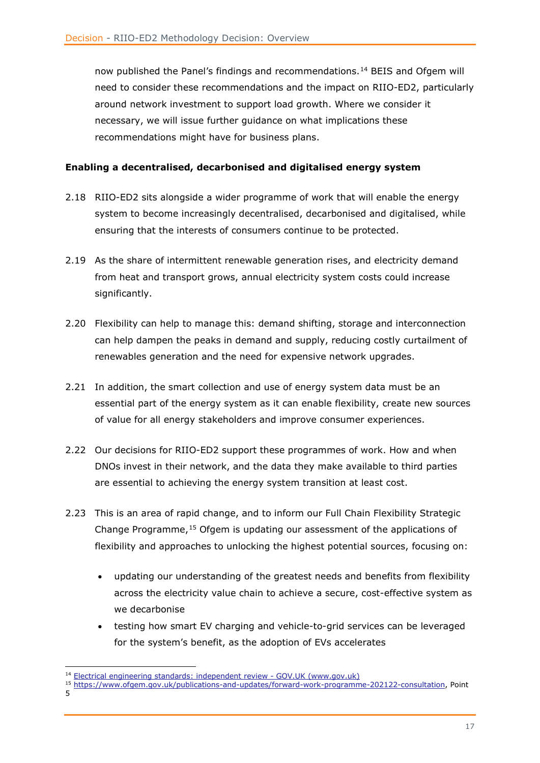now published the Panel's findings and recommendations.[14](#page-16-0) BEIS and Ofgem will need to consider these recommendations and the impact on RIIO-ED2, particularly around network investment to support load growth. Where we consider it necessary, we will issue further guidance on what implications these recommendations might have for business plans.

# **Enabling a decentralised, decarbonised and digitalised energy system**

- 2.18 RIIO-ED2 sits alongside a wider programme of work that will enable the energy system to become increasingly decentralised, decarbonised and digitalised, while ensuring that the interests of consumers continue to be protected.
- 2.19 As the share of intermittent renewable generation rises, and electricity demand from heat and transport grows, annual electricity system costs could increase significantly.
- 2.20 Flexibility can help to manage this: demand shifting, storage and interconnection can help dampen the peaks in demand and supply, reducing costly curtailment of renewables generation and the need for expensive network upgrades.
- 2.21 In addition, the smart collection and use of energy system data must be an essential part of the energy system as it can enable flexibility, create new sources of value for all energy stakeholders and improve consumer experiences.
- 2.22 Our decisions for RIIO-ED2 support these programmes of work. How and when DNOs invest in their network, and the data they make available to third parties are essential to achieving the energy system transition at least cost.
- 2.23 This is an area of rapid change, and to inform our Full Chain Flexibility Strategic Change Programme,[15](#page-16-1) Ofgem is updating our assessment of the applications of flexibility and approaches to unlocking the highest potential sources, focusing on:
	- updating our understanding of the greatest needs and benefits from flexibility across the electricity value chain to achieve a secure, cost-effective system as we decarbonise
	- testing how smart EV charging and vehicle-to-grid services can be leveraged for the system's benefit, as the adoption of EVs accelerates

5

<sup>&</sup>lt;sup>14</sup> [Electrical engineering standards: independent review -](https://www.gov.uk/government/publications/electrical-engineering-standards-independent-review) GOV.UK (www.gov.uk)

<span id="page-16-1"></span><span id="page-16-0"></span><sup>15</sup> [https://www.ofgem.gov.uk/publications-and-updates/forward-work-programme-202122-consultation,](https://www.ofgem.gov.uk/publications-and-updates/forward-work-programme-202122-consultation) Point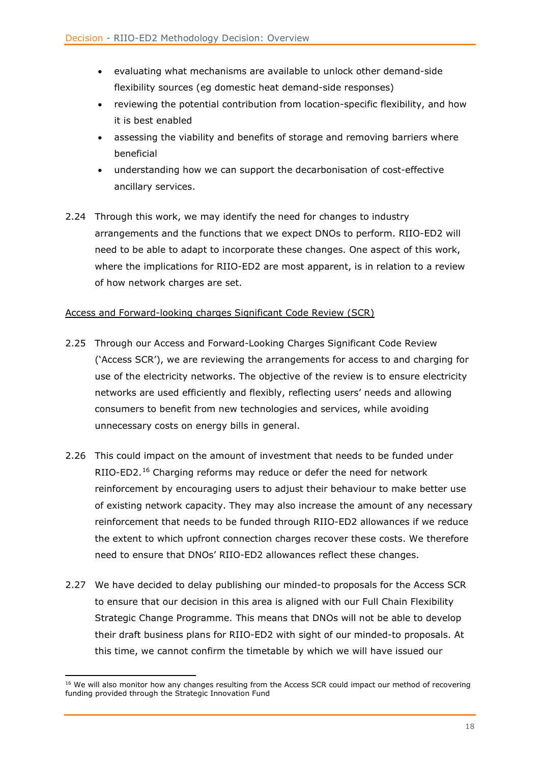- evaluating what mechanisms are available to unlock other demand-side flexibility sources (eg domestic heat demand-side responses)
- reviewing the potential contribution from location-specific flexibility, and how it is best enabled
- assessing the viability and benefits of storage and removing barriers where beneficial
- understanding how we can support the decarbonisation of cost-effective ancillary services.
- 2.24 Through this work, we may identify the need for changes to industry arrangements and the functions that we expect DNOs to perform. RIIO-ED2 will need to be able to adapt to incorporate these changes. One aspect of this work, where the implications for RIIO-ED2 are most apparent, is in relation to a review of how network charges are set.

# Access and Forward-looking charges Significant Code Review (SCR)

- 2.25 Through our Access and Forward-Looking Charges Significant Code Review ('Access SCR'), we are reviewing the arrangements for access to and charging for use of the electricity networks. The objective of the review is to ensure electricity networks are used efficiently and flexibly, reflecting users' needs and allowing consumers to benefit from new technologies and services, while avoiding unnecessary costs on energy bills in general.
- 2.26 This could impact on the amount of investment that needs to be funded under RIIO-ED2.<sup>[16](#page-17-0)</sup> Charging reforms may reduce or defer the need for network reinforcement by encouraging users to adjust their behaviour to make better use of existing network capacity. They may also increase the amount of any necessary reinforcement that needs to be funded through RIIO-ED2 allowances if we reduce the extent to which upfront connection charges recover these costs. We therefore need to ensure that DNOs' RIIO-ED2 allowances reflect these changes.
- 2.27 We have decided to delay publishing our minded-to proposals for the Access SCR to ensure that our decision in this area is aligned with our Full Chain Flexibility Strategic Change Programme. This means that DNOs will not be able to develop their draft business plans for RIIO-ED2 with sight of our minded-to proposals. At this time, we cannot confirm the timetable by which we will have issued our

<span id="page-17-0"></span><sup>&</sup>lt;sup>16</sup> We will also monitor how any changes resulting from the Access SCR could impact our method of recovering funding provided through the Strategic Innovation Fund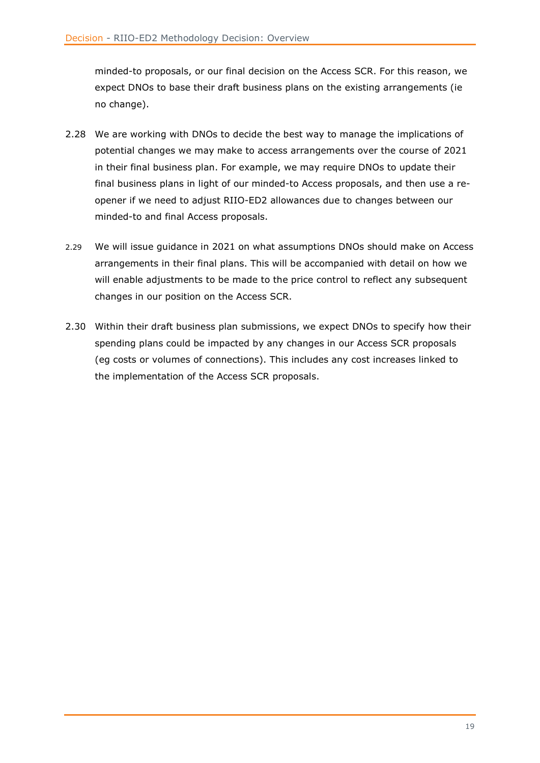minded-to proposals, or our final decision on the Access SCR. For this reason, we expect DNOs to base their draft business plans on the existing arrangements (ie no change).

- 2.28 We are working with DNOs to decide the best way to manage the implications of potential changes we may make to access arrangements over the course of 2021 in their final business plan. For example, we may require DNOs to update their final business plans in light of our minded-to Access proposals, and then use a reopener if we need to adjust RIIO-ED2 allowances due to changes between our minded-to and final Access proposals.
- 2.29 We will issue guidance in 2021 on what assumptions DNOs should make on Access arrangements in their final plans. This will be accompanied with detail on how we will enable adjustments to be made to the price control to reflect any subsequent changes in our position on the Access SCR.
- 2.30 Within their draft business plan submissions, we expect DNOs to specify how their spending plans could be impacted by any changes in our Access SCR proposals (eg costs or volumes of connections). This includes any cost increases linked to the implementation of the Access SCR proposals.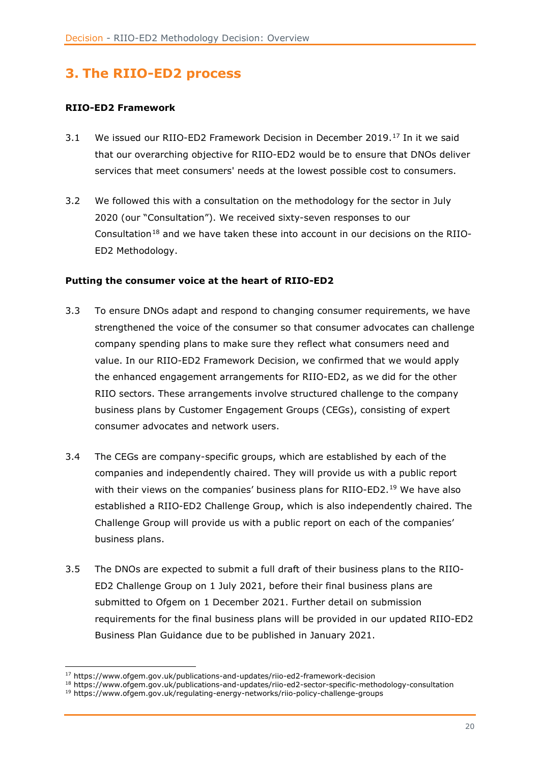# <span id="page-19-0"></span>**3. The RIIO-ED2 process**

### **RIIO-ED2 Framework**

- 3.1 We issued our RIIO-ED2 Framework Decision in December 2019.[17](#page-19-1) In it we said that our overarching objective for RIIO-ED2 would be to ensure that DNOs deliver services that meet consumers' needs at the lowest possible cost to consumers.
- 3.2 We followed this with a consultation on the methodology for the sector in July 2020 (our "Consultation"). We received sixty-seven responses to our Consultation<sup>[18](#page-19-2)</sup> and we have taken these into account in our decisions on the RIIO-ED2 Methodology.

#### **Putting the consumer voice at the heart of RIIO-ED2**

- 3.3 To ensure DNOs adapt and respond to changing consumer requirements, we have strengthened the voice of the consumer so that consumer advocates can challenge company spending plans to make sure they reflect what consumers need and value. In our RIIO-ED2 Framework Decision, we confirmed that we would apply the enhanced engagement arrangements for RIIO-ED2, as we did for the other RIIO sectors. These arrangements involve structured challenge to the company business plans by Customer Engagement Groups (CEGs), consisting of expert consumer advocates and network users.
- 3.4 The CEGs are company-specific groups, which are established by each of the companies and independently chaired. They will provide us with a public report with their views on the companies' business plans for RIIO-ED2.<sup>[19](#page-19-3)</sup> We have also established a RIIO-ED2 Challenge Group, which is also independently chaired. The Challenge Group will provide us with a public report on each of the companies' business plans.
- 3.5 The DNOs are expected to submit a full draft of their business plans to the RIIO-ED2 Challenge Group on 1 July 2021, before their final business plans are submitted to Ofgem on 1 December 2021. Further detail on submission requirements for the final business plans will be provided in our updated RIIO-ED2 Business Plan Guidance due to be published in January 2021.

<sup>17</sup> https://www.ofgem.gov.uk/publications-and-updates/riio-ed2-framework-decision

<span id="page-19-2"></span><span id="page-19-1"></span><sup>18</sup> https://www.ofgem.gov.uk/publications-and-updates/riio-ed2-sector-specific-methodology-consultation

<span id="page-19-3"></span><sup>&</sup>lt;sup>19</sup> https://www.ofgem.gov.uk/regulating-energy-networks/riio-policy-challenge-groups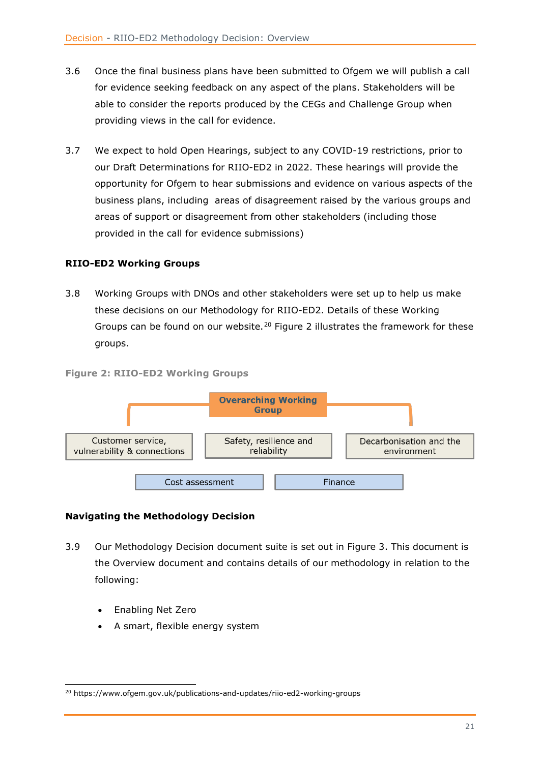- 3.6 Once the final business plans have been submitted to Ofgem we will publish a call for evidence seeking feedback on any aspect of the plans. Stakeholders will be able to consider the reports produced by the CEGs and Challenge Group when providing views in the call for evidence.
- 3.7 We expect to hold Open Hearings, subject to any COVID-19 restrictions, prior to our Draft Determinations for RIIO-ED2 in 2022. These hearings will provide the opportunity for Ofgem to hear submissions and evidence on various aspects of the business plans, including areas of disagreement raised by the various groups and areas of support or disagreement from other stakeholders (including those provided in the call for evidence submissions)

# **RIIO-ED2 Working Groups**

3.8 Working Groups with DNOs and other stakeholders were set up to help us make these decisions on our Methodology for RIIO-ED2. Details of these Working Groups can be found on our website.<sup>[20](#page-20-0)</sup> Figure 2 illustrates the framework for these groups.

**Figure 2: RIIO-ED2 Working Groups**



# **Navigating the Methodology Decision**

- 3.9 Our Methodology Decision document suite is set out in Figure 3. This document is the Overview document and contains details of our methodology in relation to the following:
	- Enabling Net Zero
	- A smart, flexible energy system

<span id="page-20-0"></span><sup>20</sup> https://www.ofgem.gov.uk/publications-and-updates/riio-ed2-working-groups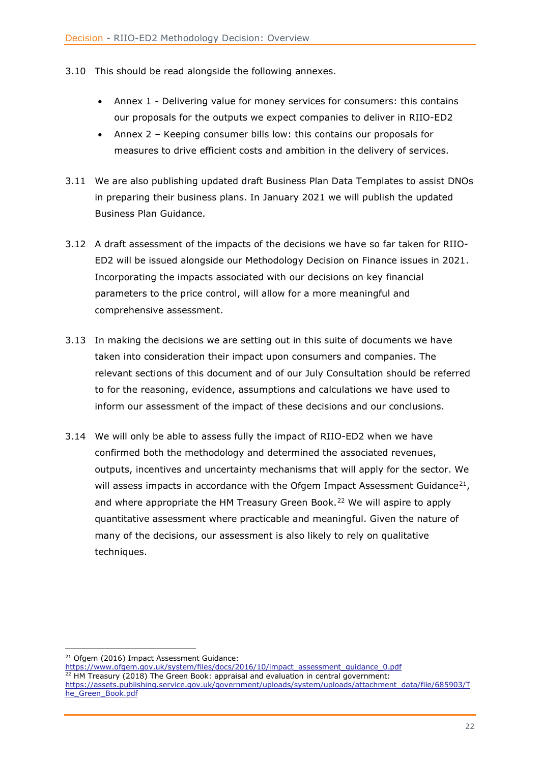- 3.10 This should be read alongside the following annexes.
	- Annex 1 Delivering value for money services for consumers: this contains our proposals for the outputs we expect companies to deliver in RIIO-ED2
	- Annex 2 Keeping consumer bills low: this contains our proposals for measures to drive efficient costs and ambition in the delivery of services.
- 3.11 We are also publishing updated draft Business Plan Data Templates to assist DNOs in preparing their business plans. In January 2021 we will publish the updated Business Plan Guidance.
- 3.12 A draft assessment of the impacts of the decisions we have so far taken for RIIO-ED2 will be issued alongside our Methodology Decision on Finance issues in 2021. Incorporating the impacts associated with our decisions on key financial parameters to the price control, will allow for a more meaningful and comprehensive assessment.
- 3.13 In making the decisions we are setting out in this suite of documents we have taken into consideration their impact upon consumers and companies. The relevant sections of this document and of our July Consultation should be referred to for the reasoning, evidence, assumptions and calculations we have used to inform our assessment of the impact of these decisions and our conclusions.
- 3.14 We will only be able to assess fully the impact of RIIO-ED2 when we have confirmed both the methodology and determined the associated revenues, outputs, incentives and uncertainty mechanisms that will apply for the sector. We will assess impacts in accordance with the Ofgem Impact Assessment Guidance<sup>21</sup>, and where appropriate the HM Treasury Green Book.[22](#page-21-1) We will aspire to apply quantitative assessment where practicable and meaningful. Given the nature of many of the decisions, our assessment is also likely to rely on qualitative techniques.

<span id="page-21-0"></span><sup>&</sup>lt;sup>21</sup> Ofgem (2016) Impact Assessment Guidance:

<span id="page-21-1"></span>[https://www.ofgem.gov.uk/system/files/docs/2016/10/impact\\_assessment\\_guidance\\_0.pdf](https://www.ofgem.gov.uk/system/files/docs/2016/10/impact_assessment_guidance_0.pdf)  $22$  HM Treasury (2018) The Green Book: appraisal and evaluation in central government: [https://assets.publishing.service.gov.uk/government/uploads/system/uploads/attachment\\_data/file/685903/T](https://assets.publishing.service.gov.uk/government/uploads/system/uploads/attachment_data/file/685903/The_Green_Book.pdf) he Green Book.pdf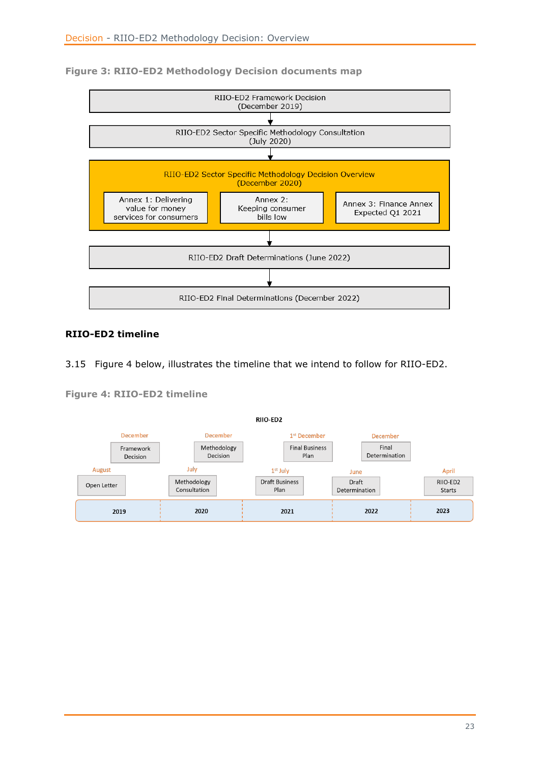

## **Figure 3: RIIO-ED2 Methodology Decision documents map**

### **RIIO-ED2 timeline**

3.15 Figure 4 below, illustrates the timeline that we intend to follow for RIIO-ED2.

**Figure 4: RIIO-ED2 timeline**

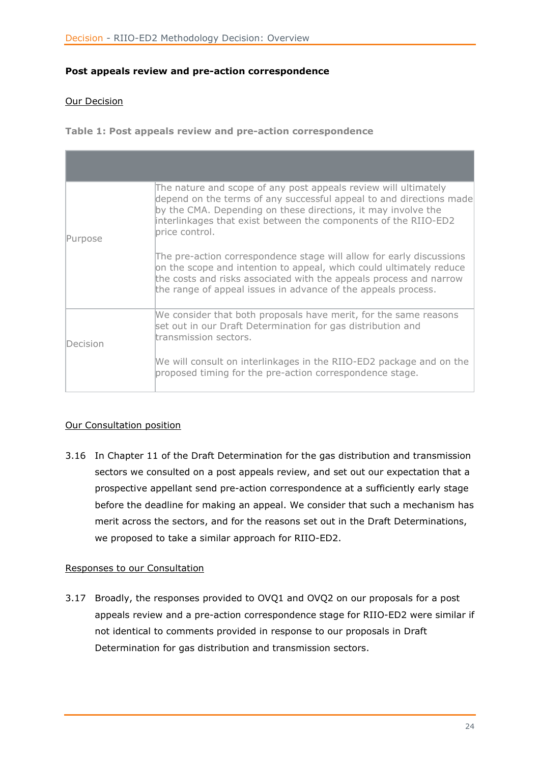# **Post appeals review and pre-action correspondence**

# Our Decision

**Table 1: Post appeals review and pre-action correspondence**

| Purpose  | The nature and scope of any post appeals review will ultimately<br>depend on the terms of any successful appeal to and directions made<br>by the CMA. Depending on these directions, it may involve the<br>interlinkages that exist between the components of the RIIO-ED2<br>price control. |
|----------|----------------------------------------------------------------------------------------------------------------------------------------------------------------------------------------------------------------------------------------------------------------------------------------------|
|          | The pre-action correspondence stage will allow for early discussions<br>on the scope and intention to appeal, which could ultimately reduce<br>the costs and risks associated with the appeals process and narrow<br>the range of appeal issues in advance of the appeals process.           |
| Decision | We consider that both proposals have merit, for the same reasons<br>set out in our Draft Determination for gas distribution and<br>transmission sectors.                                                                                                                                     |
|          | We will consult on interlinkages in the RIIO-ED2 package and on the<br>proposed timing for the pre-action correspondence stage.                                                                                                                                                              |

### Our Consultation position

3.16 In Chapter 11 of the Draft Determination for the gas distribution and transmission sectors we consulted on a post appeals review, and set out our expectation that a prospective appellant send pre-action correspondence at a sufficiently early stage before the deadline for making an appeal. We consider that such a mechanism has merit across the sectors, and for the reasons set out in the Draft Determinations, we proposed to take a similar approach for RIIO-ED2.

### Responses to our Consultation

3.17 Broadly, the responses provided to OVQ1 and OVQ2 on our proposals for a post appeals review and a pre-action correspondence stage for RIIO-ED2 were similar if not identical to comments provided in response to our proposals in Draft Determination for gas distribution and transmission sectors.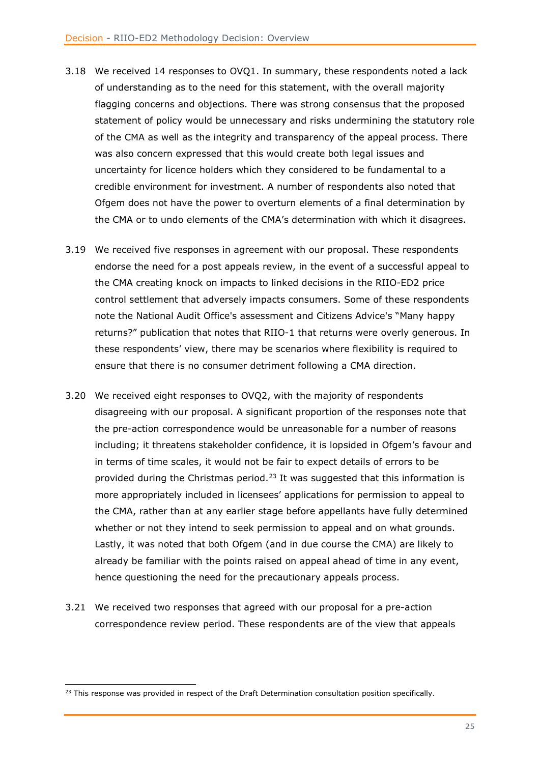- 3.18 We received 14 responses to OVQ1. In summary, these respondents noted a lack of understanding as to the need for this statement, with the overall majority flagging concerns and objections. There was strong consensus that the proposed statement of policy would be unnecessary and risks undermining the statutory role of the CMA as well as the integrity and transparency of the appeal process. There was also concern expressed that this would create both legal issues and uncertainty for licence holders which they considered to be fundamental to a credible environment for investment. A number of respondents also noted that Ofgem does not have the power to overturn elements of a final determination by the CMA or to undo elements of the CMA's determination with which it disagrees.
- 3.19 We received five responses in agreement with our proposal. These respondents endorse the need for a post appeals review, in the event of a successful appeal to the CMA creating knock on impacts to linked decisions in the RIIO-ED2 price control settlement that adversely impacts consumers. Some of these respondents note the National Audit Office's assessment and Citizens Advice's "Many happy returns?" publication that notes that RIIO-1 that returns were overly generous. In these respondents' view, there may be scenarios where flexibility is required to ensure that there is no consumer detriment following a CMA direction.
- 3.20 We received eight responses to OVQ2, with the majority of respondents disagreeing with our proposal. A significant proportion of the responses note that the pre-action correspondence would be unreasonable for a number of reasons including; it threatens stakeholder confidence, it is lopsided in Ofgem's favour and in terms of time scales, it would not be fair to expect details of errors to be provided during the Christmas period.<sup>[23](#page-24-0)</sup> It was suggested that this information is more appropriately included in licensees' applications for permission to appeal to the CMA, rather than at any earlier stage before appellants have fully determined whether or not they intend to seek permission to appeal and on what grounds. Lastly, it was noted that both Ofgem (and in due course the CMA) are likely to already be familiar with the points raised on appeal ahead of time in any event, hence questioning the need for the precautionary appeals process.
- 3.21 We received two responses that agreed with our proposal for a pre-action correspondence review period. These respondents are of the view that appeals

<span id="page-24-0"></span><sup>&</sup>lt;sup>23</sup> This response was provided in respect of the Draft Determination consultation position specifically.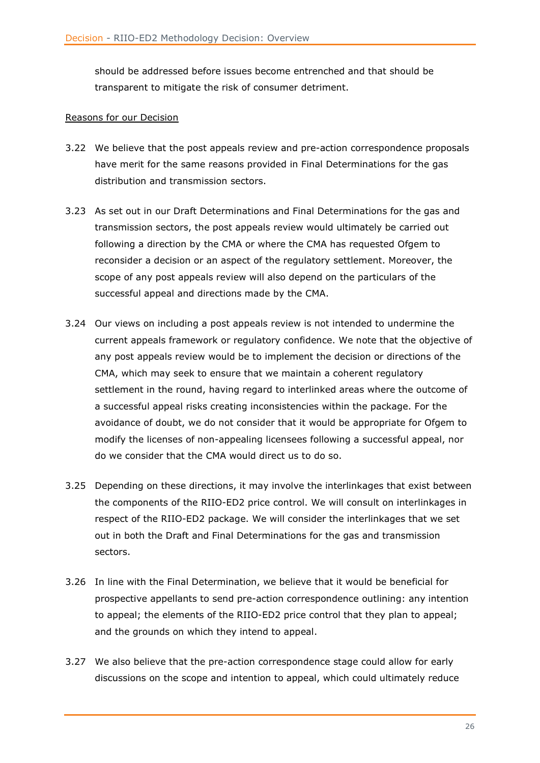should be addressed before issues become entrenched and that should be transparent to mitigate the risk of consumer detriment.

#### Reasons for our Decision

- 3.22 We believe that the post appeals review and pre-action correspondence proposals have merit for the same reasons provided in Final Determinations for the gas distribution and transmission sectors.
- 3.23 As set out in our Draft Determinations and Final Determinations for the gas and transmission sectors, the post appeals review would ultimately be carried out following a direction by the CMA or where the CMA has requested Ofgem to reconsider a decision or an aspect of the regulatory settlement. Moreover, the scope of any post appeals review will also depend on the particulars of the successful appeal and directions made by the CMA.
- 3.24 Our views on including a post appeals review is not intended to undermine the current appeals framework or regulatory confidence. We note that the objective of any post appeals review would be to implement the decision or directions of the CMA, which may seek to ensure that we maintain a coherent regulatory settlement in the round, having regard to interlinked areas where the outcome of a successful appeal risks creating inconsistencies within the package. For the avoidance of doubt, we do not consider that it would be appropriate for Ofgem to modify the licenses of non-appealing licensees following a successful appeal, nor do we consider that the CMA would direct us to do so.
- 3.25 Depending on these directions, it may involve the interlinkages that exist between the components of the RIIO-ED2 price control. We will consult on interlinkages in respect of the RIIO-ED2 package. We will consider the interlinkages that we set out in both the Draft and Final Determinations for the gas and transmission sectors.
- 3.26 In line with the Final Determination, we believe that it would be beneficial for prospective appellants to send pre-action correspondence outlining: any intention to appeal; the elements of the RIIO-ED2 price control that they plan to appeal; and the grounds on which they intend to appeal.
- 3.27 We also believe that the pre-action correspondence stage could allow for early discussions on the scope and intention to appeal, which could ultimately reduce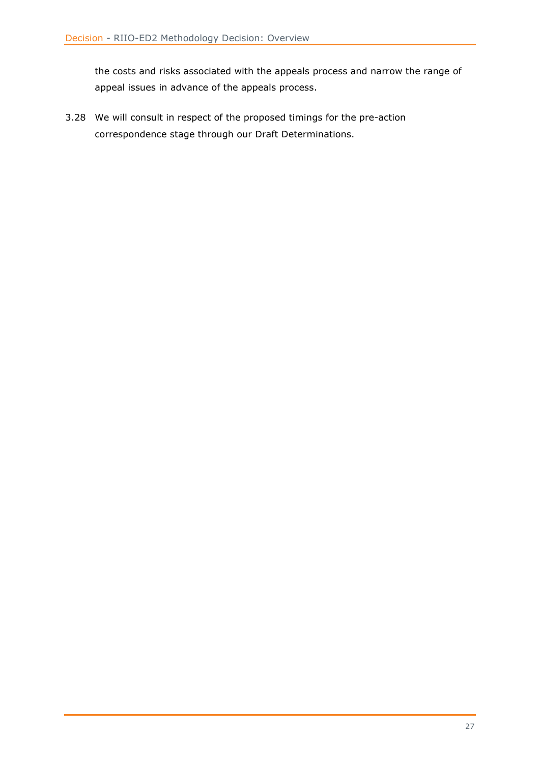the costs and risks associated with the appeals process and narrow the range of appeal issues in advance of the appeals process.

3.28 We will consult in respect of the proposed timings for the pre-action correspondence stage through our Draft Determinations.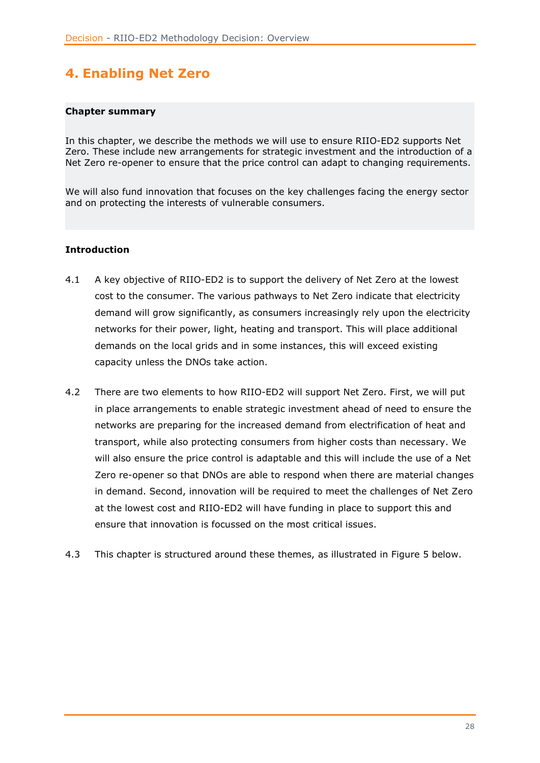# <span id="page-27-0"></span>**4. Enabling Net Zero**

## **Chapter summary**

In this chapter, we describe the methods we will use to ensure RIIO-ED2 supports Net Zero. These include new arrangements for strategic investment and the introduction of a Net Zero re-opener to ensure that the price control can adapt to changing requirements.

We will also fund innovation that focuses on the key challenges facing the energy sector and on protecting the interests of vulnerable consumers.

### **Introduction**

- 4.1 A key objective of RIIO-ED2 is to support the delivery of Net Zero at the lowest cost to the consumer. The various pathways to Net Zero indicate that electricity demand will grow significantly, as consumers increasingly rely upon the electricity networks for their power, light, heating and transport. This will place additional demands on the local grids and in some instances, this will exceed existing capacity unless the DNOs take action.
- 4.2 There are two elements to how RIIO-ED2 will support Net Zero. First, we will put in place arrangements to enable strategic investment ahead of need to ensure the networks are preparing for the increased demand from electrification of heat and transport, while also protecting consumers from higher costs than necessary. We will also ensure the price control is adaptable and this will include the use of a Net Zero re-opener so that DNOs are able to respond when there are material changes in demand. Second, innovation will be required to meet the challenges of Net Zero at the lowest cost and RIIO-ED2 will have funding in place to support this and ensure that innovation is focussed on the most critical issues.
- 4.3 This chapter is structured around these themes, as illustrated in Figure 5 below.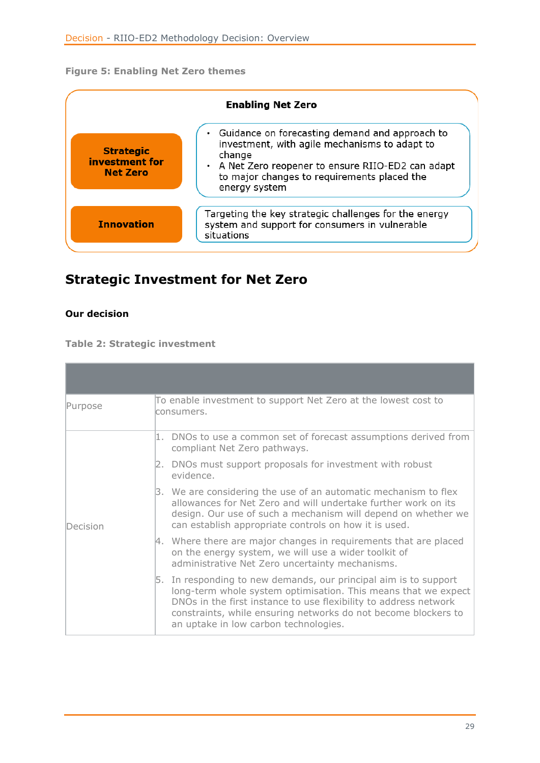## **Figure 5: Enabling Net Zero themes**



# <span id="page-28-0"></span>**Strategic Investment for Net Zero**

# **Our decision**

|  |  |  |  |  | <b>Table 2: Strategic investment</b> |
|--|--|--|--|--|--------------------------------------|
|--|--|--|--|--|--------------------------------------|

| Purpose  | To enable investment to support Net Zero at the lowest cost to<br>consumers.                                                                                                                                                                                                                                      |  |  |
|----------|-------------------------------------------------------------------------------------------------------------------------------------------------------------------------------------------------------------------------------------------------------------------------------------------------------------------|--|--|
| Decision | 1. DNOs to use a common set of forecast assumptions derived from<br>compliant Net Zero pathways.                                                                                                                                                                                                                  |  |  |
|          | 2. DNOs must support proposals for investment with robust<br>evidence.                                                                                                                                                                                                                                            |  |  |
|          | 3. We are considering the use of an automatic mechanism to flex<br>allowances for Net Zero and will undertake further work on its<br>design. Our use of such a mechanism will depend on whether we<br>can establish appropriate controls on how it is used.                                                       |  |  |
|          | 4. Where there are major changes in requirements that are placed<br>on the energy system, we will use a wider toolkit of<br>administrative Net Zero uncertainty mechanisms.                                                                                                                                       |  |  |
|          | 5. In responding to new demands, our principal aim is to support<br>long-term whole system optimisation. This means that we expect<br>DNOs in the first instance to use flexibility to address network<br>constraints, while ensuring networks do not become blockers to<br>an uptake in low carbon technologies. |  |  |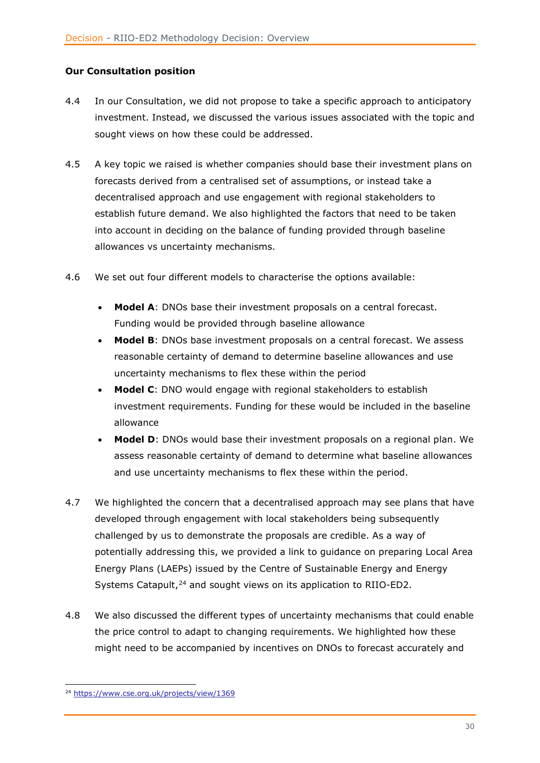# **Our Consultation position**

- 4.4 In our Consultation, we did not propose to take a specific approach to anticipatory investment. Instead, we discussed the various issues associated with the topic and sought views on how these could be addressed.
- 4.5 A key topic we raised is whether companies should base their investment plans on forecasts derived from a centralised set of assumptions, or instead take a decentralised approach and use engagement with regional stakeholders to establish future demand. We also highlighted the factors that need to be taken into account in deciding on the balance of funding provided through baseline allowances vs uncertainty mechanisms.
- 4.6 We set out four different models to characterise the options available:
	- **Model A**: DNOs base their investment proposals on a central forecast. Funding would be provided through baseline allowance
	- **Model B**: DNOs base investment proposals on a central forecast. We assess reasonable certainty of demand to determine baseline allowances and use uncertainty mechanisms to flex these within the period
	- **Model C**: DNO would engage with regional stakeholders to establish investment requirements. Funding for these would be included in the baseline allowance
	- **Model D**: DNOs would base their investment proposals on a regional plan. We assess reasonable certainty of demand to determine what baseline allowances and use uncertainty mechanisms to flex these within the period.
- 4.7 We highlighted the concern that a decentralised approach may see plans that have developed through engagement with local stakeholders being subsequently challenged by us to demonstrate the proposals are credible. As a way of potentially addressing this, we provided a link to guidance on preparing Local Area Energy Plans (LAEPs) issued by the Centre of Sustainable Energy and Energy Systems Catapult,<sup>[24](#page-29-0)</sup> and sought views on its application to RIIO-ED2.
- 4.8 We also discussed the different types of uncertainty mechanisms that could enable the price control to adapt to changing requirements. We highlighted how these might need to be accompanied by incentives on DNOs to forecast accurately and

<span id="page-29-0"></span><sup>&</sup>lt;sup>24</sup> <https://www.cse.org.uk/projects/view/1369>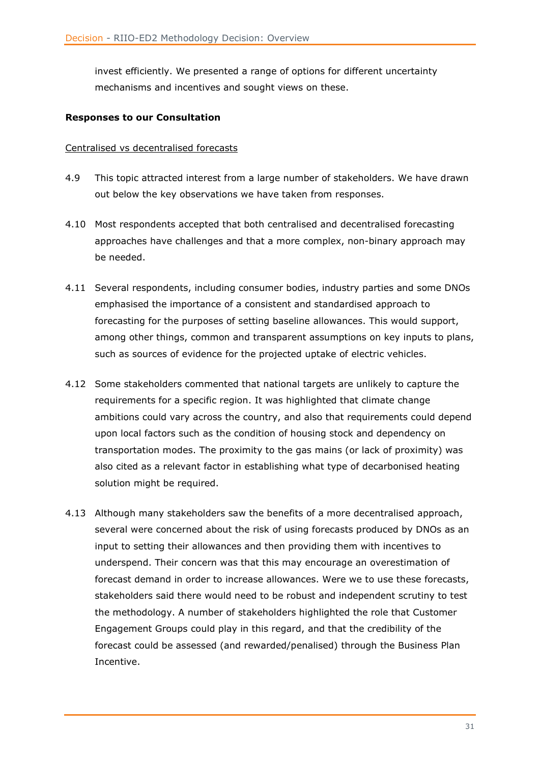invest efficiently. We presented a range of options for different uncertainty mechanisms and incentives and sought views on these.

### **Responses to our Consultation**

#### Centralised vs decentralised forecasts

- 4.9 This topic attracted interest from a large number of stakeholders. We have drawn out below the key observations we have taken from responses.
- 4.10 Most respondents accepted that both centralised and decentralised forecasting approaches have challenges and that a more complex, non-binary approach may be needed.
- 4.11 Several respondents, including consumer bodies, industry parties and some DNOs emphasised the importance of a consistent and standardised approach to forecasting for the purposes of setting baseline allowances. This would support, among other things, common and transparent assumptions on key inputs to plans, such as sources of evidence for the projected uptake of electric vehicles.
- 4.12 Some stakeholders commented that national targets are unlikely to capture the requirements for a specific region. It was highlighted that climate change ambitions could vary across the country, and also that requirements could depend upon local factors such as the condition of housing stock and dependency on transportation modes. The proximity to the gas mains (or lack of proximity) was also cited as a relevant factor in establishing what type of decarbonised heating solution might be required.
- 4.13 Although many stakeholders saw the benefits of a more decentralised approach, several were concerned about the risk of using forecasts produced by DNOs as an input to setting their allowances and then providing them with incentives to underspend. Their concern was that this may encourage an overestimation of forecast demand in order to increase allowances. Were we to use these forecasts, stakeholders said there would need to be robust and independent scrutiny to test the methodology. A number of stakeholders highlighted the role that Customer Engagement Groups could play in this regard, and that the credibility of the forecast could be assessed (and rewarded/penalised) through the Business Plan Incentive.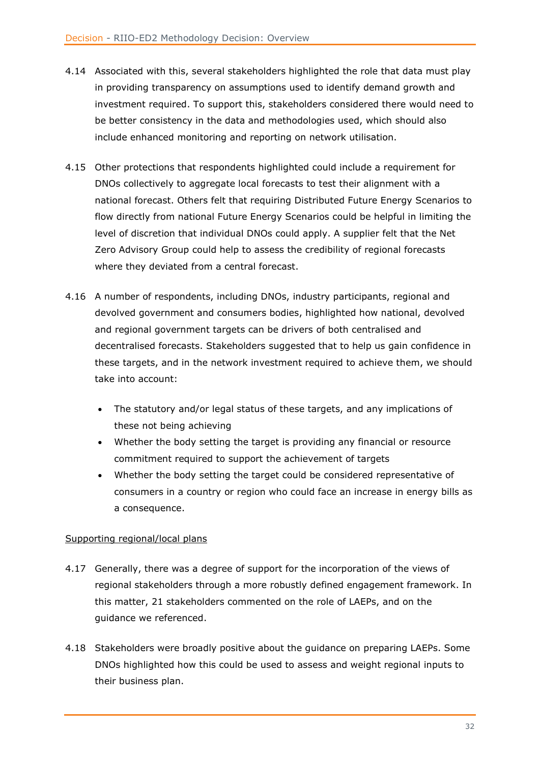- 4.14 Associated with this, several stakeholders highlighted the role that data must play in providing transparency on assumptions used to identify demand growth and investment required. To support this, stakeholders considered there would need to be better consistency in the data and methodologies used, which should also include enhanced monitoring and reporting on network utilisation.
- 4.15 Other protections that respondents highlighted could include a requirement for DNOs collectively to aggregate local forecasts to test their alignment with a national forecast. Others felt that requiring Distributed Future Energy Scenarios to flow directly from national Future Energy Scenarios could be helpful in limiting the level of discretion that individual DNOs could apply. A supplier felt that the Net Zero Advisory Group could help to assess the credibility of regional forecasts where they deviated from a central forecast.
- 4.16 A number of respondents, including DNOs, industry participants, regional and devolved government and consumers bodies, highlighted how national, devolved and regional government targets can be drivers of both centralised and decentralised forecasts. Stakeholders suggested that to help us gain confidence in these targets, and in the network investment required to achieve them, we should take into account:
	- The statutory and/or legal status of these targets, and any implications of these not being achieving
	- Whether the body setting the target is providing any financial or resource commitment required to support the achievement of targets
	- Whether the body setting the target could be considered representative of consumers in a country or region who could face an increase in energy bills as a consequence.

# Supporting regional/local plans

- 4.17 Generally, there was a degree of support for the incorporation of the views of regional stakeholders through a more robustly defined engagement framework. In this matter, 21 stakeholders commented on the role of LAEPs, and on the guidance we referenced.
- 4.18 Stakeholders were broadly positive about the guidance on preparing LAEPs. Some DNOs highlighted how this could be used to assess and weight regional inputs to their business plan.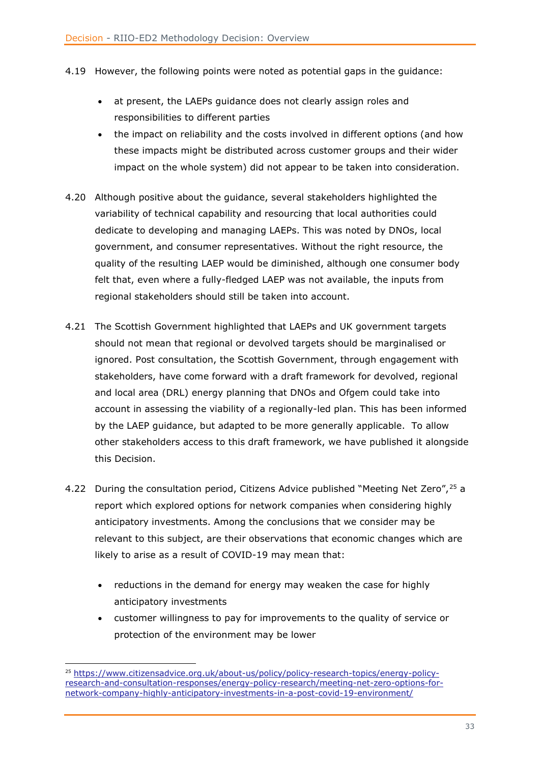- 4.19 However, the following points were noted as potential gaps in the guidance:
	- at present, the LAEPs guidance does not clearly assign roles and responsibilities to different parties
	- the impact on reliability and the costs involved in different options (and how these impacts might be distributed across customer groups and their wider impact on the whole system) did not appear to be taken into consideration.
- 4.20 Although positive about the guidance, several stakeholders highlighted the variability of technical capability and resourcing that local authorities could dedicate to developing and managing LAEPs. This was noted by DNOs, local government, and consumer representatives. Without the right resource, the quality of the resulting LAEP would be diminished, although one consumer body felt that, even where a fully-fledged LAEP was not available, the inputs from regional stakeholders should still be taken into account.
- 4.21 The Scottish Government highlighted that LAEPs and UK government targets should not mean that regional or devolved targets should be marginalised or ignored. Post consultation, the Scottish Government, through engagement with stakeholders, have come forward with a draft framework for devolved, regional and local area (DRL) energy planning that DNOs and Ofgem could take into account in assessing the viability of a regionally-led plan. This has been informed by the LAEP guidance, but adapted to be more generally applicable. To allow other stakeholders access to this draft framework, we have published it alongside this Decision.
- 4.22 During the consultation period, Citizens Advice published "Meeting Net Zero", <sup>[25](#page-32-0)</sup> a report which explored options for network companies when considering highly anticipatory investments. Among the conclusions that we consider may be relevant to this subject, are their observations that economic changes which are likely to arise as a result of COVID-19 may mean that:
	- reductions in the demand for energy may weaken the case for highly anticipatory investments
	- customer willingness to pay for improvements to the quality of service or protection of the environment may be lower

<span id="page-32-0"></span><sup>25</sup> [https://www.citizensadvice.org.uk/about-us/policy/policy-research-topics/energy-policy](https://www.citizensadvice.org.uk/about-us/policy/policy-research-topics/energy-policy-research-and-consultation-responses/energy-policy-research/meeting-net-zero-options-for-network-company-highly-anticipatory-investments-in-a-post-covid-19-environment/)[research-and-consultation-responses/energy-policy-research/meeting-net-zero-options-for](https://www.citizensadvice.org.uk/about-us/policy/policy-research-topics/energy-policy-research-and-consultation-responses/energy-policy-research/meeting-net-zero-options-for-network-company-highly-anticipatory-investments-in-a-post-covid-19-environment/)[network-company-highly-anticipatory-investments-in-a-post-covid-19-environment/](https://www.citizensadvice.org.uk/about-us/policy/policy-research-topics/energy-policy-research-and-consultation-responses/energy-policy-research/meeting-net-zero-options-for-network-company-highly-anticipatory-investments-in-a-post-covid-19-environment/)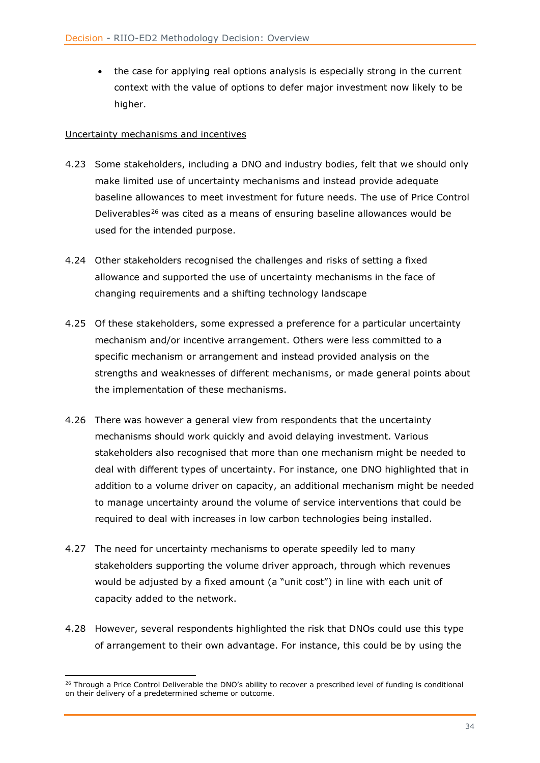• the case for applying real options analysis is especially strong in the current context with the value of options to defer major investment now likely to be higher.

## Uncertainty mechanisms and incentives

- 4.23 Some stakeholders, including a DNO and industry bodies, felt that we should only make limited use of uncertainty mechanisms and instead provide adequate baseline allowances to meet investment for future needs. The use of Price Control Deliverables[26](#page-33-0) was cited as a means of ensuring baseline allowances would be used for the intended purpose.
- 4.24 Other stakeholders recognised the challenges and risks of setting a fixed allowance and supported the use of uncertainty mechanisms in the face of changing requirements and a shifting technology landscape
- 4.25 Of these stakeholders, some expressed a preference for a particular uncertainty mechanism and/or incentive arrangement. Others were less committed to a specific mechanism or arrangement and instead provided analysis on the strengths and weaknesses of different mechanisms, or made general points about the implementation of these mechanisms.
- 4.26 There was however a general view from respondents that the uncertainty mechanisms should work quickly and avoid delaying investment. Various stakeholders also recognised that more than one mechanism might be needed to deal with different types of uncertainty. For instance, one DNO highlighted that in addition to a volume driver on capacity, an additional mechanism might be needed to manage uncertainty around the volume of service interventions that could be required to deal with increases in low carbon technologies being installed.
- 4.27 The need for uncertainty mechanisms to operate speedily led to many stakeholders supporting the volume driver approach, through which revenues would be adjusted by a fixed amount (a "unit cost") in line with each unit of capacity added to the network.
- 4.28 However, several respondents highlighted the risk that DNOs could use this type of arrangement to their own advantage. For instance, this could be by using the

<span id="page-33-0"></span><sup>&</sup>lt;sup>26</sup> Through a Price Control Deliverable the DNO's ability to recover a prescribed level of funding is conditional on their delivery of a predetermined scheme or outcome.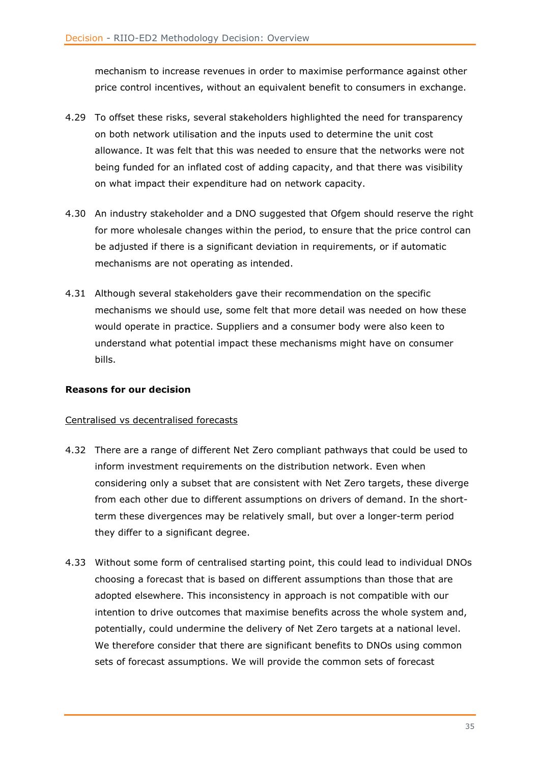mechanism to increase revenues in order to maximise performance against other price control incentives, without an equivalent benefit to consumers in exchange.

- 4.29 To offset these risks, several stakeholders highlighted the need for transparency on both network utilisation and the inputs used to determine the unit cost allowance. It was felt that this was needed to ensure that the networks were not being funded for an inflated cost of adding capacity, and that there was visibility on what impact their expenditure had on network capacity.
- 4.30 An industry stakeholder and a DNO suggested that Ofgem should reserve the right for more wholesale changes within the period, to ensure that the price control can be adjusted if there is a significant deviation in requirements, or if automatic mechanisms are not operating as intended.
- 4.31 Although several stakeholders gave their recommendation on the specific mechanisms we should use, some felt that more detail was needed on how these would operate in practice. Suppliers and a consumer body were also keen to understand what potential impact these mechanisms might have on consumer bills.

# **Reasons for our decision**

### Centralised vs decentralised forecasts

- 4.32 There are a range of different Net Zero compliant pathways that could be used to inform investment requirements on the distribution network. Even when considering only a subset that are consistent with Net Zero targets, these diverge from each other due to different assumptions on drivers of demand. In the shortterm these divergences may be relatively small, but over a longer-term period they differ to a significant degree.
- 4.33 Without some form of centralised starting point, this could lead to individual DNOs choosing a forecast that is based on different assumptions than those that are adopted elsewhere. This inconsistency in approach is not compatible with our intention to drive outcomes that maximise benefits across the whole system and, potentially, could undermine the delivery of Net Zero targets at a national level. We therefore consider that there are significant benefits to DNOs using common sets of forecast assumptions. We will provide the common sets of forecast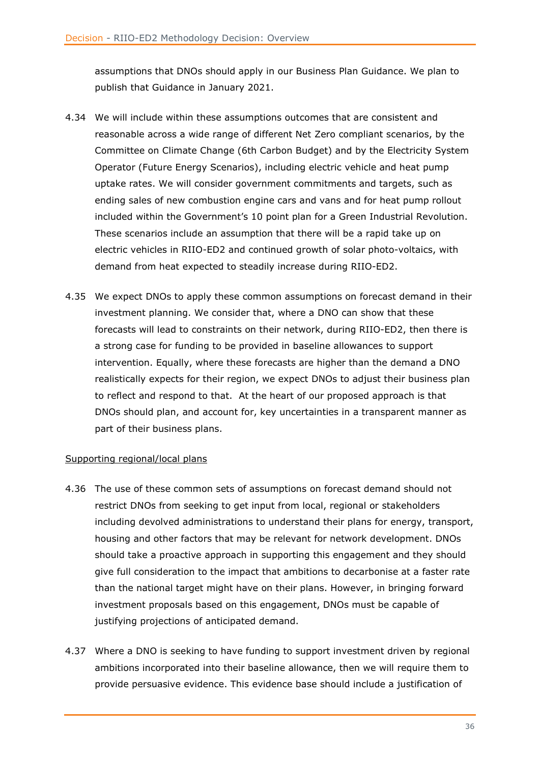assumptions that DNOs should apply in our Business Plan Guidance. We plan to publish that Guidance in January 2021.

- 4.34 We will include within these assumptions outcomes that are consistent and reasonable across a wide range of different Net Zero compliant scenarios, by the Committee on Climate Change (6th Carbon Budget) and by the Electricity System Operator (Future Energy Scenarios), including electric vehicle and heat pump uptake rates. We will consider government commitments and targets, such as ending sales of new combustion engine cars and vans and for heat pump rollout included within the Government's 10 point plan for a Green Industrial Revolution. These scenarios include an assumption that there will be a rapid take up on electric vehicles in RIIO-ED2 and continued growth of solar photo-voltaics, with demand from heat expected to steadily increase during RIIO-ED2.
- 4.35 We expect DNOs to apply these common assumptions on forecast demand in their investment planning. We consider that, where a DNO can show that these forecasts will lead to constraints on their network, during RIIO-ED2, then there is a strong case for funding to be provided in baseline allowances to support intervention. Equally, where these forecasts are higher than the demand a DNO realistically expects for their region, we expect DNOs to adjust their business plan to reflect and respond to that. At the heart of our proposed approach is that DNOs should plan, and account for, key uncertainties in a transparent manner as part of their business plans.

# Supporting regional/local plans

- 4.36 The use of these common sets of assumptions on forecast demand should not restrict DNOs from seeking to get input from local, regional or stakeholders including devolved administrations to understand their plans for energy, transport, housing and other factors that may be relevant for network development. DNOs should take a proactive approach in supporting this engagement and they should give full consideration to the impact that ambitions to decarbonise at a faster rate than the national target might have on their plans. However, in bringing forward investment proposals based on this engagement, DNOs must be capable of justifying projections of anticipated demand.
- 4.37 Where a DNO is seeking to have funding to support investment driven by regional ambitions incorporated into their baseline allowance, then we will require them to provide persuasive evidence. This evidence base should include a justification of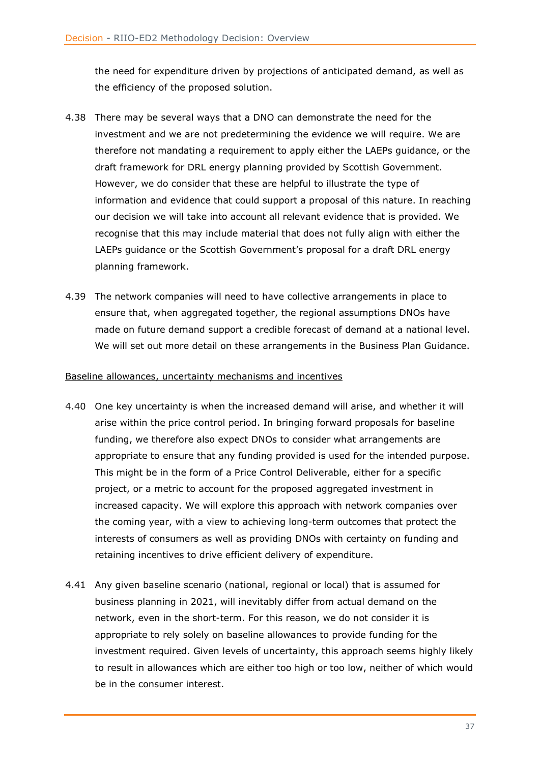the need for expenditure driven by projections of anticipated demand, as well as the efficiency of the proposed solution.

- 4.38 There may be several ways that a DNO can demonstrate the need for the investment and we are not predetermining the evidence we will require. We are therefore not mandating a requirement to apply either the LAEPs guidance, or the draft framework for DRL energy planning provided by Scottish Government. However, we do consider that these are helpful to illustrate the type of information and evidence that could support a proposal of this nature. In reaching our decision we will take into account all relevant evidence that is provided. We recognise that this may include material that does not fully align with either the LAEPs guidance or the Scottish Government's proposal for a draft DRL energy planning framework.
- 4.39 The network companies will need to have collective arrangements in place to ensure that, when aggregated together, the regional assumptions DNOs have made on future demand support a credible forecast of demand at a national level. We will set out more detail on these arrangements in the Business Plan Guidance.

## Baseline allowances, uncertainty mechanisms and incentives

- 4.40 One key uncertainty is when the increased demand will arise, and whether it will arise within the price control period. In bringing forward proposals for baseline funding, we therefore also expect DNOs to consider what arrangements are appropriate to ensure that any funding provided is used for the intended purpose. This might be in the form of a Price Control Deliverable, either for a specific project, or a metric to account for the proposed aggregated investment in increased capacity. We will explore this approach with network companies over the coming year, with a view to achieving long-term outcomes that protect the interests of consumers as well as providing DNOs with certainty on funding and retaining incentives to drive efficient delivery of expenditure.
- 4.41 Any given baseline scenario (national, regional or local) that is assumed for business planning in 2021, will inevitably differ from actual demand on the network, even in the short-term. For this reason, we do not consider it is appropriate to rely solely on baseline allowances to provide funding for the investment required. Given levels of uncertainty, this approach seems highly likely to result in allowances which are either too high or too low, neither of which would be in the consumer interest.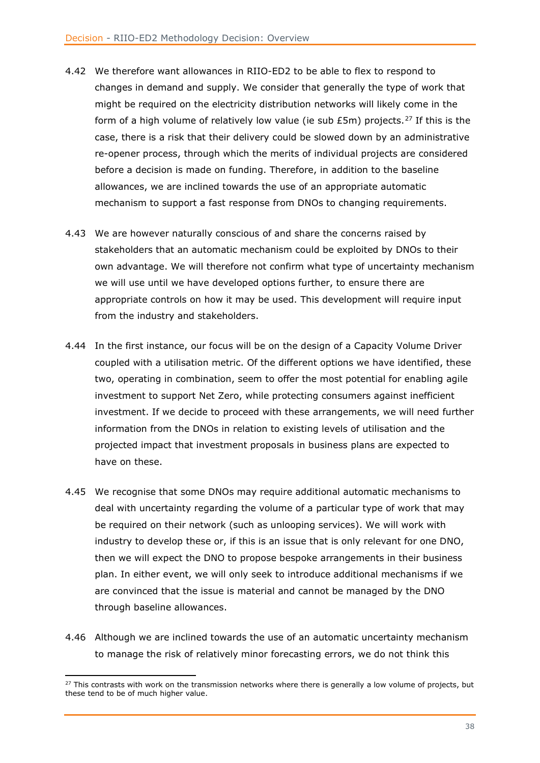- 4.42 We therefore want allowances in RIIO-ED2 to be able to flex to respond to changes in demand and supply. We consider that generally the type of work that might be required on the electricity distribution networks will likely come in the form of a high volume of relatively low value (ie sub  $£5m$ ) projects.<sup>[27](#page-37-0)</sup> If this is the case, there is a risk that their delivery could be slowed down by an administrative re-opener process, through which the merits of individual projects are considered before a decision is made on funding. Therefore, in addition to the baseline allowances, we are inclined towards the use of an appropriate automatic mechanism to support a fast response from DNOs to changing requirements.
- 4.43 We are however naturally conscious of and share the concerns raised by stakeholders that an automatic mechanism could be exploited by DNOs to their own advantage. We will therefore not confirm what type of uncertainty mechanism we will use until we have developed options further, to ensure there are appropriate controls on how it may be used. This development will require input from the industry and stakeholders.
- 4.44 In the first instance, our focus will be on the design of a Capacity Volume Driver coupled with a utilisation metric. Of the different options we have identified, these two, operating in combination, seem to offer the most potential for enabling agile investment to support Net Zero, while protecting consumers against inefficient investment. If we decide to proceed with these arrangements, we will need further information from the DNOs in relation to existing levels of utilisation and the projected impact that investment proposals in business plans are expected to have on these.
- 4.45 We recognise that some DNOs may require additional automatic mechanisms to deal with uncertainty regarding the volume of a particular type of work that may be required on their network (such as unlooping services). We will work with industry to develop these or, if this is an issue that is only relevant for one DNO, then we will expect the DNO to propose bespoke arrangements in their business plan. In either event, we will only seek to introduce additional mechanisms if we are convinced that the issue is material and cannot be managed by the DNO through baseline allowances.
- 4.46 Although we are inclined towards the use of an automatic uncertainty mechanism to manage the risk of relatively minor forecasting errors, we do not think this

<span id="page-37-0"></span><sup>&</sup>lt;sup>27</sup> This contrasts with work on the transmission networks where there is generally a low volume of projects, but these tend to be of much higher value.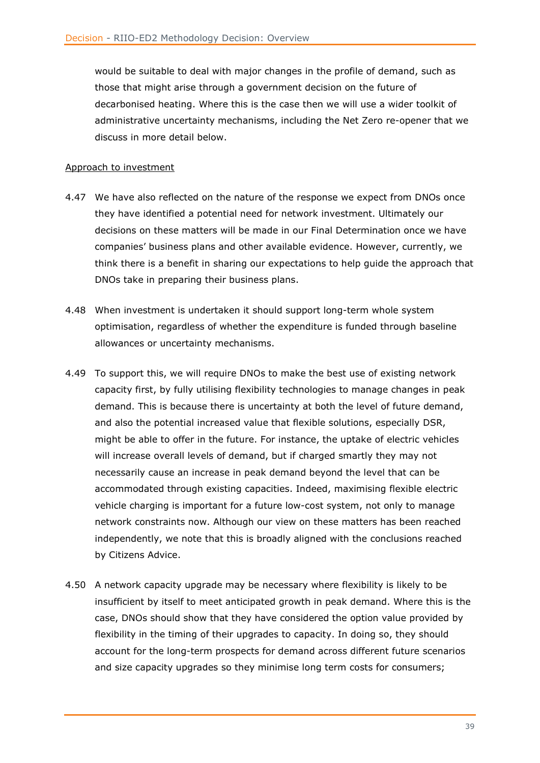would be suitable to deal with major changes in the profile of demand, such as those that might arise through a government decision on the future of decarbonised heating. Where this is the case then we will use a wider toolkit of administrative uncertainty mechanisms, including the Net Zero re-opener that we discuss in more detail below.

#### Approach to investment

- 4.47 We have also reflected on the nature of the response we expect from DNOs once they have identified a potential need for network investment. Ultimately our decisions on these matters will be made in our Final Determination once we have companies' business plans and other available evidence. However, currently, we think there is a benefit in sharing our expectations to help guide the approach that DNOs take in preparing their business plans.
- 4.48 When investment is undertaken it should support long-term whole system optimisation, regardless of whether the expenditure is funded through baseline allowances or uncertainty mechanisms.
- 4.49 To support this, we will require DNOs to make the best use of existing network capacity first, by fully utilising flexibility technologies to manage changes in peak demand. This is because there is uncertainty at both the level of future demand, and also the potential increased value that flexible solutions, especially DSR, might be able to offer in the future. For instance, the uptake of electric vehicles will increase overall levels of demand, but if charged smartly they may not necessarily cause an increase in peak demand beyond the level that can be accommodated through existing capacities. Indeed, maximising flexible electric vehicle charging is important for a future low-cost system, not only to manage network constraints now. Although our view on these matters has been reached independently, we note that this is broadly aligned with the conclusions reached by Citizens Advice.
- 4.50 A network capacity upgrade may be necessary where flexibility is likely to be insufficient by itself to meet anticipated growth in peak demand. Where this is the case, DNOs should show that they have considered the option value provided by flexibility in the timing of their upgrades to capacity. In doing so, they should account for the long-term prospects for demand across different future scenarios and size capacity upgrades so they minimise long term costs for consumers;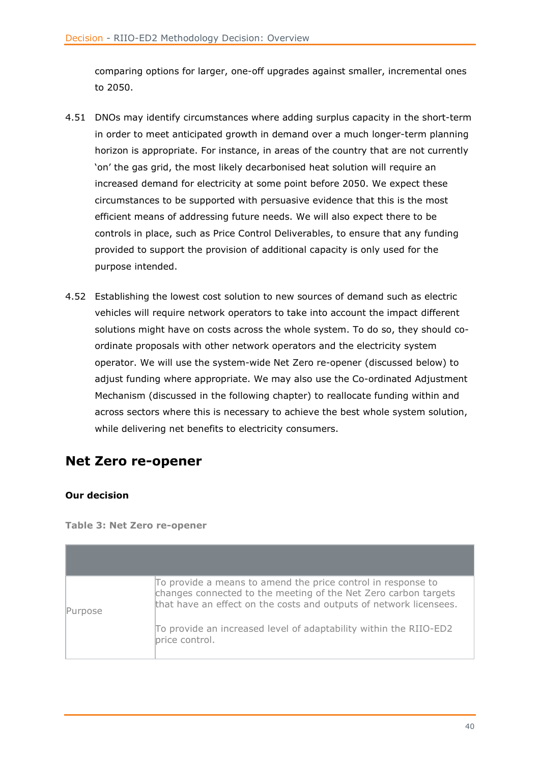comparing options for larger, one-off upgrades against smaller, incremental ones to 2050.

- 4.51 DNOs may identify circumstances where adding surplus capacity in the short-term in order to meet anticipated growth in demand over a much longer-term planning horizon is appropriate. For instance, in areas of the country that are not currently 'on' the gas grid, the most likely decarbonised heat solution will require an increased demand for electricity at some point before 2050. We expect these circumstances to be supported with persuasive evidence that this is the most efficient means of addressing future needs. We will also expect there to be controls in place, such as Price Control Deliverables, to ensure that any funding provided to support the provision of additional capacity is only used for the purpose intended.
- 4.52 Establishing the lowest cost solution to new sources of demand such as electric vehicles will require network operators to take into account the impact different solutions might have on costs across the whole system. To do so, they should coordinate proposals with other network operators and the electricity system operator. We will use the system-wide Net Zero re-opener (discussed below) to adjust funding where appropriate. We may also use the Co-ordinated Adjustment Mechanism (discussed in the following chapter) to reallocate funding within and across sectors where this is necessary to achieve the best whole system solution, while delivering net benefits to electricity consumers.

# **Net Zero re-opener**

# **Our decision**

**Table 3: Net Zero re-opener**

| Purpose | To provide a means to amend the price control in response to<br>changes connected to the meeting of the Net Zero carbon targets<br>that have an effect on the costs and outputs of network licensees. |
|---------|-------------------------------------------------------------------------------------------------------------------------------------------------------------------------------------------------------|
|         | To provide an increased level of adaptability within the RIIO-ED2<br>price control.                                                                                                                   |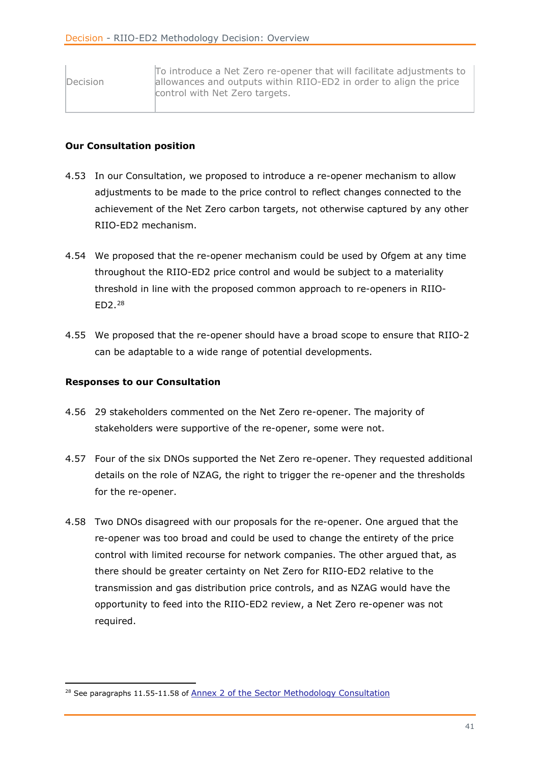| Decision | To introduce a Net Zero re-opener that will facilitate adjustments to<br>allowances and outputs within RIIO-ED2 in order to align the price |
|----------|---------------------------------------------------------------------------------------------------------------------------------------------|
|          | control with Net Zero targets.                                                                                                              |

## **Our Consultation position**

- 4.53 In our Consultation, we proposed to introduce a re-opener mechanism to allow adjustments to be made to the price control to reflect changes connected to the achievement of the Net Zero carbon targets, not otherwise captured by any other RIIO-ED2 mechanism.
- 4.54 We proposed that the re-opener mechanism could be used by Ofgem at any time throughout the RIIO-ED2 price control and would be subject to a materiality threshold in line with the proposed common approach to re-openers in RIIO-ED2.[28](#page-40-0)
- 4.55 We proposed that the re-opener should have a broad scope to ensure that RIIO-2 can be adaptable to a wide range of potential developments.

## **Responses to our Consultation**

- 4.56 29 stakeholders commented on the Net Zero re-opener. The majority of stakeholders were supportive of the re-opener, some were not.
- 4.57 Four of the six DNOs supported the Net Zero re-opener. They requested additional details on the role of NZAG, the right to trigger the re-opener and the thresholds for the re-opener.
- 4.58 Two DNOs disagreed with our proposals for the re-opener. One argued that the re-opener was too broad and could be used to change the entirety of the price control with limited recourse for network companies. The other argued that, as there should be greater certainty on Net Zero for RIIO-ED2 relative to the transmission and gas distribution price controls, and as NZAG would have the opportunity to feed into the RIIO-ED2 review, a Net Zero re-opener was not required.

<span id="page-40-0"></span><sup>&</sup>lt;sup>28</sup> See paragraphs 11.55-11.58 o[f Annex 2 of the Sector Methodology Consultation](https://www.ofgem.gov.uk/system/files/docs/2020/07/ed2_ssmc_annex_2_keeping_bills_low_0.pdf)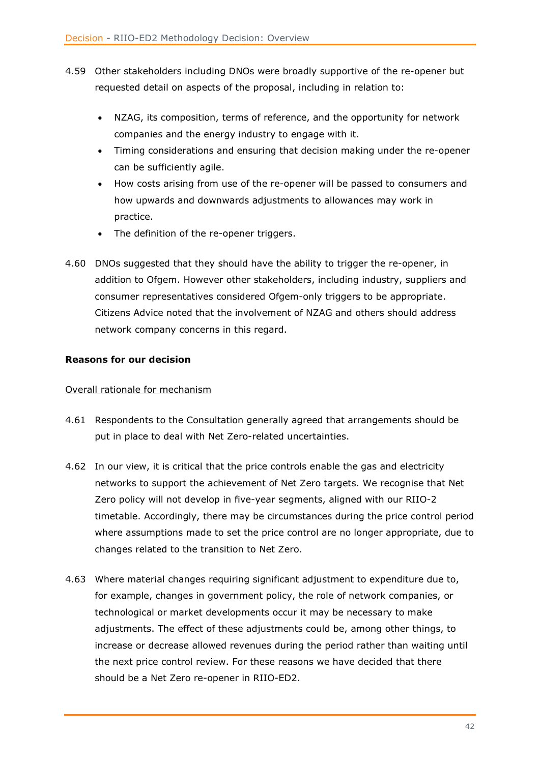- 4.59 Other stakeholders including DNOs were broadly supportive of the re-opener but requested detail on aspects of the proposal, including in relation to:
	- NZAG, its composition, terms of reference, and the opportunity for network companies and the energy industry to engage with it.
	- Timing considerations and ensuring that decision making under the re-opener can be sufficiently agile.
	- How costs arising from use of the re-opener will be passed to consumers and how upwards and downwards adjustments to allowances may work in practice.
	- The definition of the re-opener triggers.
- 4.60 DNOs suggested that they should have the ability to trigger the re-opener, in addition to Ofgem. However other stakeholders, including industry, suppliers and consumer representatives considered Ofgem-only triggers to be appropriate. Citizens Advice noted that the involvement of NZAG and others should address network company concerns in this regard.

## **Reasons for our decision**

### Overall rationale for mechanism

- 4.61 Respondents to the Consultation generally agreed that arrangements should be put in place to deal with Net Zero-related uncertainties.
- 4.62 In our view, it is critical that the price controls enable the gas and electricity networks to support the achievement of Net Zero targets. We recognise that Net Zero policy will not develop in five-year segments, aligned with our RIIO-2 timetable. Accordingly, there may be circumstances during the price control period where assumptions made to set the price control are no longer appropriate, due to changes related to the transition to Net Zero.
- 4.63 Where material changes requiring significant adjustment to expenditure due to, for example, changes in government policy, the role of network companies, or technological or market developments occur it may be necessary to make adjustments. The effect of these adjustments could be, among other things, to increase or decrease allowed revenues during the period rather than waiting until the next price control review. For these reasons we have decided that there should be a Net Zero re-opener in RIIO-ED2.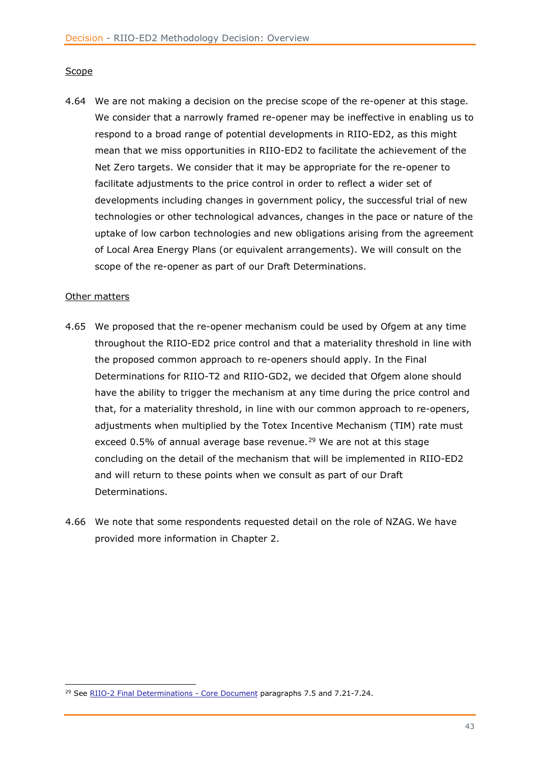#### Scope

4.64 We are not making a decision on the precise scope of the re-opener at this stage. We consider that a narrowly framed re-opener may be ineffective in enabling us to respond to a broad range of potential developments in RIIO-ED2, as this might mean that we miss opportunities in RIIO-ED2 to facilitate the achievement of the Net Zero targets. We consider that it may be appropriate for the re-opener to facilitate adjustments to the price control in order to reflect a wider set of developments including changes in government policy, the successful trial of new technologies or other technological advances, changes in the pace or nature of the uptake of low carbon technologies and new obligations arising from the agreement of Local Area Energy Plans (or equivalent arrangements). We will consult on the scope of the re-opener as part of our Draft Determinations.

#### Other matters

- 4.65 We proposed that the re-opener mechanism could be used by Ofgem at any time throughout the RIIO-ED2 price control and that a materiality threshold in line with the proposed common approach to re-openers should apply. In the Final Determinations for RIIO-T2 and RIIO-GD2, we decided that Ofgem alone should have the ability to trigger the mechanism at any time during the price control and that, for a materiality threshold, in line with our common approach to re-openers, adjustments when multiplied by the Totex Incentive Mechanism (TIM) rate must exceed  $0.5\%$  of annual average base revenue.<sup>[29](#page-42-0)</sup> We are not at this stage concluding on the detail of the mechanism that will be implemented in RIIO-ED2 and will return to these points when we consult as part of our Draft Determinations.
- 4.66 We note that some respondents requested detail on the role of NZAG. We have provided more information in Chapter 2.

<span id="page-42-0"></span><sup>&</sup>lt;sup>29</sup> See [RIIO-2 Final Determinations -](https://www.ofgem.gov.uk/system/files/docs/2020/12/final_determinations_-_core_document.pdf) Core Document paragraphs 7.5 and 7.21-7.24.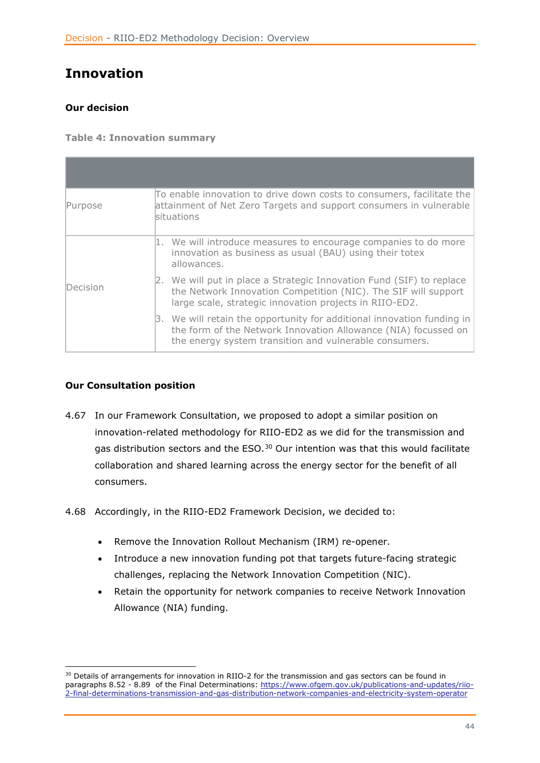# **Innovation**

# **Our decision**

#### **Table 4: Innovation summary**

| Purpose  | To enable innovation to drive down costs to consumers, facilitate the<br>attainment of Net Zero Targets and support consumers in vulnerable<br><b>situations</b>                                   |
|----------|----------------------------------------------------------------------------------------------------------------------------------------------------------------------------------------------------|
| Decision | 1. We will introduce measures to encourage companies to do more<br>innovation as business as usual (BAU) using their totex<br>allowances.                                                          |
|          | 2. We will put in place a Strategic Innovation Fund (SIF) to replace<br>the Network Innovation Competition (NIC). The SIF will support<br>large scale, strategic innovation projects in RIIO-ED2.  |
|          | 3. We will retain the opportunity for additional innovation funding in<br>the form of the Network Innovation Allowance (NIA) focussed on<br>the energy system transition and vulnerable consumers. |

## **Our Consultation position**

- 4.67 In our Framework Consultation, we proposed to adopt a similar position on innovation-related methodology for RIIO-ED2 as we did for the transmission and gas distribution sectors and the ESO.<sup>[30](#page-43-0)</sup> Our intention was that this would facilitate collaboration and shared learning across the energy sector for the benefit of all consumers.
- 4.68 Accordingly, in the RIIO-ED2 Framework Decision, we decided to:
	- Remove the Innovation Rollout Mechanism (IRM) re-opener.
	- Introduce a new innovation funding pot that targets future-facing strategic challenges, replacing the Network Innovation Competition (NIC).
	- Retain the opportunity for network companies to receive Network Innovation Allowance (NIA) funding.

<span id="page-43-0"></span><sup>&</sup>lt;sup>30</sup> Details of arrangements for innovation in RIIO-2 for the transmission and gas sectors can be found in paragraphs 8.52 - 8.89 of the Final Determinations: [https://www.ofgem.gov.uk/publications-and-updates/riio-](https://www.ofgem.gov.uk/publications-and-updates/riio-2-final-determinations-transmission-and-gas-distribution-network-companies-and-electricity-system-operator)[2-final-determinations-transmission-and-gas-distribution-network-companies-and-electricity-system-operator](https://www.ofgem.gov.uk/publications-and-updates/riio-2-final-determinations-transmission-and-gas-distribution-network-companies-and-electricity-system-operator)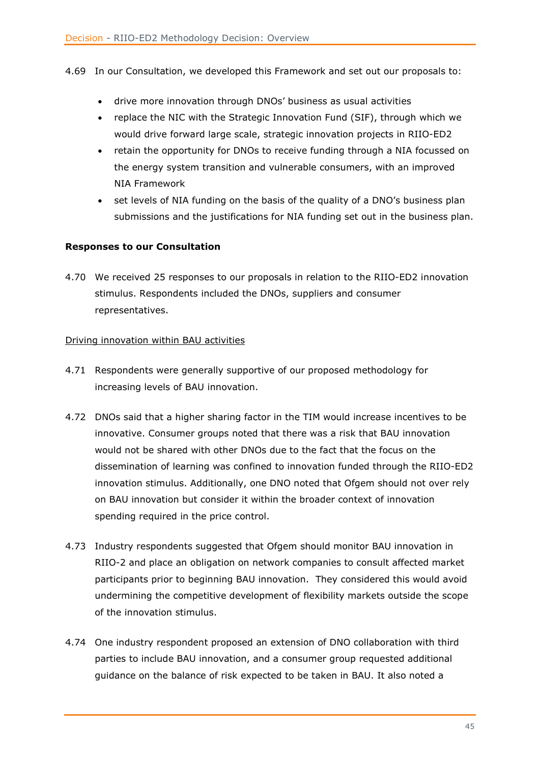- 4.69 In our Consultation, we developed this Framework and set out our proposals to:
	- drive more innovation through DNOs' business as usual activities
	- replace the NIC with the Strategic Innovation Fund (SIF), through which we would drive forward large scale, strategic innovation projects in RIIO-ED2
	- retain the opportunity for DNOs to receive funding through a NIA focussed on the energy system transition and vulnerable consumers, with an improved NIA Framework
	- set levels of NIA funding on the basis of the quality of a DNO's business plan submissions and the justifications for NIA funding set out in the business plan.

# **Responses to our Consultation**

4.70 We received 25 responses to our proposals in relation to the RIIO-ED2 innovation stimulus. Respondents included the DNOs, suppliers and consumer representatives.

## Driving innovation within BAU activities

- 4.71 Respondents were generally supportive of our proposed methodology for increasing levels of BAU innovation.
- 4.72 DNOs said that a higher sharing factor in the TIM would increase incentives to be innovative. Consumer groups noted that there was a risk that BAU innovation would not be shared with other DNOs due to the fact that the focus on the dissemination of learning was confined to innovation funded through the RIIO-ED2 innovation stimulus. Additionally, one DNO noted that Ofgem should not over rely on BAU innovation but consider it within the broader context of innovation spending required in the price control.
- 4.73 Industry respondents suggested that Ofgem should monitor BAU innovation in RIIO-2 and place an obligation on network companies to consult affected market participants prior to beginning BAU innovation. They considered this would avoid undermining the competitive development of flexibility markets outside the scope of the innovation stimulus.
- 4.74 One industry respondent proposed an extension of DNO collaboration with third parties to include BAU innovation, and a consumer group requested additional guidance on the balance of risk expected to be taken in BAU. It also noted a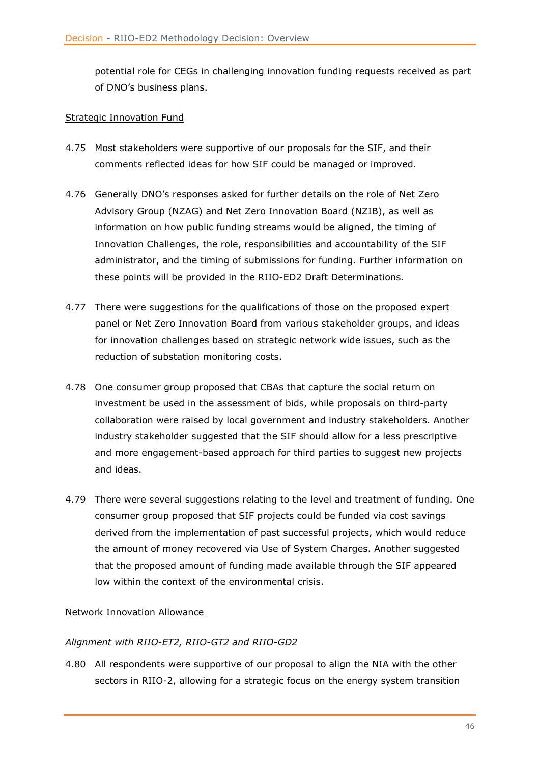potential role for CEGs in challenging innovation funding requests received as part of DNO's business plans.

## Strategic Innovation Fund

- 4.75 Most stakeholders were supportive of our proposals for the SIF, and their comments reflected ideas for how SIF could be managed or improved.
- 4.76 Generally DNO's responses asked for further details on the role of Net Zero Advisory Group (NZAG) and Net Zero Innovation Board (NZIB), as well as information on how public funding streams would be aligned, the timing of Innovation Challenges, the role, responsibilities and accountability of the SIF administrator, and the timing of submissions for funding. Further information on these points will be provided in the RIIO-ED2 Draft Determinations.
- 4.77 There were suggestions for the qualifications of those on the proposed expert panel or Net Zero Innovation Board from various stakeholder groups, and ideas for innovation challenges based on strategic network wide issues, such as the reduction of substation monitoring costs.
- 4.78 One consumer group proposed that CBAs that capture the social return on investment be used in the assessment of bids, while proposals on third-party collaboration were raised by local government and industry stakeholders. Another industry stakeholder suggested that the SIF should allow for a less prescriptive and more engagement-based approach for third parties to suggest new projects and ideas.
- 4.79 There were several suggestions relating to the level and treatment of funding. One consumer group proposed that SIF projects could be funded via cost savings derived from the implementation of past successful projects, which would reduce the amount of money recovered via Use of System Charges. Another suggested that the proposed amount of funding made available through the SIF appeared low within the context of the environmental crisis.

# Network Innovation Allowance

### *Alignment with RIIO-ET2, RIIO-GT2 and RIIO-GD2*

4.80 All respondents were supportive of our proposal to align the NIA with the other sectors in RIIO-2, allowing for a strategic focus on the energy system transition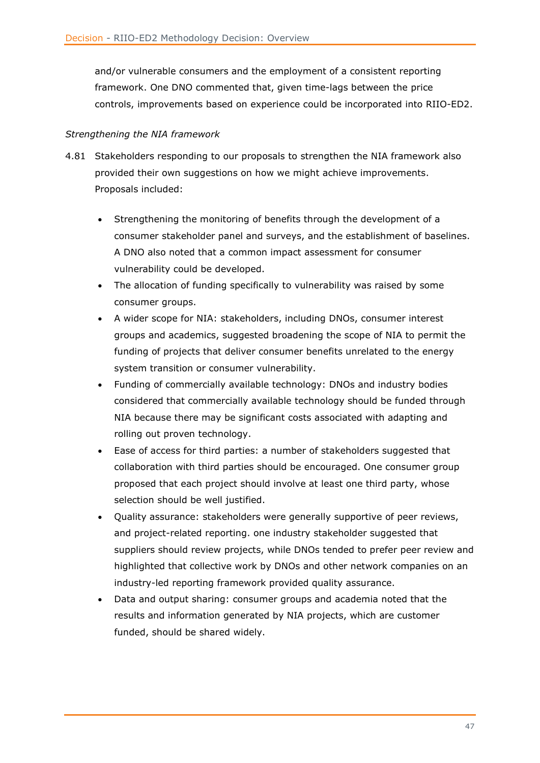and/or vulnerable consumers and the employment of a consistent reporting framework. One DNO commented that, given time-lags between the price controls, improvements based on experience could be incorporated into RIIO-ED2.

## *Strengthening the NIA framework*

- 4.81 Stakeholders responding to our proposals to strengthen the NIA framework also provided their own suggestions on how we might achieve improvements. Proposals included:
	- Strengthening the monitoring of benefits through the development of a consumer stakeholder panel and surveys, and the establishment of baselines. A DNO also noted that a common impact assessment for consumer vulnerability could be developed.
	- The allocation of funding specifically to vulnerability was raised by some consumer groups.
	- A wider scope for NIA: stakeholders, including DNOs, consumer interest groups and academics, suggested broadening the scope of NIA to permit the funding of projects that deliver consumer benefits unrelated to the energy system transition or consumer vulnerability.
	- Funding of commercially available technology: DNOs and industry bodies considered that commercially available technology should be funded through NIA because there may be significant costs associated with adapting and rolling out proven technology.
	- Ease of access for third parties: a number of stakeholders suggested that collaboration with third parties should be encouraged. One consumer group proposed that each project should involve at least one third party, whose selection should be well justified.
	- Quality assurance: stakeholders were generally supportive of peer reviews, and project-related reporting. one industry stakeholder suggested that suppliers should review projects, while DNOs tended to prefer peer review and highlighted that collective work by DNOs and other network companies on an industry-led reporting framework provided quality assurance.
	- Data and output sharing: consumer groups and academia noted that the results and information generated by NIA projects, which are customer funded, should be shared widely.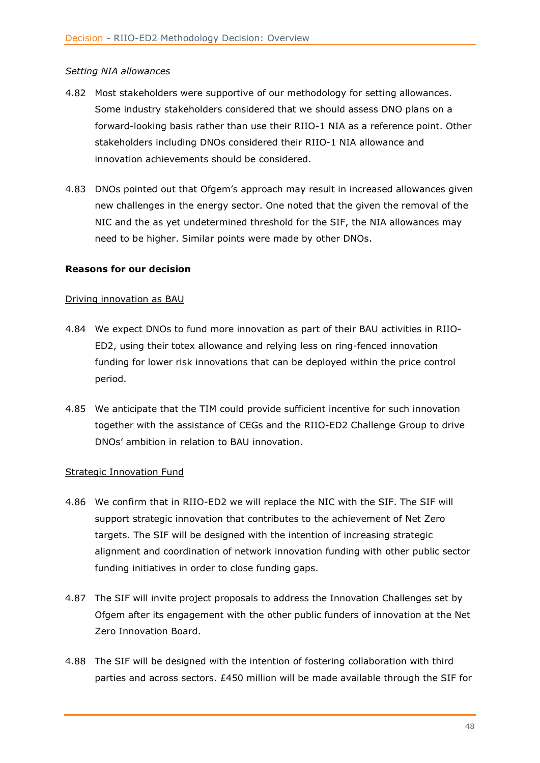### *Setting NIA allowances*

- 4.82 Most stakeholders were supportive of our methodology for setting allowances. Some industry stakeholders considered that we should assess DNO plans on a forward-looking basis rather than use their RIIO-1 NIA as a reference point. Other stakeholders including DNOs considered their RIIO-1 NIA allowance and innovation achievements should be considered.
- 4.83 DNOs pointed out that Ofgem's approach may result in increased allowances given new challenges in the energy sector. One noted that the given the removal of the NIC and the as yet undetermined threshold for the SIF, the NIA allowances may need to be higher. Similar points were made by other DNOs.

## **Reasons for our decision**

### Driving innovation as BAU

- 4.84 We expect DNOs to fund more innovation as part of their BAU activities in RIIO-ED2, using their totex allowance and relying less on ring-fenced innovation funding for lower risk innovations that can be deployed within the price control period.
- 4.85 We anticipate that the TIM could provide sufficient incentive for such innovation together with the assistance of CEGs and the RIIO-ED2 Challenge Group to drive DNOs' ambition in relation to BAU innovation.

### Strategic Innovation Fund

- 4.86 We confirm that in RIIO-ED2 we will replace the NIC with the SIF. The SIF will support strategic innovation that contributes to the achievement of Net Zero targets. The SIF will be designed with the intention of increasing strategic alignment and coordination of network innovation funding with other public sector funding initiatives in order to close funding gaps.
- 4.87 The SIF will invite project proposals to address the Innovation Challenges set by Ofgem after its engagement with the other public funders of innovation at the Net Zero Innovation Board.
- 4.88 The SIF will be designed with the intention of fostering collaboration with third parties and across sectors. £450 million will be made available through the SIF for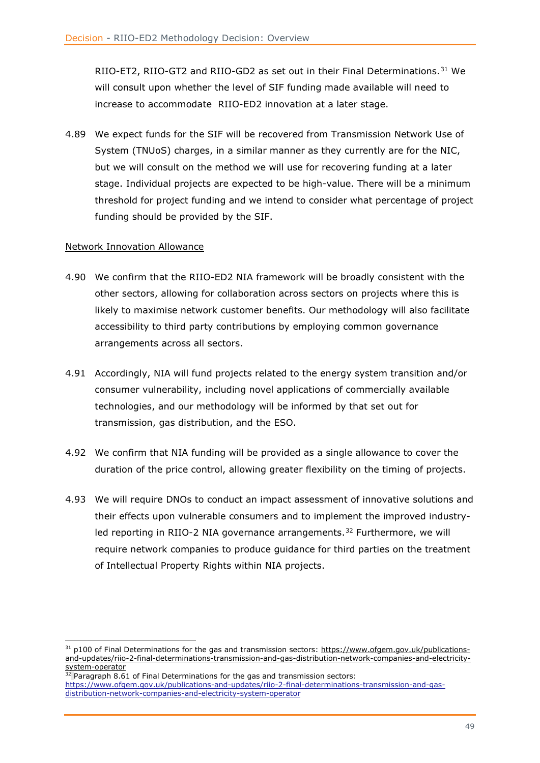RIIO-ET2, RIIO-GT2 and RIIO-GD2 as set out in their Final Determinations.<sup>[31](#page-48-0)</sup> We will consult upon whether the level of SIF funding made available will need to increase to accommodate RIIO-ED2 innovation at a later stage.

4.89 We expect funds for the SIF will be recovered from Transmission Network Use of System (TNUoS) charges, in a similar manner as they currently are for the NIC, but we will consult on the method we will use for recovering funding at a later stage. Individual projects are expected to be high-value. There will be a minimum threshold for project funding and we intend to consider what percentage of project funding should be provided by the SIF.

#### Network Innovation Allowance

- 4.90 We confirm that the RIIO-ED2 NIA framework will be broadly consistent with the other sectors, allowing for collaboration across sectors on projects where this is likely to maximise network customer benefits. Our methodology will also facilitate accessibility to third party contributions by employing common governance arrangements across all sectors.
- 4.91 Accordingly, NIA will fund projects related to the energy system transition and/or consumer vulnerability, including novel applications of commercially available technologies, and our methodology will be informed by that set out for transmission, gas distribution, and the ESO.
- 4.92 We confirm that NIA funding will be provided as a single allowance to cover the duration of the price control, allowing greater flexibility on the timing of projects.
- 4.93 We will require DNOs to conduct an impact assessment of innovative solutions and their effects upon vulnerable consumers and to implement the improved industry-led reporting in RIIO-2 NIA governance arrangements.<sup>[32](#page-48-1)</sup> Furthermore, we will require network companies to produce guidance for third parties on the treatment of Intellectual Property Rights within NIA projects.

<span id="page-48-0"></span><sup>&</sup>lt;sup>31</sup> p100 of Final Determinations for the gas and transmission sectors: [https://www.ofgem.gov.uk/publications](https://www.ofgem.gov.uk/publications-and-updates/riio-2-final-determinations-transmission-and-gas-distribution-network-companies-and-electricity-system-operator)[and-updates/riio-2-final-determinations-transmission-and-gas-distribution-network-companies-and-electricity](https://www.ofgem.gov.uk/publications-and-updates/riio-2-final-determinations-transmission-and-gas-distribution-network-companies-and-electricity-system-operator)[system-operator](https://www.ofgem.gov.uk/publications-and-updates/riio-2-final-determinations-transmission-and-gas-distribution-network-companies-and-electricity-system-operator)

 $32$  Paragraph 8.61 of Final Determinations for the gas and transmission sectors:

<span id="page-48-1"></span>[https://www.ofgem.gov.uk/publications-and-updates/riio-2-final-determinations-transmission-and-gas](https://www.ofgem.gov.uk/publications-and-updates/riio-2-final-determinations-transmission-and-gas-distribution-network-companies-and-electricity-system-operator)[distribution-network-companies-and-electricity-system-operator](https://www.ofgem.gov.uk/publications-and-updates/riio-2-final-determinations-transmission-and-gas-distribution-network-companies-and-electricity-system-operator)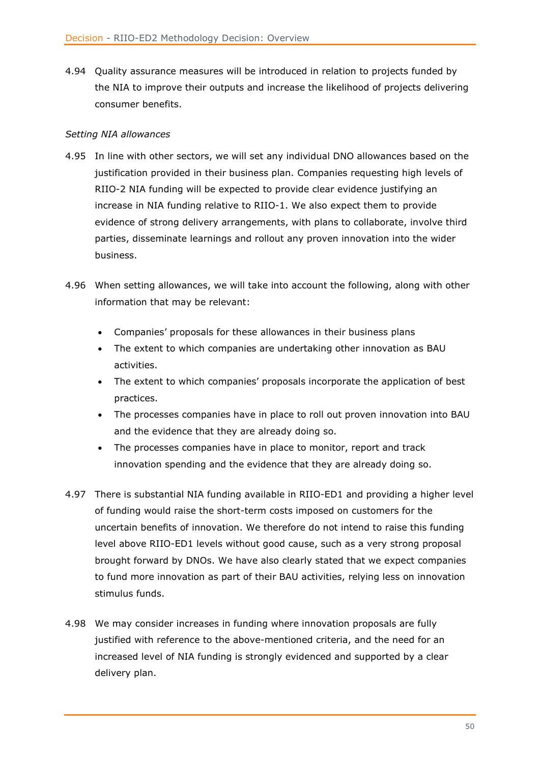4.94 Quality assurance measures will be introduced in relation to projects funded by the NIA to improve their outputs and increase the likelihood of projects delivering consumer benefits.

## *Setting NIA allowances*

- 4.95 In line with other sectors, we will set any individual DNO allowances based on the justification provided in their business plan. Companies requesting high levels of RIIO-2 NIA funding will be expected to provide clear evidence justifying an increase in NIA funding relative to RIIO-1. We also expect them to provide evidence of strong delivery arrangements, with plans to collaborate, involve third parties, disseminate learnings and rollout any proven innovation into the wider business.
- 4.96 When setting allowances, we will take into account the following, along with other information that may be relevant:
	- Companies' proposals for these allowances in their business plans
	- The extent to which companies are undertaking other innovation as BAU activities.
	- The extent to which companies' proposals incorporate the application of best practices.
	- The processes companies have in place to roll out proven innovation into BAU and the evidence that they are already doing so.
	- The processes companies have in place to monitor, report and track innovation spending and the evidence that they are already doing so.
- 4.97 There is substantial NIA funding available in RIIO-ED1 and providing a higher level of funding would raise the short-term costs imposed on customers for the uncertain benefits of innovation. We therefore do not intend to raise this funding level above RIIO-ED1 levels without good cause, such as a very strong proposal brought forward by DNOs. We have also clearly stated that we expect companies to fund more innovation as part of their BAU activities, relying less on innovation stimulus funds.
- 4.98 We may consider increases in funding where innovation proposals are fully justified with reference to the above-mentioned criteria, and the need for an increased level of NIA funding is strongly evidenced and supported by a clear delivery plan.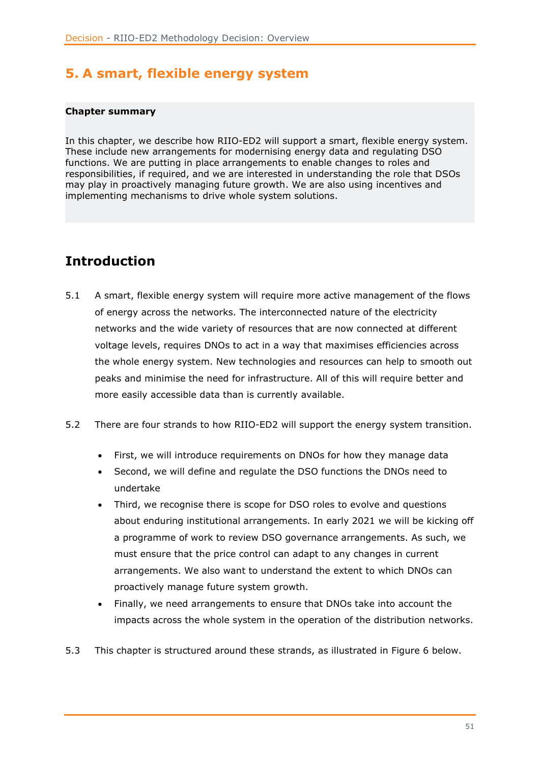# **5. A smart, flexible energy system**

### **Chapter summary**

In this chapter, we describe how RIIO-ED2 will support a smart, flexible energy system. These include new arrangements for modernising energy data and regulating DSO functions. We are putting in place arrangements to enable changes to roles and responsibilities, if required, and we are interested in understanding the role that DSOs may play in proactively managing future growth. We are also using incentives and implementing mechanisms to drive whole system solutions.

# **Introduction**

- 5.1 A smart, flexible energy system will require more active management of the flows of energy across the networks. The interconnected nature of the electricity networks and the wide variety of resources that are now connected at different voltage levels, requires DNOs to act in a way that maximises efficiencies across the whole energy system. New technologies and resources can help to smooth out peaks and minimise the need for infrastructure. All of this will require better and more easily accessible data than is currently available.
- 5.2 There are four strands to how RIIO-ED2 will support the energy system transition.
	- First, we will introduce requirements on DNOs for how they manage data
	- Second, we will define and regulate the DSO functions the DNOs need to undertake
	- Third, we recognise there is scope for DSO roles to evolve and questions about enduring institutional arrangements. In early 2021 we will be kicking off a programme of work to review DSO governance arrangements. As such, we must ensure that the price control can adapt to any changes in current arrangements. We also want to understand the extent to which DNOs can proactively manage future system growth.
	- Finally, we need arrangements to ensure that DNOs take into account the impacts across the whole system in the operation of the distribution networks.
- 5.3 This chapter is structured around these strands, as illustrated in Figure 6 below.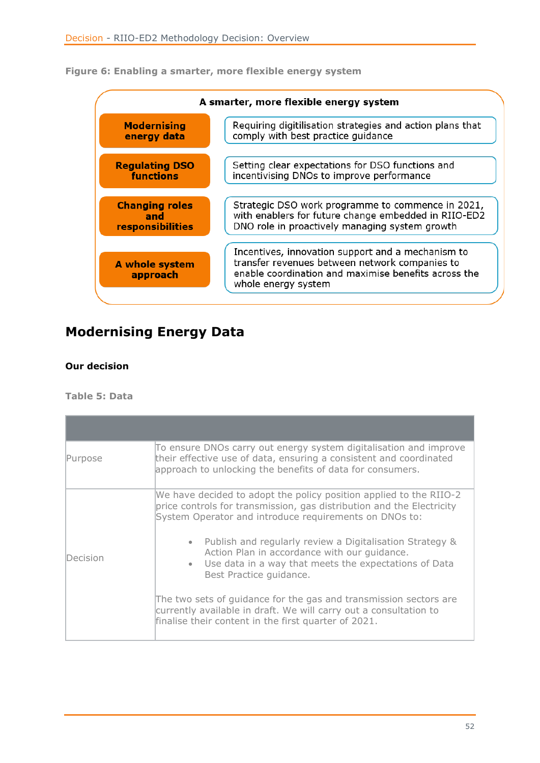

**Figure 6: Enabling a smarter, more flexible energy system**

# **Modernising Energy Data**

## **Our decision**

#### **Table 5: Data**

| Purpose  | To ensure DNOs carry out energy system digitalisation and improve<br>their effective use of data, ensuring a consistent and coordinated<br>approach to unlocking the benefits of data for consumers.                                                                                                                                                                                                  |
|----------|-------------------------------------------------------------------------------------------------------------------------------------------------------------------------------------------------------------------------------------------------------------------------------------------------------------------------------------------------------------------------------------------------------|
| Decision | We have decided to adopt the policy position applied to the RIIO-2<br>price controls for transmission, gas distribution and the Electricity<br>System Operator and introduce requirements on DNOs to:<br>Publish and regularly review a Digitalisation Strategy &<br>Action Plan in accordance with our guidance.<br>Use data in a way that meets the expectations of Data<br>Best Practice guidance. |
|          | The two sets of guidance for the gas and transmission sectors are<br>currently available in draft. We will carry out a consultation to<br>finalise their content in the first quarter of 2021.                                                                                                                                                                                                        |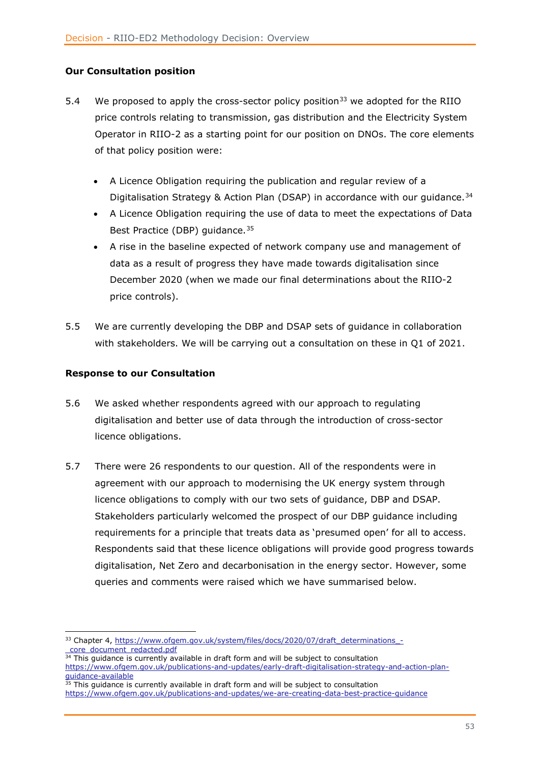# **Our Consultation position**

- 5.4 We proposed to apply the cross-sector policy position<sup>[33](#page-52-0)</sup> we adopted for the RIIO price controls relating to transmission, gas distribution and the Electricity System Operator in RIIO-2 as a starting point for our position on DNOs. The core elements of that policy position were:
	- A Licence Obligation requiring the publication and regular review of a Digitalisation Strategy & Action Plan (DSAP) in accordance with our guidance.<sup>[34](#page-52-1)</sup>
	- A Licence Obligation requiring the use of data to meet the expectations of Data Best Practice (DBP) quidance. [35](#page-52-2)
	- A rise in the baseline expected of network company use and management of data as a result of progress they have made towards digitalisation since December 2020 (when we made our final determinations about the RIIO-2 price controls).
- 5.5 We are currently developing the DBP and DSAP sets of guidance in collaboration with stakeholders. We will be carrying out a consultation on these in Q1 of 2021.

### **Response to our Consultation**

- 5.6 We asked whether respondents agreed with our approach to regulating digitalisation and better use of data through the introduction of cross-sector licence obligations.
- 5.7 There were 26 respondents to our question. All of the respondents were in agreement with our approach to modernising the UK energy system through licence obligations to comply with our two sets of guidance, DBP and DSAP. Stakeholders particularly welcomed the prospect of our DBP guidance including requirements for a principle that treats data as 'presumed open' for all to access. Respondents said that these licence obligations will provide good progress towards digitalisation, Net Zero and decarbonisation in the energy sector. However, some queries and comments were raised which we have summarised below.

<span id="page-52-1"></span><sup>34</sup> This guidance is currently available in draft form and will be subject to consultation [https://www.ofgem.gov.uk/publications-and-updates/early-draft-digitalisation-strategy-and-action-plan](https://www.ofgem.gov.uk/publications-and-updates/early-draft-digitalisation-strategy-and-action-plan-guidance-available)[guidance-available](https://www.ofgem.gov.uk/publications-and-updates/early-draft-digitalisation-strategy-and-action-plan-guidance-available)

<span id="page-52-0"></span><sup>33</sup> Chapter 4[, https://www.ofgem.gov.uk/system/files/docs/2020/07/draft\\_determinations\\_](https://www.ofgem.gov.uk/system/files/docs/2020/07/draft_determinations_-_core_document_redacted.pdf) core\_document\_redacted.pdf

<span id="page-52-2"></span> $35$  This guidance is currently available in draft form and will be subject to consultation <https://www.ofgem.gov.uk/publications-and-updates/we-are-creating-data-best-practice-guidance>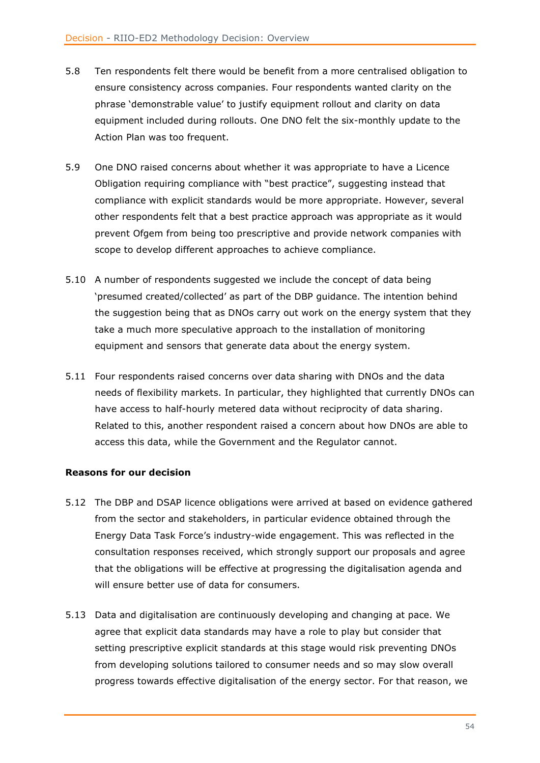- 5.8 Ten respondents felt there would be benefit from a more centralised obligation to ensure consistency across companies. Four respondents wanted clarity on the phrase 'demonstrable value' to justify equipment rollout and clarity on data equipment included during rollouts. One DNO felt the six-monthly update to the Action Plan was too frequent.
- 5.9 One DNO raised concerns about whether it was appropriate to have a Licence Obligation requiring compliance with "best practice", suggesting instead that compliance with explicit standards would be more appropriate. However, several other respondents felt that a best practice approach was appropriate as it would prevent Ofgem from being too prescriptive and provide network companies with scope to develop different approaches to achieve compliance.
- 5.10 A number of respondents suggested we include the concept of data being 'presumed created/collected' as part of the DBP guidance. The intention behind the suggestion being that as DNOs carry out work on the energy system that they take a much more speculative approach to the installation of monitoring equipment and sensors that generate data about the energy system.
- 5.11 Four respondents raised concerns over data sharing with DNOs and the data needs of flexibility markets. In particular, they highlighted that currently DNOs can have access to half-hourly metered data without reciprocity of data sharing. Related to this, another respondent raised a concern about how DNOs are able to access this data, while the Government and the Regulator cannot.

# **Reasons for our decision**

- 5.12 The DBP and DSAP licence obligations were arrived at based on evidence gathered from the sector and stakeholders, in particular evidence obtained through the Energy Data Task Force's industry-wide engagement. This was reflected in the consultation responses received, which strongly support our proposals and agree that the obligations will be effective at progressing the digitalisation agenda and will ensure better use of data for consumers.
- 5.13 Data and digitalisation are continuously developing and changing at pace. We agree that explicit data standards may have a role to play but consider that setting prescriptive explicit standards at this stage would risk preventing DNOs from developing solutions tailored to consumer needs and so may slow overall progress towards effective digitalisation of the energy sector. For that reason, we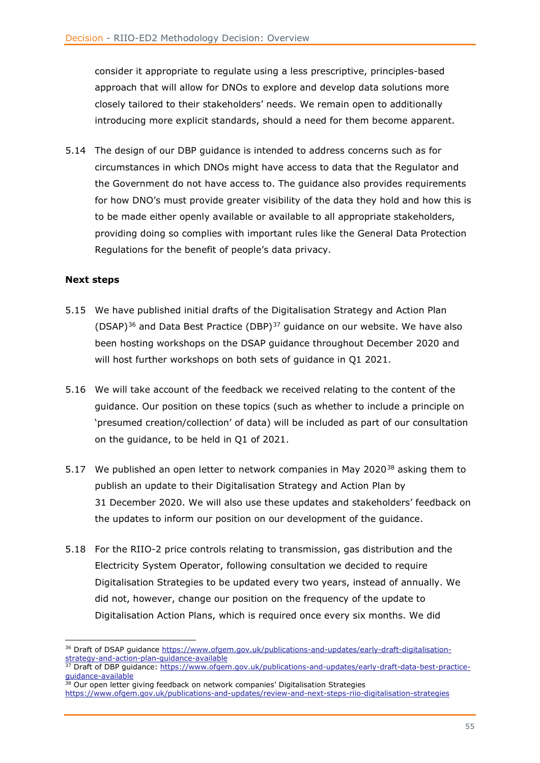consider it appropriate to regulate using a less prescriptive, principles-based approach that will allow for DNOs to explore and develop data solutions more closely tailored to their stakeholders' needs. We remain open to additionally introducing more explicit standards, should a need for them become apparent.

5.14 The design of our DBP guidance is intended to address concerns such as for circumstances in which DNOs might have access to data that the Regulator and the Government do not have access to. The guidance also provides requirements for how DNO's must provide greater visibility of the data they hold and how this is to be made either openly available or available to all appropriate stakeholders, providing doing so complies with important rules like the General Data Protection Regulations for the benefit of people's data privacy.

## **Next steps**

- 5.15 We have published initial drafts of the Digitalisation Strategy and Action Plan (DSAP)<sup>[36](#page-54-0)</sup> and Data Best Practice (DBP)<sup>[37](#page-54-1)</sup> guidance on our website. We have also been hosting workshops on the DSAP guidance throughout December 2020 and will host further workshops on both sets of guidance in Q1 2021.
- 5.16 We will take account of the feedback we received relating to the content of the guidance. Our position on these topics (such as whether to include a principle on 'presumed creation/collection' of data) will be included as part of our consultation on the guidance, to be held in Q1 of 2021.
- 5.17 We published an open letter to network companies in May 2020<sup>[38](#page-54-2)</sup> asking them to publish an update to their Digitalisation Strategy and Action Plan by 31 December 2020. We will also use these updates and stakeholders' feedback on the updates to inform our position on our development of the guidance.
- 5.18 For the RIIO-2 price controls relating to transmission, gas distribution and the Electricity System Operator, following consultation we decided to require Digitalisation Strategies to be updated every two years, instead of annually. We did not, however, change our position on the frequency of the update to Digitalisation Action Plans, which is required once every six months. We did

<span id="page-54-0"></span><sup>&</sup>lt;sup>36</sup> Draft of DSAP guidance [https://www.ofgem.gov.uk/publications-and-updates/early-draft-digitalisation](https://www.ofgem.gov.uk/publications-and-updates/early-draft-digitalisation-strategy-and-action-plan-guidance-available)[strategy-and-action-plan-guidance-available](https://www.ofgem.gov.uk/publications-and-updates/early-draft-digitalisation-strategy-and-action-plan-guidance-available)

<span id="page-54-1"></span><sup>&</sup>lt;sup>37</sup> Draft of DBP guidance[: https://www.ofgem.gov.uk/publications-and-updates/early-draft-data-best-practice](https://www.ofgem.gov.uk/publications-and-updates/early-draft-data-best-practice-guidance-available)[guidance-available](https://www.ofgem.gov.uk/publications-and-updates/early-draft-data-best-practice-guidance-available) <sup>38</sup> Our open letter giving feedback on network companies' Digitalisation Strategies

<span id="page-54-2"></span>

<https://www.ofgem.gov.uk/publications-and-updates/review-and-next-steps-riio-digitalisation-strategies>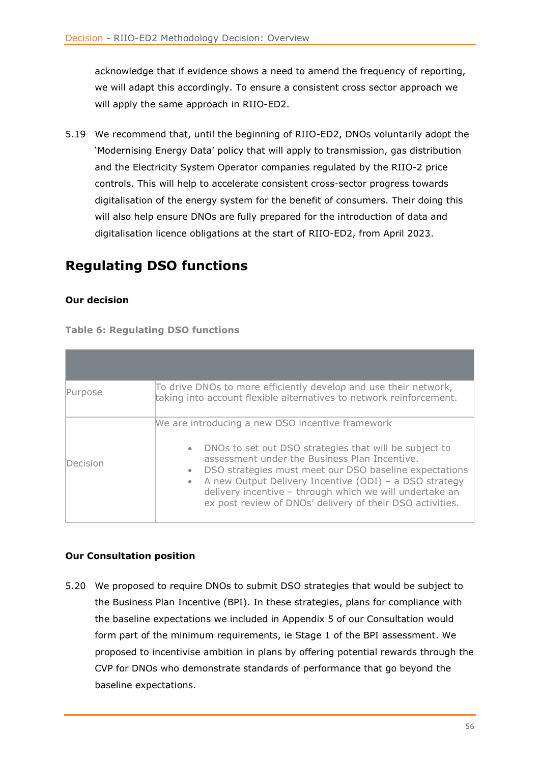acknowledge that if evidence shows a need to amend the frequency of reporting, we will adapt this accordingly. To ensure a consistent cross sector approach we will apply the same approach in RIIO-ED2.

5.19 We recommend that, until the beginning of RIIO-ED2, DNOs voluntarily adopt the 'Modernising Energy Data' policy that will apply to transmission, gas distribution and the Electricity System Operator companies regulated by the RIIO-2 price controls. This will help to accelerate consistent cross-sector progress towards digitalisation of the energy system for the benefit of consumers. Their doing this will also help ensure DNOs are fully prepared for the introduction of data and digitalisation licence obligations at the start of RIIO-ED2, from April 2023.

# **Regulating DSO functions**

# **Our decision**

### **Table 6: Regulating DSO functions**

| Purpose  | To drive DNOs to more efficiently develop and use their network,<br>taking into account flexible alternatives to network reinforcement.                                                                                                                                                                                                                                                                                                        |
|----------|------------------------------------------------------------------------------------------------------------------------------------------------------------------------------------------------------------------------------------------------------------------------------------------------------------------------------------------------------------------------------------------------------------------------------------------------|
| Decision | We are introducing a new DSO incentive framework<br>DNOs to set out DSO strategies that will be subject to<br>$\bullet$<br>assessment under the Business Plan Incentive.<br>DSO strategies must meet our DSO baseline expectations<br>$\bullet$<br>A new Output Delivery Incentive (ODI) – a DSO strategy<br>$\bullet$<br>delivery incentive - through which we will undertake an<br>ex post review of DNOs' delivery of their DSO activities. |

### **Our Consultation position**

5.20 We proposed to require DNOs to submit DSO strategies that would be subject to the Business Plan Incentive (BPI). In these strategies, plans for compliance with the baseline expectations we included in Appendix 5 of our Consultation would form part of the minimum requirements, ie Stage 1 of the BPI assessment. We proposed to incentivise ambition in plans by offering potential rewards through the CVP for DNOs who demonstrate standards of performance that go beyond the baseline expectations.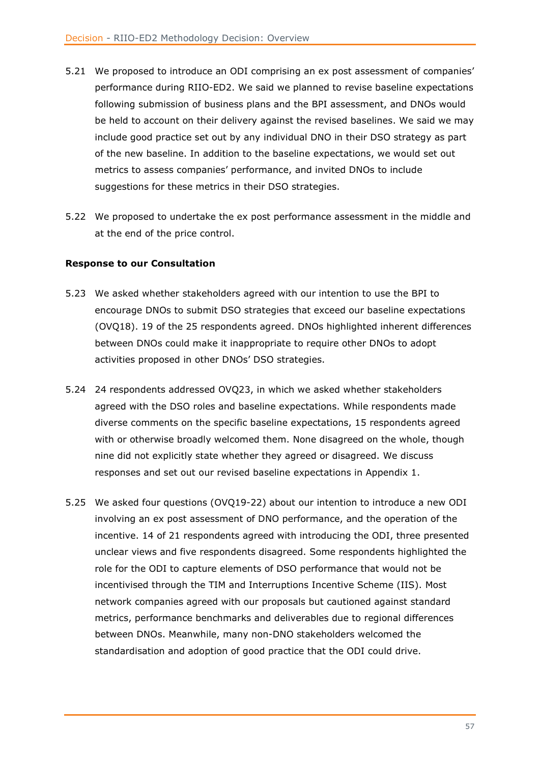- 5.21 We proposed to introduce an ODI comprising an ex post assessment of companies' performance during RIIO-ED2. We said we planned to revise baseline expectations following submission of business plans and the BPI assessment, and DNOs would be held to account on their delivery against the revised baselines. We said we may include good practice set out by any individual DNO in their DSO strategy as part of the new baseline. In addition to the baseline expectations, we would set out metrics to assess companies' performance, and invited DNOs to include suggestions for these metrics in their DSO strategies.
- 5.22 We proposed to undertake the ex post performance assessment in the middle and at the end of the price control.

#### **Response to our Consultation**

- 5.23 We asked whether stakeholders agreed with our intention to use the BPI to encourage DNOs to submit DSO strategies that exceed our baseline expectations (OVQ18). 19 of the 25 respondents agreed. DNOs highlighted inherent differences between DNOs could make it inappropriate to require other DNOs to adopt activities proposed in other DNOs' DSO strategies.
- 5.24 24 respondents addressed OVQ23, in which we asked whether stakeholders agreed with the DSO roles and baseline expectations. While respondents made diverse comments on the specific baseline expectations, 15 respondents agreed with or otherwise broadly welcomed them. None disagreed on the whole, though nine did not explicitly state whether they agreed or disagreed. We discuss responses and set out our revised baseline expectations in [Appendix 1.](#page-76-0)
- 5.25 We asked four questions (OVQ19-22) about our intention to introduce a new ODI involving an ex post assessment of DNO performance, and the operation of the incentive. 14 of 21 respondents agreed with introducing the ODI, three presented unclear views and five respondents disagreed. Some respondents highlighted the role for the ODI to capture elements of DSO performance that would not be incentivised through the TIM and Interruptions Incentive Scheme (IIS). Most network companies agreed with our proposals but cautioned against standard metrics, performance benchmarks and deliverables due to regional differences between DNOs. Meanwhile, many non-DNO stakeholders welcomed the standardisation and adoption of good practice that the ODI could drive.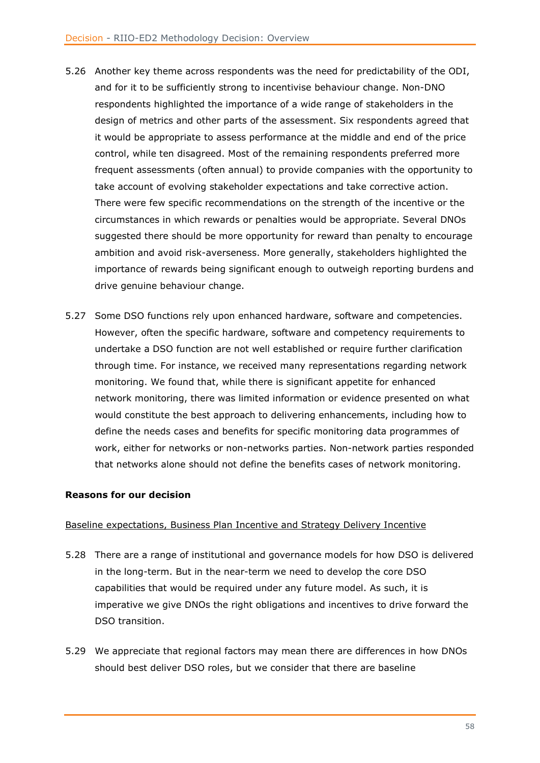- 5.26 Another key theme across respondents was the need for predictability of the ODI, and for it to be sufficiently strong to incentivise behaviour change. Non-DNO respondents highlighted the importance of a wide range of stakeholders in the design of metrics and other parts of the assessment. Six respondents agreed that it would be appropriate to assess performance at the middle and end of the price control, while ten disagreed. Most of the remaining respondents preferred more frequent assessments (often annual) to provide companies with the opportunity to take account of evolving stakeholder expectations and take corrective action. There were few specific recommendations on the strength of the incentive or the circumstances in which rewards or penalties would be appropriate. Several DNOs suggested there should be more opportunity for reward than penalty to encourage ambition and avoid risk-averseness. More generally, stakeholders highlighted the importance of rewards being significant enough to outweigh reporting burdens and drive genuine behaviour change.
- 5.27 Some DSO functions rely upon enhanced hardware, software and competencies. However, often the specific hardware, software and competency requirements to undertake a DSO function are not well established or require further clarification through time. For instance, we received many representations regarding network monitoring. We found that, while there is significant appetite for enhanced network monitoring, there was limited information or evidence presented on what would constitute the best approach to delivering enhancements, including how to define the needs cases and benefits for specific monitoring data programmes of work, either for networks or non-networks parties. Non-network parties responded that networks alone should not define the benefits cases of network monitoring.

#### **Reasons for our decision**

#### Baseline expectations, Business Plan Incentive and Strategy Delivery Incentive

- 5.28 There are a range of institutional and governance models for how DSO is delivered in the long-term. But in the near-term we need to develop the core DSO capabilities that would be required under any future model. As such, it is imperative we give DNOs the right obligations and incentives to drive forward the DSO transition.
- 5.29 We appreciate that regional factors may mean there are differences in how DNOs should best deliver DSO roles, but we consider that there are baseline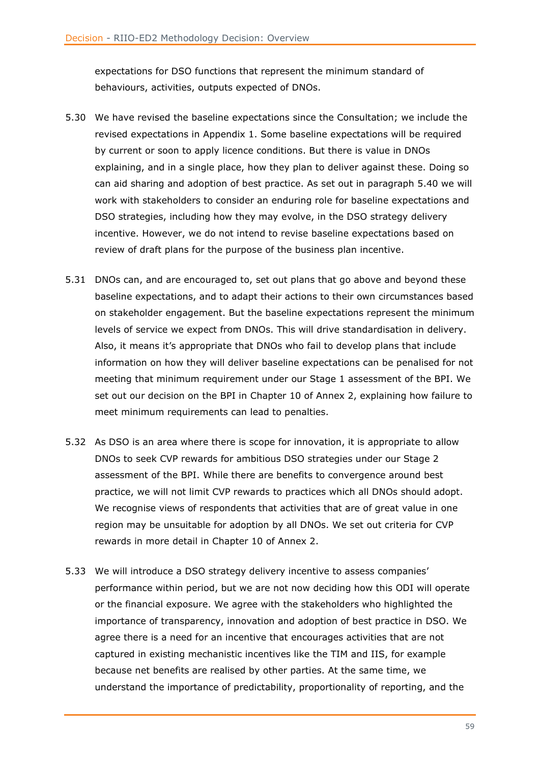expectations for DSO functions that represent the minimum standard of behaviours, activities, outputs expected of DNOs.

- 5.30 We have revised the baseline expectations since the Consultation; we include the revised expectations in [Appendix 1.](#page-76-0) Some baseline expectations will be required by current or soon to apply licence conditions. But there is value in DNOs explaining, and in a single place, how they plan to deliver against these. Doing so can aid sharing and adoption of best practice. As set out in paragraph [5.40](#page-60-0) we will work with stakeholders to consider an enduring role for baseline expectations and DSO strategies, including how they may evolve, in the DSO strategy delivery incentive. However, we do not intend to revise baseline expectations based on review of draft plans for the purpose of the business plan incentive.
- 5.31 DNOs can, and are encouraged to, set out plans that go above and beyond these baseline expectations, and to adapt their actions to their own circumstances based on stakeholder engagement. But the baseline expectations represent the minimum levels of service we expect from DNOs. This will drive standardisation in delivery. Also, it means it's appropriate that DNOs who fail to develop plans that include information on how they will deliver baseline expectations can be penalised for not meeting that minimum requirement under our Stage 1 assessment of the BPI. We set out our decision on the BPI in Chapter 10 of Annex 2, explaining how failure to meet minimum requirements can lead to penalties.
- 5.32 As DSO is an area where there is scope for innovation, it is appropriate to allow DNOs to seek CVP rewards for ambitious DSO strategies under our Stage 2 assessment of the BPI. While there are benefits to convergence around best practice, we will not limit CVP rewards to practices which all DNOs should adopt. We recognise views of respondents that activities that are of great value in one region may be unsuitable for adoption by all DNOs. We set out criteria for CVP rewards in more detail in Chapter 10 of Annex 2.
- 5.33 We will introduce a DSO strategy delivery incentive to assess companies' performance within period, but we are not now deciding how this ODI will operate or the financial exposure. We agree with the stakeholders who highlighted the importance of transparency, innovation and adoption of best practice in DSO. We agree there is a need for an incentive that encourages activities that are not captured in existing mechanistic incentives like the TIM and IIS, for example because net benefits are realised by other parties. At the same time, we understand the importance of predictability, proportionality of reporting, and the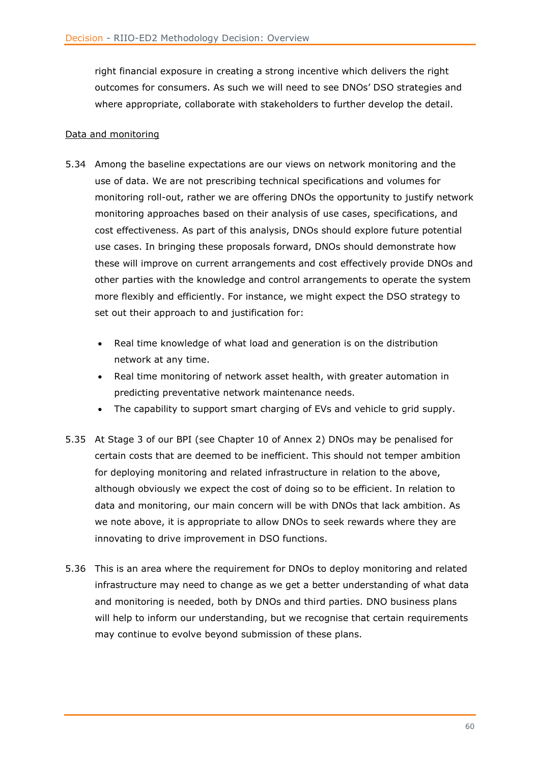right financial exposure in creating a strong incentive which delivers the right outcomes for consumers. As such we will need to see DNOs' DSO strategies and where appropriate, collaborate with stakeholders to further develop the detail.

### Data and monitoring

- 5.34 Among the baseline expectations are our views on network monitoring and the use of data. We are not prescribing technical specifications and volumes for monitoring roll-out, rather we are offering DNOs the opportunity to justify network monitoring approaches based on their analysis of use cases, specifications, and cost effectiveness. As part of this analysis, DNOs should explore future potential use cases. In bringing these proposals forward, DNOs should demonstrate how these will improve on current arrangements and cost effectively provide DNOs and other parties with the knowledge and control arrangements to operate the system more flexibly and efficiently. For instance, we might expect the DSO strategy to set out their approach to and justification for:
	- Real time knowledge of what load and generation is on the distribution network at any time.
	- Real time monitoring of network asset health, with greater automation in predicting preventative network maintenance needs.
	- The capability to support smart charging of EVs and vehicle to grid supply.
- 5.35 At Stage 3 of our BPI (see Chapter 10 of Annex 2) DNOs may be penalised for certain costs that are deemed to be inefficient. This should not temper ambition for deploying monitoring and related infrastructure in relation to the above, although obviously we expect the cost of doing so to be efficient. In relation to data and monitoring, our main concern will be with DNOs that lack ambition. As we note above, it is appropriate to allow DNOs to seek rewards where they are innovating to drive improvement in DSO functions.
- 5.36 This is an area where the requirement for DNOs to deploy monitoring and related infrastructure may need to change as we get a better understanding of what data and monitoring is needed, both by DNOs and third parties. DNO business plans will help to inform our understanding, but we recognise that certain requirements may continue to evolve beyond submission of these plans.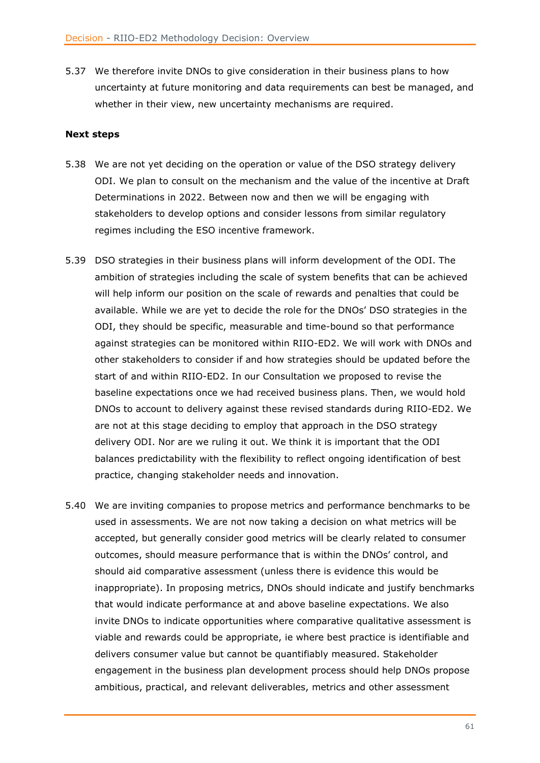5.37 We therefore invite DNOs to give consideration in their business plans to how uncertainty at future monitoring and data requirements can best be managed, and whether in their view, new uncertainty mechanisms are required.

#### **Next steps**

- 5.38 We are not yet deciding on the operation or value of the DSO strategy delivery ODI. We plan to consult on the mechanism and the value of the incentive at Draft Determinations in 2022. Between now and then we will be engaging with stakeholders to develop options and consider lessons from similar regulatory regimes including the ESO incentive framework.
- <span id="page-60-0"></span>5.39 DSO strategies in their business plans will inform development of the ODI. The ambition of strategies including the scale of system benefits that can be achieved will help inform our position on the scale of rewards and penalties that could be available. While we are yet to decide the role for the DNOs' DSO strategies in the ODI, they should be specific, measurable and time-bound so that performance against strategies can be monitored within RIIO-ED2. We will work with DNOs and other stakeholders to consider if and how strategies should be updated before the start of and within RIIO-ED2. In our Consultation we proposed to revise the baseline expectations once we had received business plans. Then, we would hold DNOs to account to delivery against these revised standards during RIIO-ED2. We are not at this stage deciding to employ that approach in the DSO strategy delivery ODI. Nor are we ruling it out. We think it is important that the ODI balances predictability with the flexibility to reflect ongoing identification of best practice, changing stakeholder needs and innovation.
- 5.40 We are inviting companies to propose metrics and performance benchmarks to be used in assessments. We are not now taking a decision on what metrics will be accepted, but generally consider good metrics will be clearly related to consumer outcomes, should measure performance that is within the DNOs' control, and should aid comparative assessment (unless there is evidence this would be inappropriate). In proposing metrics, DNOs should indicate and justify benchmarks that would indicate performance at and above baseline expectations. We also invite DNOs to indicate opportunities where comparative qualitative assessment is viable and rewards could be appropriate, ie where best practice is identifiable and delivers consumer value but cannot be quantifiably measured. Stakeholder engagement in the business plan development process should help DNOs propose ambitious, practical, and relevant deliverables, metrics and other assessment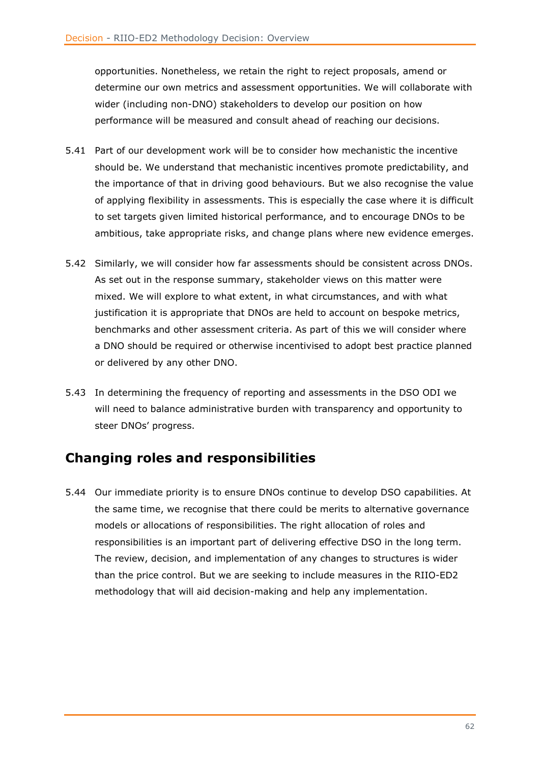opportunities. Nonetheless, we retain the right to reject proposals, amend or determine our own metrics and assessment opportunities. We will collaborate with wider (including non-DNO) stakeholders to develop our position on how performance will be measured and consult ahead of reaching our decisions.

- 5.41 Part of our development work will be to consider how mechanistic the incentive should be. We understand that mechanistic incentives promote predictability, and the importance of that in driving good behaviours. But we also recognise the value of applying flexibility in assessments. This is especially the case where it is difficult to set targets given limited historical performance, and to encourage DNOs to be ambitious, take appropriate risks, and change plans where new evidence emerges.
- 5.42 Similarly, we will consider how far assessments should be consistent across DNOs. As set out in the response summary, stakeholder views on this matter were mixed. We will explore to what extent, in what circumstances, and with what justification it is appropriate that DNOs are held to account on bespoke metrics, benchmarks and other assessment criteria. As part of this we will consider where a DNO should be required or otherwise incentivised to adopt best practice planned or delivered by any other DNO.
- 5.43 In determining the frequency of reporting and assessments in the DSO ODI we will need to balance administrative burden with transparency and opportunity to steer DNOs' progress.

# **Changing roles and responsibilities**

5.44 Our immediate priority is to ensure DNOs continue to develop DSO capabilities. At the same time, we recognise that there could be merits to alternative governance models or allocations of responsibilities. The right allocation of roles and responsibilities is an important part of delivering effective DSO in the long term. The review, decision, and implementation of any changes to structures is wider than the price control. But we are seeking to include measures in the RIIO-ED2 methodology that will aid decision-making and help any implementation.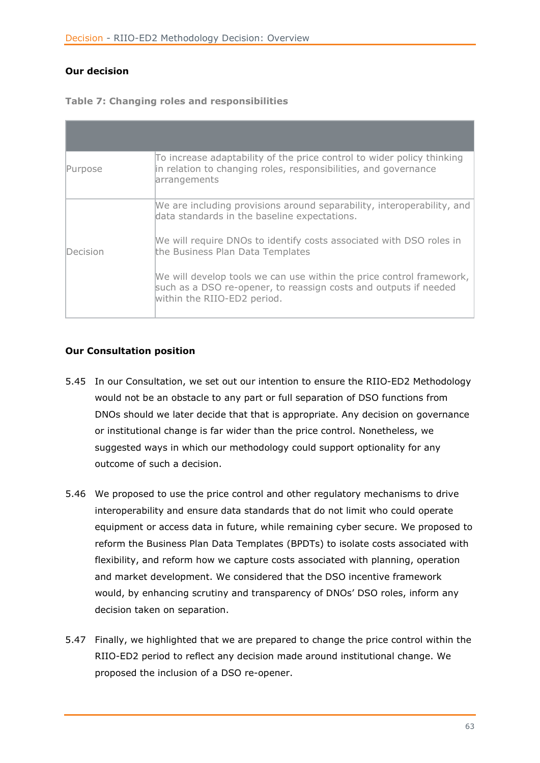# **Our decision**

| Purpose  | To increase adaptability of the price control to wider policy thinking<br>in relation to changing roles, responsibilities, and governance<br>arrangements               |
|----------|-------------------------------------------------------------------------------------------------------------------------------------------------------------------------|
| Decision | We are including provisions around separability, interoperability, and<br>data standards in the baseline expectations.                                                  |
|          | We will require DNOs to identify costs associated with DSO roles in<br>the Business Plan Data Templates                                                                 |
|          | We will develop tools we can use within the price control framework,<br>such as a DSO re-opener, to reassign costs and outputs if needed<br>within the RIIO-ED2 period. |

**Table 7: Changing roles and responsibilities**

## **Our Consultation position**

- 5.45 In our Consultation, we set out our intention to ensure the RIIO-ED2 Methodology would not be an obstacle to any part or full separation of DSO functions from DNOs should we later decide that that is appropriate. Any decision on governance or institutional change is far wider than the price control. Nonetheless, we suggested ways in which our methodology could support optionality for any outcome of such a decision.
- 5.46 We proposed to use the price control and other regulatory mechanisms to drive interoperability and ensure data standards that do not limit who could operate equipment or access data in future, while remaining cyber secure. We proposed to reform the Business Plan Data Templates (BPDTs) to isolate costs associated with flexibility, and reform how we capture costs associated with planning, operation and market development. We considered that the DSO incentive framework would, by enhancing scrutiny and transparency of DNOs' DSO roles, inform any decision taken on separation.
- 5.47 Finally, we highlighted that we are prepared to change the price control within the RIIO-ED2 period to reflect any decision made around institutional change. We proposed the inclusion of a DSO re-opener.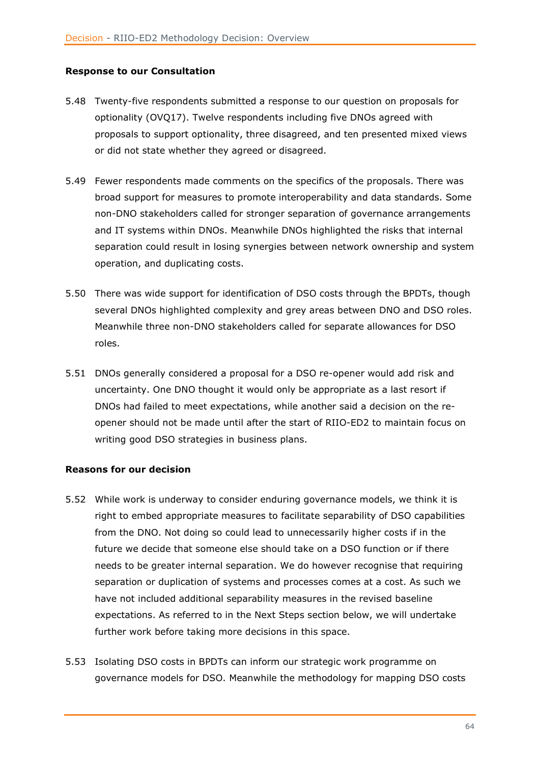#### **Response to our Consultation**

- 5.48 Twenty-five respondents submitted a response to our question on proposals for optionality (OVQ17). Twelve respondents including five DNOs agreed with proposals to support optionality, three disagreed, and ten presented mixed views or did not state whether they agreed or disagreed.
- 5.49 Fewer respondents made comments on the specifics of the proposals. There was broad support for measures to promote interoperability and data standards. Some non-DNO stakeholders called for stronger separation of governance arrangements and IT systems within DNOs. Meanwhile DNOs highlighted the risks that internal separation could result in losing synergies between network ownership and system operation, and duplicating costs.
- 5.50 There was wide support for identification of DSO costs through the BPDTs, though several DNOs highlighted complexity and grey areas between DNO and DSO roles. Meanwhile three non-DNO stakeholders called for separate allowances for DSO roles.
- 5.51 DNOs generally considered a proposal for a DSO re-opener would add risk and uncertainty. One DNO thought it would only be appropriate as a last resort if DNOs had failed to meet expectations, while another said a decision on the reopener should not be made until after the start of RIIO-ED2 to maintain focus on writing good DSO strategies in business plans.

#### **Reasons for our decision**

- 5.52 While work is underway to consider enduring governance models, we think it is right to embed appropriate measures to facilitate separability of DSO capabilities from the DNO. Not doing so could lead to unnecessarily higher costs if in the future we decide that someone else should take on a DSO function or if there needs to be greater internal separation. We do however recognise that requiring separation or duplication of systems and processes comes at a cost. As such we have not included additional separability measures in the revised baseline expectations. As referred to in the Next Steps section below, we will undertake further work before taking more decisions in this space.
- 5.53 Isolating DSO costs in BPDTs can inform our strategic work programme on governance models for DSO. Meanwhile the methodology for mapping DSO costs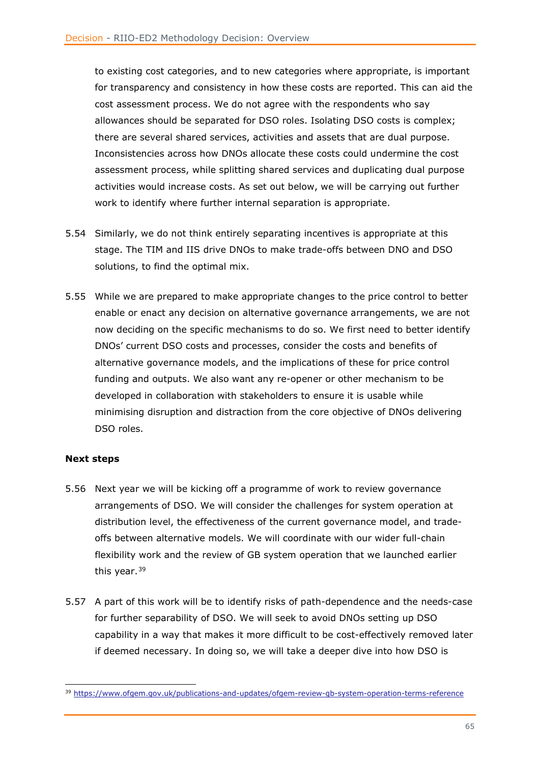to existing cost categories, and to new categories where appropriate, is important for transparency and consistency in how these costs are reported. This can aid the cost assessment process. We do not agree with the respondents who say allowances should be separated for DSO roles. Isolating DSO costs is complex; there are several shared services, activities and assets that are dual purpose. Inconsistencies across how DNOs allocate these costs could undermine the cost assessment process, while splitting shared services and duplicating dual purpose activities would increase costs. As set out below, we will be carrying out further work to identify where further internal separation is appropriate.

- 5.54 Similarly, we do not think entirely separating incentives is appropriate at this stage. The TIM and IIS drive DNOs to make trade-offs between DNO and DSO solutions, to find the optimal mix.
- 5.55 While we are prepared to make appropriate changes to the price control to better enable or enact any decision on alternative governance arrangements, we are not now deciding on the specific mechanisms to do so. We first need to better identify DNOs' current DSO costs and processes, consider the costs and benefits of alternative governance models, and the implications of these for price control funding and outputs. We also want any re-opener or other mechanism to be developed in collaboration with stakeholders to ensure it is usable while minimising disruption and distraction from the core objective of DNOs delivering DSO roles.

#### **Next steps**

- 5.56 Next year we will be kicking off a programme of work to review governance arrangements of DSO. We will consider the challenges for system operation at distribution level, the effectiveness of the current governance model, and tradeoffs between alternative models. We will coordinate with our wider full-chain flexibility work and the review of GB system operation that we launched earlier this year.<sup>[39](#page-64-0)</sup>
- 5.57 A part of this work will be to identify risks of path-dependence and the needs-case for further separability of DSO. We will seek to avoid DNOs setting up DSO capability in a way that makes it more difficult to be cost-effectively removed later if deemed necessary. In doing so, we will take a deeper dive into how DSO is

<span id="page-64-0"></span><sup>39</sup> <https://www.ofgem.gov.uk/publications-and-updates/ofgem-review-gb-system-operation-terms-reference>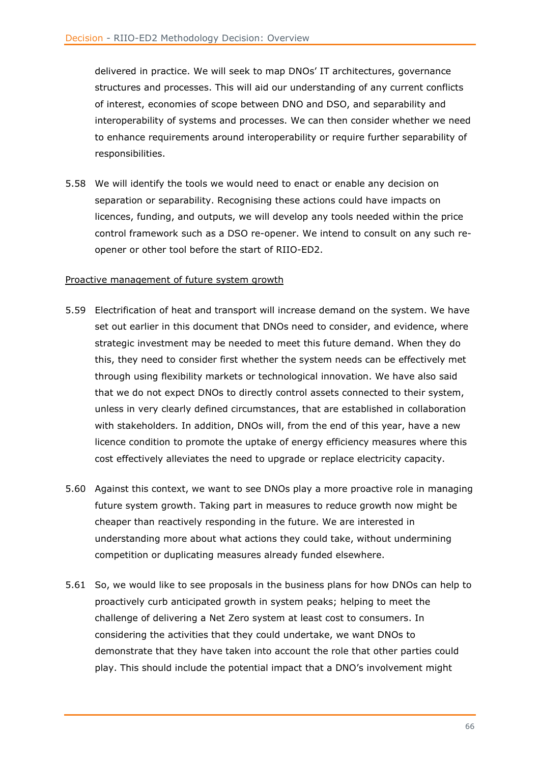delivered in practice. We will seek to map DNOs' IT architectures, governance structures and processes. This will aid our understanding of any current conflicts of interest, economies of scope between DNO and DSO, and separability and interoperability of systems and processes. We can then consider whether we need to enhance requirements around interoperability or require further separability of responsibilities.

5.58 We will identify the tools we would need to enact or enable any decision on separation or separability. Recognising these actions could have impacts on licences, funding, and outputs, we will develop any tools needed within the price control framework such as a DSO re-opener. We intend to consult on any such reopener or other tool before the start of RIIO-ED2.

#### Proactive management of future system growth

- 5.59 Electrification of heat and transport will increase demand on the system. We have set out earlier in this document that DNOs need to consider, and evidence, where strategic investment may be needed to meet this future demand. When they do this, they need to consider first whether the system needs can be effectively met through using flexibility markets or technological innovation. We have also said that we do not expect DNOs to directly control assets connected to their system, unless in very clearly defined circumstances, that are established in collaboration with stakeholders. In addition, DNOs will, from the end of this year, have a new licence condition to promote the uptake of energy efficiency measures where this cost effectively alleviates the need to upgrade or replace electricity capacity.
- 5.60 Against this context, we want to see DNOs play a more proactive role in managing future system growth. Taking part in measures to reduce growth now might be cheaper than reactively responding in the future. We are interested in understanding more about what actions they could take, without undermining competition or duplicating measures already funded elsewhere.
- 5.61 So, we would like to see proposals in the business plans for how DNOs can help to proactively curb anticipated growth in system peaks; helping to meet the challenge of delivering a Net Zero system at least cost to consumers. In considering the activities that they could undertake, we want DNOs to demonstrate that they have taken into account the role that other parties could play. This should include the potential impact that a DNO's involvement might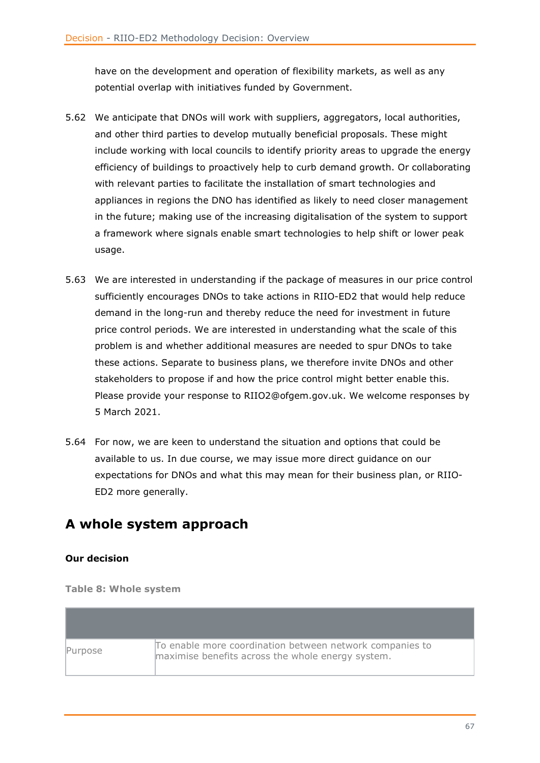have on the development and operation of flexibility markets, as well as any potential overlap with initiatives funded by Government.

- 5.62 We anticipate that DNOs will work with suppliers, aggregators, local authorities, and other third parties to develop mutually beneficial proposals. These might include working with local councils to identify priority areas to upgrade the energy efficiency of buildings to proactively help to curb demand growth. Or collaborating with relevant parties to facilitate the installation of smart technologies and appliances in regions the DNO has identified as likely to need closer management in the future; making use of the increasing digitalisation of the system to support a framework where signals enable smart technologies to help shift or lower peak usage.
- 5.63 We are interested in understanding if the package of measures in our price control sufficiently encourages DNOs to take actions in RIIO-ED2 that would help reduce demand in the long-run and thereby reduce the need for investment in future price control periods. We are interested in understanding what the scale of this problem is and whether additional measures are needed to spur DNOs to take these actions. Separate to business plans, we therefore invite DNOs and other stakeholders to propose if and how the price control might better enable this. Please provide your response to [RIIO2@ofgem.gov.uk.](mailto:RIIO2@ofgem.gov.uk) We welcome responses by 5 March 2021.
- 5.64 For now, we are keen to understand the situation and options that could be available to us. In due course, we may issue more direct guidance on our expectations for DNOs and what this may mean for their business plan, or RIIO-ED2 more generally.

# **A whole system approach**

# **Our decision**

**Table 8: Whole system**

| Purpose | To enable more coordination between network companies to<br>maximise benefits across the whole energy system. |
|---------|---------------------------------------------------------------------------------------------------------------|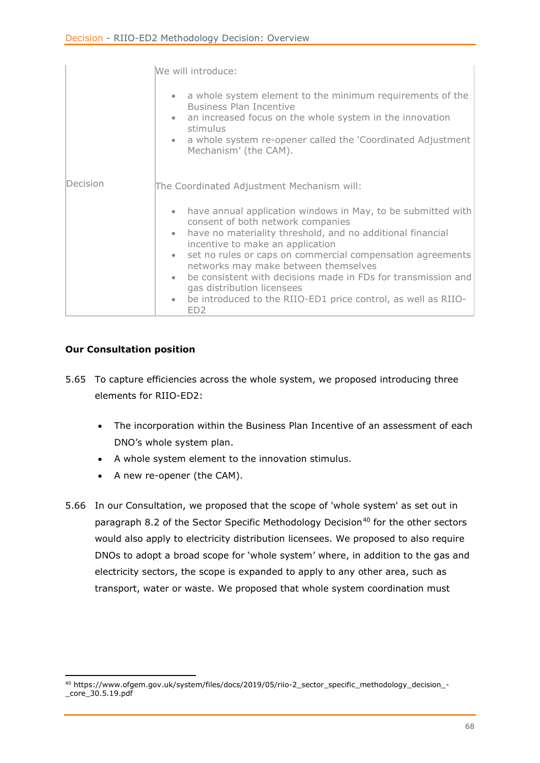|          | We will introduce:<br>a whole system element to the minimum requirements of the<br><b>Business Plan Incentive</b><br>an increased focus on the whole system in the innovation<br>$\bullet$<br>stimulus<br>a whole system re-opener called the 'Coordinated Adjustment<br>$\bullet$<br>Mechanism' (the CAM).                                                                                                                                                                                                                                                                                                 |
|----------|-------------------------------------------------------------------------------------------------------------------------------------------------------------------------------------------------------------------------------------------------------------------------------------------------------------------------------------------------------------------------------------------------------------------------------------------------------------------------------------------------------------------------------------------------------------------------------------------------------------|
| Decision | The Coordinated Adjustment Mechanism will:<br>have annual application windows in May, to be submitted with<br>$\bullet$<br>consent of both network companies<br>have no materiality threshold, and no additional financial<br>$\bullet$<br>incentive to make an application<br>set no rules or caps on commercial compensation agreements<br>$\bullet$<br>networks may make between themselves<br>be consistent with decisions made in FDs for transmission and<br>$\bullet$<br>gas distribution licensees<br>be introduced to the RIIO-ED1 price control, as well as RIIO-<br>$\bullet$<br>ED <sub>2</sub> |

# **Our Consultation position**

- 5.65 To capture efficiencies across the whole system, we proposed introducing three elements for RIIO-ED2:
	- The incorporation within the Business Plan Incentive of an assessment of each DNO's whole system plan.
	- A whole system element to the innovation stimulus.
	- A new re-opener (the CAM).
- 5.66 In our Consultation, we proposed that the scope of 'whole system' as set out in paragraph 8.2 of the Sector Specific Methodology Decision<sup>[40](#page-67-0)</sup> for the other sectors would also apply to electricity distribution licensees. We proposed to also require DNOs to adopt a broad scope for 'whole system' where, in addition to the gas and electricity sectors, the scope is expanded to apply to any other area, such as transport, water or waste. We proposed that whole system coordination must

<span id="page-67-0"></span><sup>40</sup> https://www.ofgem.gov.uk/system/files/docs/2019/05/riio-2\_sector\_specific\_methodology\_decision\_- \_core\_30.5.19.pdf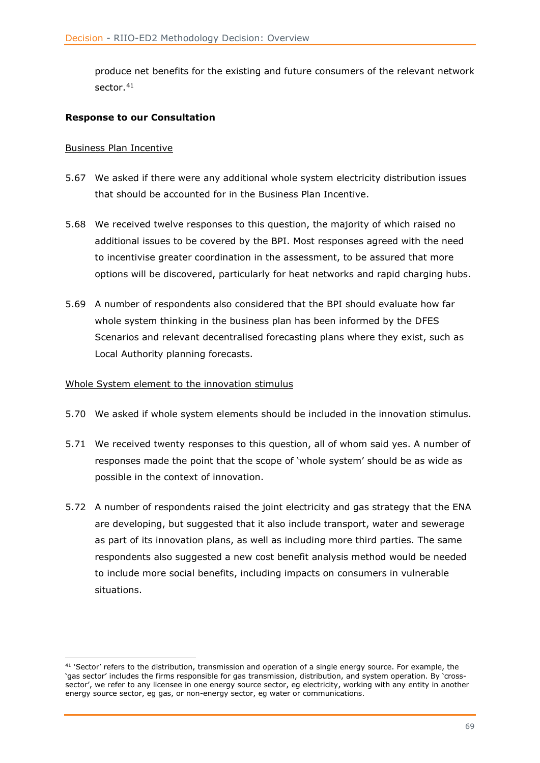produce net benefits for the existing and future consumers of the relevant network sector.<sup>[41](#page-68-0)</sup>

## **Response to our Consultation**

### Business Plan Incentive

- 5.67 We asked if there were any additional whole system electricity distribution issues that should be accounted for in the Business Plan Incentive.
- 5.68 We received twelve responses to this question, the majority of which raised no additional issues to be covered by the BPI. Most responses agreed with the need to incentivise greater coordination in the assessment, to be assured that more options will be discovered, particularly for heat networks and rapid charging hubs.
- 5.69 A number of respondents also considered that the BPI should evaluate how far whole system thinking in the business plan has been informed by the DFES Scenarios and relevant decentralised forecasting plans where they exist, such as Local Authority planning forecasts.

### Whole System element to the innovation stimulus

- 5.70 We asked if whole system elements should be included in the innovation stimulus.
- 5.71 We received twenty responses to this question, all of whom said yes. A number of responses made the point that the scope of 'whole system' should be as wide as possible in the context of innovation.
- 5.72 A number of respondents raised the joint electricity and gas strategy that the ENA are developing, but suggested that it also include transport, water and sewerage as part of its innovation plans, as well as including more third parties. The same respondents also suggested a new cost benefit analysis method would be needed to include more social benefits, including impacts on consumers in vulnerable situations.

<span id="page-68-0"></span><sup>&</sup>lt;sup>41</sup> 'Sector' refers to the distribution, transmission and operation of a single energy source. For example, the 'gas sector' includes the firms responsible for gas transmission, distribution, and system operation. By 'crosssector', we refer to any licensee in one energy source sector, eg electricity, working with any entity in another energy source sector, eg gas, or non-energy sector, eg water or communications.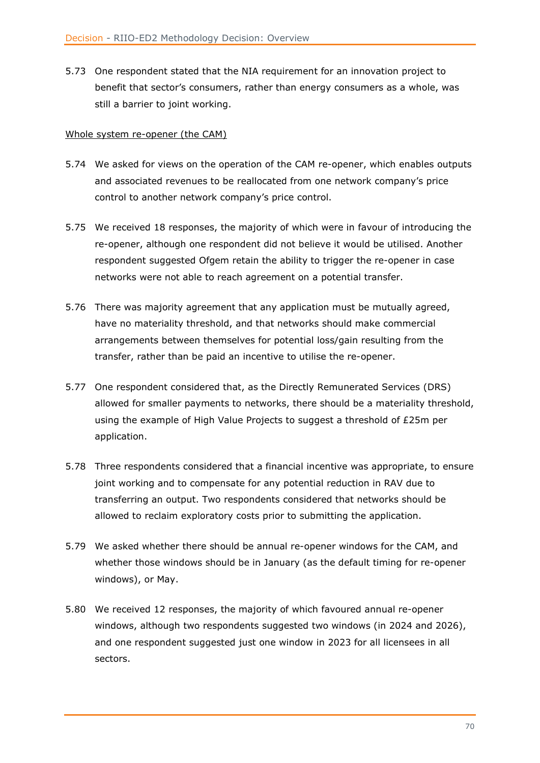5.73 One respondent stated that the NIA requirement for an innovation project to benefit that sector's consumers, rather than energy consumers as a whole, was still a barrier to joint working.

## Whole system re-opener (the CAM)

- 5.74 We asked for views on the operation of the CAM re-opener, which enables outputs and associated revenues to be reallocated from one network company's price control to another network company's price control.
- 5.75 We received 18 responses, the majority of which were in favour of introducing the re-opener, although one respondent did not believe it would be utilised. Another respondent suggested Ofgem retain the ability to trigger the re-opener in case networks were not able to reach agreement on a potential transfer.
- 5.76 There was majority agreement that any application must be mutually agreed, have no materiality threshold, and that networks should make commercial arrangements between themselves for potential loss/gain resulting from the transfer, rather than be paid an incentive to utilise the re-opener.
- 5.77 One respondent considered that, as the Directly Remunerated Services (DRS) allowed for smaller payments to networks, there should be a materiality threshold, using the example of High Value Projects to suggest a threshold of £25m per application.
- 5.78 Three respondents considered that a financial incentive was appropriate, to ensure joint working and to compensate for any potential reduction in RAV due to transferring an output. Two respondents considered that networks should be allowed to reclaim exploratory costs prior to submitting the application.
- 5.79 We asked whether there should be annual re-opener windows for the CAM, and whether those windows should be in January (as the default timing for re-opener windows), or May.
- 5.80 We received 12 responses, the majority of which favoured annual re-opener windows, although two respondents suggested two windows (in 2024 and 2026), and one respondent suggested just one window in 2023 for all licensees in all sectors.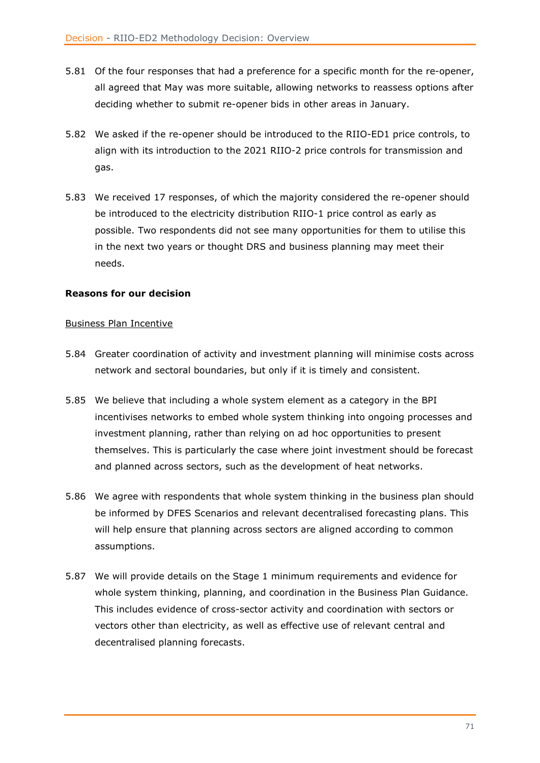- 5.81 Of the four responses that had a preference for a specific month for the re-opener, all agreed that May was more suitable, allowing networks to reassess options after deciding whether to submit re-opener bids in other areas in January.
- 5.82 We asked if the re-opener should be introduced to the RIIO-ED1 price controls, to align with its introduction to the 2021 RIIO-2 price controls for transmission and gas.
- 5.83 We received 17 responses, of which the majority considered the re-opener should be introduced to the electricity distribution RIIO-1 price control as early as possible. Two respondents did not see many opportunities for them to utilise this in the next two years or thought DRS and business planning may meet their needs.

# **Reasons for our decision**

### Business Plan Incentive

- 5.84 Greater coordination of activity and investment planning will minimise costs across network and sectoral boundaries, but only if it is timely and consistent.
- 5.85 We believe that including a whole system element as a category in the BPI incentivises networks to embed whole system thinking into ongoing processes and investment planning, rather than relying on ad hoc opportunities to present themselves. This is particularly the case where joint investment should be forecast and planned across sectors, such as the development of heat networks.
- 5.86 We agree with respondents that whole system thinking in the business plan should be informed by DFES Scenarios and relevant decentralised forecasting plans. This will help ensure that planning across sectors are aligned according to common assumptions.
- 5.87 We will provide details on the Stage 1 minimum requirements and evidence for whole system thinking, planning, and coordination in the Business Plan Guidance. This includes evidence of cross-sector activity and coordination with sectors or vectors other than electricity, as well as effective use of relevant central and decentralised planning forecasts.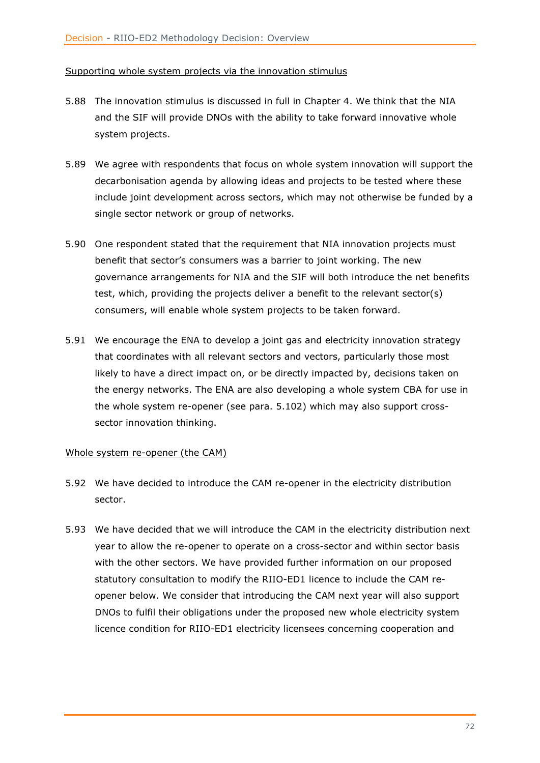## Supporting whole system projects via the innovation stimulus

- 5.88 The innovation stimulus is discussed in full in Chapter 4. We think that the NIA and the SIF will provide DNOs with the ability to take forward innovative whole system projects.
- 5.89 We agree with respondents that focus on whole system innovation will support the decarbonisation agenda by allowing ideas and projects to be tested where these include joint development across sectors, which may not otherwise be funded by a single sector network or group of networks.
- 5.90 One respondent stated that the requirement that NIA innovation projects must benefit that sector's consumers was a barrier to joint working. The new governance arrangements for NIA and the SIF will both introduce the net benefits test, which, providing the projects deliver a benefit to the relevant sector(s) consumers, will enable whole system projects to be taken forward.
- 5.91 We encourage the ENA to develop a joint gas and electricity innovation strategy that coordinates with all relevant sectors and vectors, particularly those most likely to have a direct impact on, or be directly impacted by, decisions taken on the energy networks. The ENA are also developing a whole system CBA for use in the whole system re-opener (see para. 5.102) which may also support crosssector innovation thinking.

### Whole system re-opener (the CAM)

- 5.92 We have decided to introduce the CAM re-opener in the electricity distribution sector.
- 5.93 We have decided that we will introduce the CAM in the electricity distribution next year to allow the re-opener to operate on a cross-sector and within sector basis with the other sectors. We have provided further information on our proposed statutory consultation to modify the RIIO-ED1 licence to include the CAM reopener below. We consider that introducing the CAM next year will also support DNOs to fulfil their obligations under the proposed new whole electricity system licence condition for RIIO-ED1 electricity licensees concerning cooperation and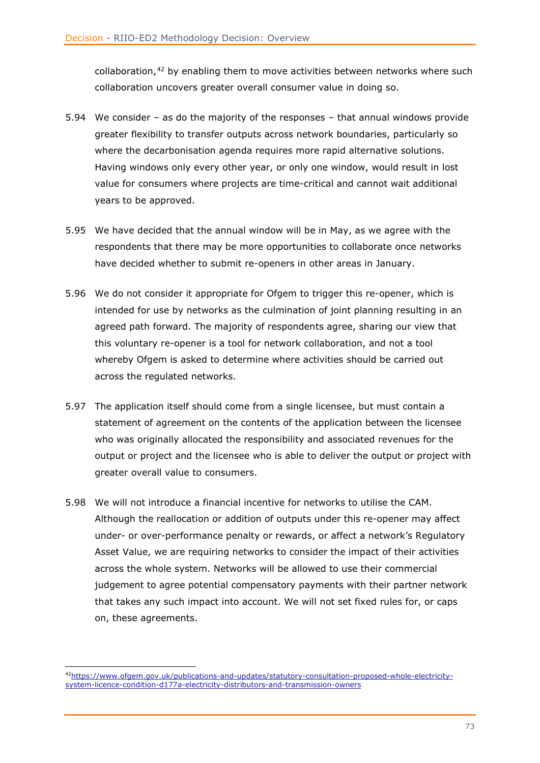collaboration, $42$  by enabling them to move activities between networks where such collaboration uncovers greater overall consumer value in doing so.

- 5.94 We consider as do the majority of the responses that annual windows provide greater flexibility to transfer outputs across network boundaries, particularly so where the decarbonisation agenda requires more rapid alternative solutions. Having windows only every other year, or only one window, would result in lost value for consumers where projects are time-critical and cannot wait additional years to be approved.
- 5.95 We have decided that the annual window will be in May, as we agree with the respondents that there may be more opportunities to collaborate once networks have decided whether to submit re-openers in other areas in January.
- 5.96 We do not consider it appropriate for Ofgem to trigger this re-opener, which is intended for use by networks as the culmination of joint planning resulting in an agreed path forward. The majority of respondents agree, sharing our view that this voluntary re-opener is a tool for network collaboration, and not a tool whereby Ofgem is asked to determine where activities should be carried out across the regulated networks.
- 5.97 The application itself should come from a single licensee, but must contain a statement of agreement on the contents of the application between the licensee who was originally allocated the responsibility and associated revenues for the output or project and the licensee who is able to deliver the output or project with greater overall value to consumers.
- 5.98 We will not introduce a financial incentive for networks to utilise the CAM. Although the reallocation or addition of outputs under this re-opener may affect under- or over-performance penalty or rewards, or affect a network's Regulatory Asset Value, we are requiring networks to consider the impact of their activities across the whole system. Networks will be allowed to use their commercial judgement to agree potential compensatory payments with their partner network that takes any such impact into account. We will not set fixed rules for, or caps on, these agreements.

<span id="page-72-0"></span><sup>4</sup>[2https://www.ofgem.gov.uk/publications-and-updates/statutory-consultation-proposed-whole-electricity](https://www.ofgem.gov.uk/publications-and-updates/statutory-consultation-proposed-whole-electricity-system-licence-condition-d177a-electricity-distributors-and-transmission-owners)[system-licence-condition-d177a-electricity-distributors-and-transmission-owners](https://www.ofgem.gov.uk/publications-and-updates/statutory-consultation-proposed-whole-electricity-system-licence-condition-d177a-electricity-distributors-and-transmission-owners)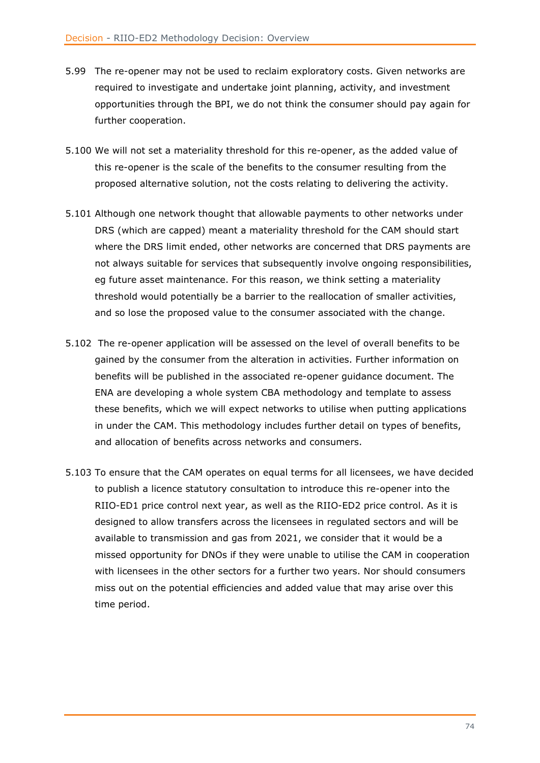- 5.99 The re-opener may not be used to reclaim exploratory costs. Given networks are required to investigate and undertake joint planning, activity, and investment opportunities through the BPI, we do not think the consumer should pay again for further cooperation.
- 5.100 We will not set a materiality threshold for this re-opener, as the added value of this re-opener is the scale of the benefits to the consumer resulting from the proposed alternative solution, not the costs relating to delivering the activity.
- 5.101 Although one network thought that allowable payments to other networks under DRS (which are capped) meant a materiality threshold for the CAM should start where the DRS limit ended, other networks are concerned that DRS payments are not always suitable for services that subsequently involve ongoing responsibilities, eg future asset maintenance. For this reason, we think setting a materiality threshold would potentially be a barrier to the reallocation of smaller activities, and so lose the proposed value to the consumer associated with the change.
- 5.102 The re-opener application will be assessed on the level of overall benefits to be gained by the consumer from the alteration in activities. Further information on benefits will be published in the associated re-opener guidance document. The ENA are developing a whole system CBA methodology and template to assess these benefits, which we will expect networks to utilise when putting applications in under the CAM. This methodology includes further detail on types of benefits, and allocation of benefits across networks and consumers.
- 5.103 To ensure that the CAM operates on equal terms for all licensees, we have decided to publish a licence statutory consultation to introduce this re-opener into the RIIO-ED1 price control next year, as well as the RIIO-ED2 price control. As it is designed to allow transfers across the licensees in regulated sectors and will be available to transmission and gas from 2021, we consider that it would be a missed opportunity for DNOs if they were unable to utilise the CAM in cooperation with licensees in the other sectors for a further two years. Nor should consumers miss out on the potential efficiencies and added value that may arise over this time period.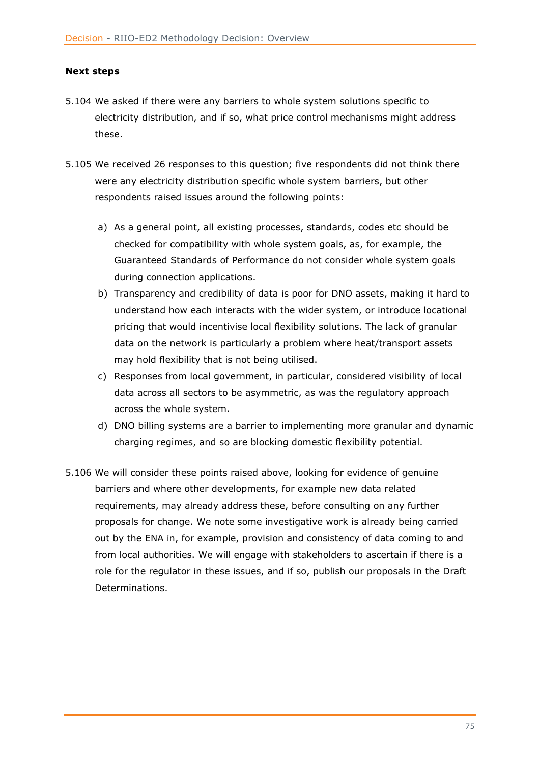# **Next steps**

- 5.104 We asked if there were any barriers to whole system solutions specific to electricity distribution, and if so, what price control mechanisms might address these.
- 5.105 We received 26 responses to this question; five respondents did not think there were any electricity distribution specific whole system barriers, but other respondents raised issues around the following points:
	- a) As a general point, all existing processes, standards, codes etc should be checked for compatibility with whole system goals, as, for example, the Guaranteed Standards of Performance do not consider whole system goals during connection applications.
	- b) Transparency and credibility of data is poor for DNO assets, making it hard to understand how each interacts with the wider system, or introduce locational pricing that would incentivise local flexibility solutions. The lack of granular data on the network is particularly a problem where heat/transport assets may hold flexibility that is not being utilised.
	- c) Responses from local government, in particular, considered visibility of local data across all sectors to be asymmetric, as was the regulatory approach across the whole system.
	- d) DNO billing systems are a barrier to implementing more granular and dynamic charging regimes, and so are blocking domestic flexibility potential.
- 5.106 We will consider these points raised above, looking for evidence of genuine barriers and where other developments, for example new data related requirements, may already address these, before consulting on any further proposals for change. We note some investigative work is already being carried out by the ENA in, for example, provision and consistency of data coming to and from local authorities. We will engage with stakeholders to ascertain if there is a role for the regulator in these issues, and if so, publish our proposals in the Draft Determinations.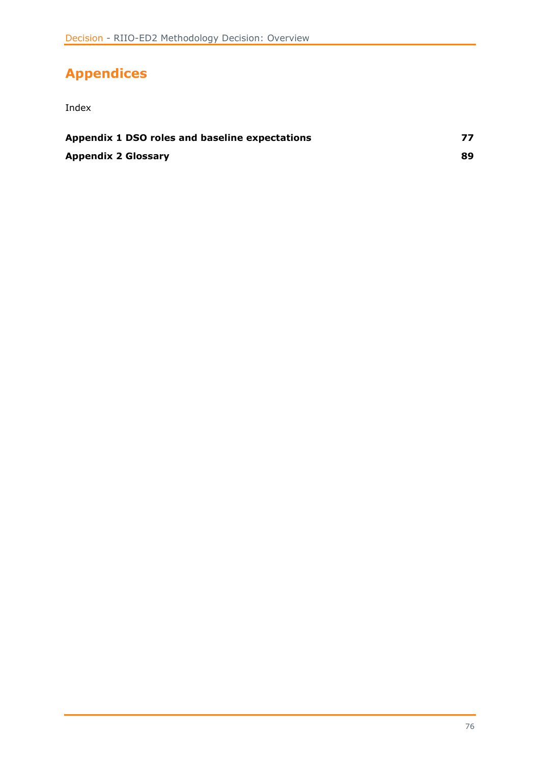# **Appendices**

Index

| Appendix 1 DSO roles and baseline expectations |    |
|------------------------------------------------|----|
| <b>Appendix 2 Glossary</b>                     | 89 |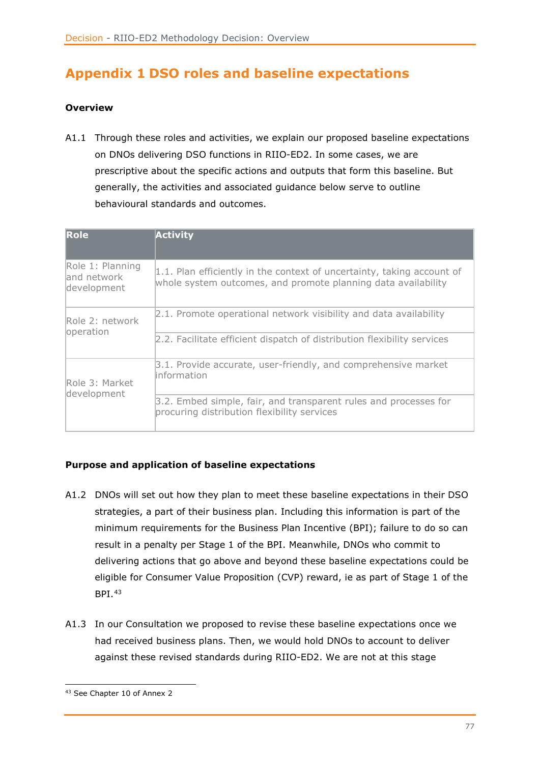# <span id="page-76-0"></span>**Appendix 1 DSO roles and baseline expectations**

# **Overview**

A1.1 Through these roles and activities, we explain our proposed baseline expectations on DNOs delivering DSO functions in RIIO-ED2. In some cases, we are prescriptive about the specific actions and outputs that form this baseline. But generally, the activities and associated guidance below serve to outline behavioural standards and outcomes.

| Role                                            | <b>Activity</b>                                                                                                                                 |
|-------------------------------------------------|-------------------------------------------------------------------------------------------------------------------------------------------------|
| Role 1: Planning<br>land network<br>development | $\vert 1.1.$ Plan efficiently in the context of uncertainty, taking account of<br>whole system outcomes, and promote planning data availability |
| Role 2: network<br>loperation                   | 2.1. Promote operational network visibility and data availability                                                                               |
|                                                 | 2.2. Facilitate efficient dispatch of distribution flexibility services                                                                         |
| Role 3: Market<br>development                   | 3.1. Provide accurate, user-friendly, and comprehensive market<br>linformation                                                                  |
|                                                 | 3.2. Embed simple, fair, and transparent rules and processes for<br>procuring distribution flexibility services                                 |

# **Purpose and application of baseline expectations**

- A1.2 DNOs will set out how they plan to meet these baseline expectations in their DSO strategies, a part of their business plan. Including this information is part of the minimum requirements for the Business Plan Incentive (BPI); failure to do so can result in a penalty per Stage 1 of the BPI. Meanwhile, DNOs who commit to delivering actions that go above and beyond these baseline expectations could be eligible for Consumer Value Proposition (CVP) reward, ie as part of Stage 1 of the BPI.[43](#page-76-1)
- A1.3 In our Consultation we proposed to revise these baseline expectations once we had received business plans. Then, we would hold DNOs to account to deliver against these revised standards during RIIO-ED2. We are not at this stage

<span id="page-76-1"></span><sup>43</sup> See Chapter 10 of Annex 2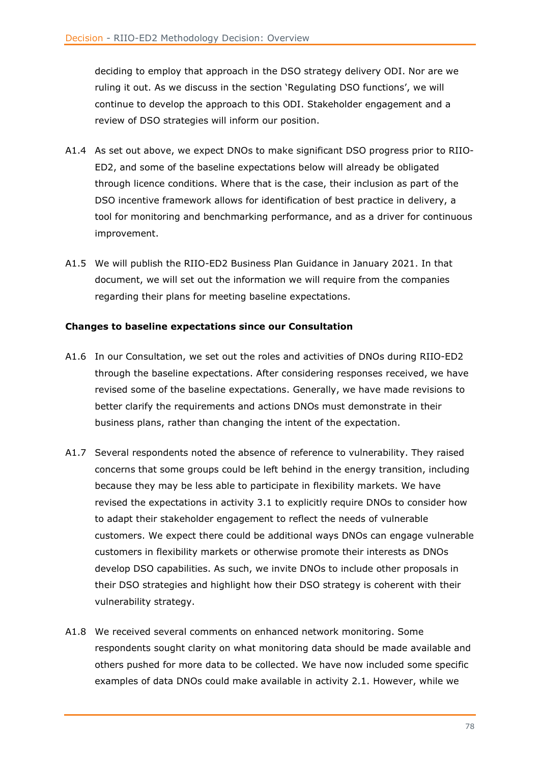deciding to employ that approach in the DSO strategy delivery ODI. Nor are we ruling it out. As we discuss in the section ['Regulating DSO functions'](#page-55-0), we will continue to develop the approach to this ODI. Stakeholder engagement and a review of DSO strategies will inform our position.

- A1.4 As set out above, we expect DNOs to make significant DSO progress prior to RIIO-ED2, and some of the baseline expectations below will already be obligated through licence conditions. Where that is the case, their inclusion as part of the DSO incentive framework allows for identification of best practice in delivery, a tool for monitoring and benchmarking performance, and as a driver for continuous improvement.
- A1.5 We will publish the RIIO-ED2 Business Plan Guidance in January 2021. In that document, we will set out the information we will require from the companies regarding their plans for meeting baseline expectations.

# **Changes to baseline expectations since our Consultation**

- A1.6 In our Consultation, we set out the roles and activities of DNOs during RIIO-ED2 through the baseline expectations. After considering responses received, we have revised some of the baseline expectations. Generally, we have made revisions to better clarify the requirements and actions DNOs must demonstrate in their business plans, rather than changing the intent of the expectation.
- A1.7 Several respondents noted the absence of reference to vulnerability. They raised concerns that some groups could be left behind in the energy transition, including because they may be less able to participate in flexibility markets. We have revised the expectations in activity 3.1 to explicitly require DNOs to consider how to adapt their stakeholder engagement to reflect the needs of vulnerable customers. We expect there could be additional ways DNOs can engage vulnerable customers in flexibility markets or otherwise promote their interests as DNOs develop DSO capabilities. As such, we invite DNOs to include other proposals in their DSO strategies and highlight how their DSO strategy is coherent with their vulnerability strategy.
- A1.8 We received several comments on enhanced network monitoring. Some respondents sought clarity on what monitoring data should be made available and others pushed for more data to be collected. We have now included some specific examples of data DNOs could make available in activity 2.1. However, while we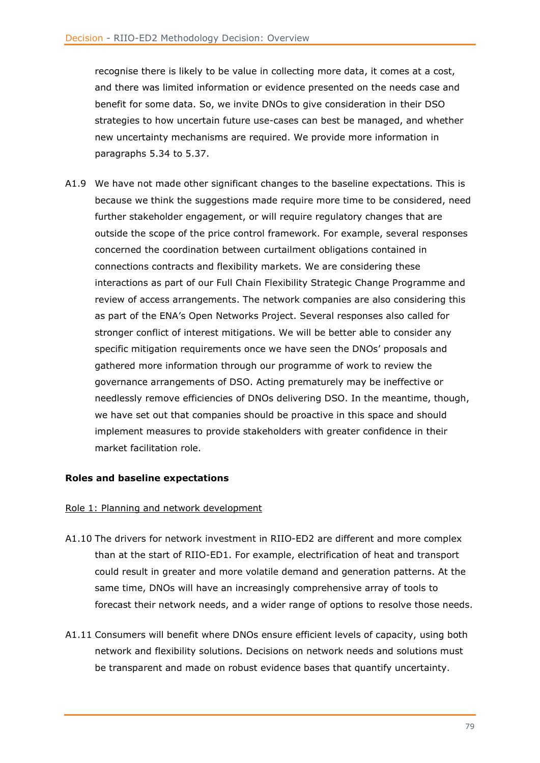recognise there is likely to be value in collecting more data, it comes at a cost, and there was limited information or evidence presented on the needs case and benefit for some data. So, we invite DNOs to give consideration in their DSO strategies to how uncertain future use-cases can best be managed, and whether new uncertainty mechanisms are required. We provide more information in paragraphs 5.34 to 5.37.

A1.9 We have not made other significant changes to the baseline expectations. This is because we think the suggestions made require more time to be considered, need further stakeholder engagement, or will require regulatory changes that are outside the scope of the price control framework. For example, several responses concerned the coordination between curtailment obligations contained in connections contracts and flexibility markets. We are considering these interactions as part of our Full Chain Flexibility Strategic Change Programme and review of access arrangements. The network companies are also considering this as part of the ENA's Open Networks Project. Several responses also called for stronger conflict of interest mitigations. We will be better able to consider any specific mitigation requirements once we have seen the DNOs' proposals and gathered more information through our programme of work to review the governance arrangements of DSO. Acting prematurely may be ineffective or needlessly remove efficiencies of DNOs delivering DSO. In the meantime, though, we have set out that companies should be proactive in this space and should implement measures to provide stakeholders with greater confidence in their market facilitation role.

#### **Roles and baseline expectations**

#### Role 1: Planning and network development

- A1.10 The drivers for network investment in RIIO-ED2 are different and more complex than at the start of RIIO-ED1. For example, electrification of heat and transport could result in greater and more volatile demand and generation patterns. At the same time, DNOs will have an increasingly comprehensive array of tools to forecast their network needs, and a wider range of options to resolve those needs.
- A1.11 Consumers will benefit where DNOs ensure efficient levels of capacity, using both network and flexibility solutions. Decisions on network needs and solutions must be transparent and made on robust evidence bases that quantify uncertainty.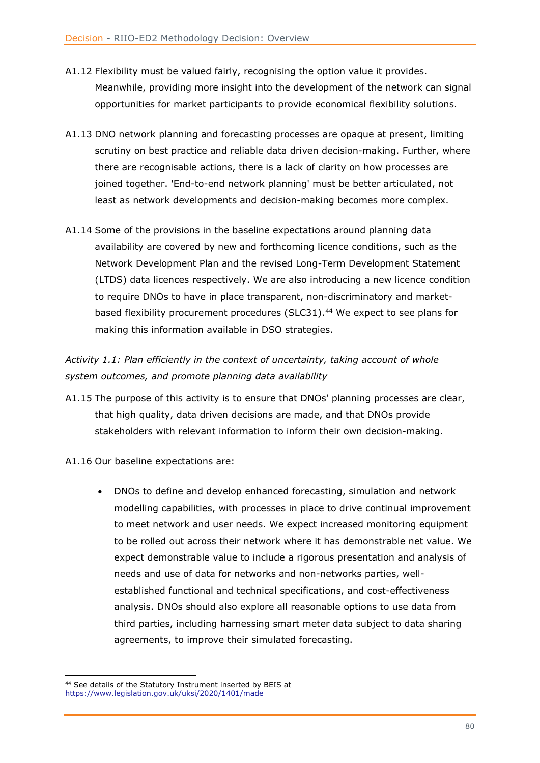- A1.12 Flexibility must be valued fairly, recognising the option value it provides. Meanwhile, providing more insight into the development of the network can signal opportunities for market participants to provide economical flexibility solutions.
- A1.13 DNO network planning and forecasting processes are opaque at present, limiting scrutiny on best practice and reliable data driven decision-making. Further, where there are recognisable actions, there is a lack of clarity on how processes are joined together. 'End-to-end network planning' must be better articulated, not least as network developments and decision-making becomes more complex.
- A1.14 Some of the provisions in the baseline expectations around planning data availability are covered by new and forthcoming licence conditions, such as the Network Development Plan and the revised Long-Term Development Statement (LTDS) data licences respectively. We are also introducing a new licence condition to require DNOs to have in place transparent, non-discriminatory and marketbased flexibility procurement procedures (SLC31).[44](#page-79-0) We expect to see plans for making this information available in DSO strategies.

# *Activity 1.1: Plan efficiently in the context of uncertainty, taking account of whole system outcomes, and promote planning data availability*

- A1.15 The purpose of this activity is to ensure that DNOs' planning processes are clear, that high quality, data driven decisions are made, and that DNOs provide stakeholders with relevant information to inform their own decision-making.
- A1.16 Our baseline expectations are:
	- DNOs to define and develop enhanced forecasting, simulation and network modelling capabilities, with processes in place to drive continual improvement to meet network and user needs. We expect increased monitoring equipment to be rolled out across their network where it has demonstrable net value. We expect demonstrable value to include a rigorous presentation and analysis of needs and use of data for networks and non-networks parties, wellestablished functional and technical specifications, and cost-effectiveness analysis. DNOs should also explore all reasonable options to use data from third parties, including harnessing smart meter data subject to data sharing agreements, to improve their simulated forecasting.

<span id="page-79-0"></span><sup>44</sup> See details of the Statutory Instrument inserted by BEIS at <https://www.legislation.gov.uk/uksi/2020/1401/made>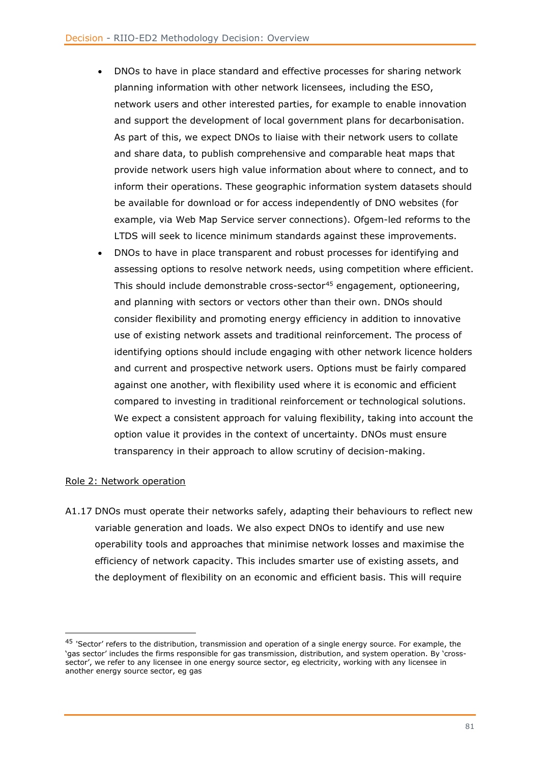- DNOs to have in place standard and effective processes for sharing network planning information with other network licensees, including the ESO, network users and other interested parties, for example to enable innovation and support the development of local government plans for decarbonisation. As part of this, we expect DNOs to liaise with their network users to collate and share data, to publish comprehensive and comparable heat maps that provide network users high value information about where to connect, and to inform their operations. These geographic information system datasets should be available for download or for access independently of DNO websites (for example, via Web Map Service server connections). Ofgem-led reforms to the LTDS will seek to licence minimum standards against these improvements.
- DNOs to have in place transparent and robust processes for identifying and assessing options to resolve network needs, using competition where efficient. This should include demonstrable cross-sector<sup>[45](#page-80-0)</sup> engagement, optioneering, and planning with sectors or vectors other than their own. DNOs should consider flexibility and promoting energy efficiency in addition to innovative use of existing network assets and traditional reinforcement. The process of identifying options should include engaging with other network licence holders and current and prospective network users. Options must be fairly compared against one another, with flexibility used where it is economic and efficient compared to investing in traditional reinforcement or technological solutions. We expect a consistent approach for valuing flexibility, taking into account the option value it provides in the context of uncertainty. DNOs must ensure transparency in their approach to allow scrutiny of decision-making.

### Role 2: Network operation

A1.17 DNOs must operate their networks safely, adapting their behaviours to reflect new variable generation and loads. We also expect DNOs to identify and use new operability tools and approaches that minimise network losses and maximise the efficiency of network capacity. This includes smarter use of existing assets, and the deployment of flexibility on an economic and efficient basis. This will require

<span id="page-80-0"></span><sup>&</sup>lt;sup>45</sup> 'Sector' refers to the distribution, transmission and operation of a single energy source. For example, the 'gas sector' includes the firms responsible for gas transmission, distribution, and system operation. By 'crosssector', we refer to any licensee in one energy source sector, eg electricity, working with any licensee in another energy source sector, eg gas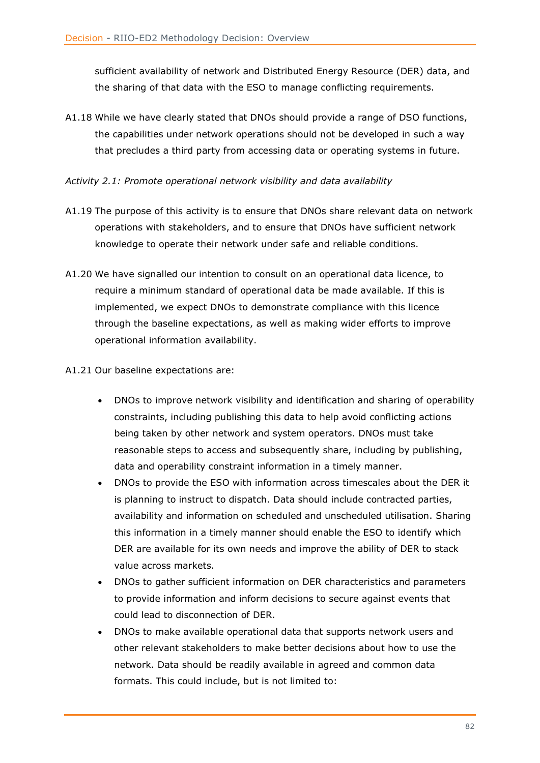sufficient availability of network and Distributed Energy Resource (DER) data, and the sharing of that data with the ESO to manage conflicting requirements.

- A1.18 While we have clearly stated that DNOs should provide a range of DSO functions, the capabilities under network operations should not be developed in such a way that precludes a third party from accessing data or operating systems in future.
- *Activity 2.1: Promote operational network visibility and data availability*
- A1.19 The purpose of this activity is to ensure that DNOs share relevant data on network operations with stakeholders, and to ensure that DNOs have sufficient network knowledge to operate their network under safe and reliable conditions.
- A1.20 We have signalled our intention to consult on an operational data licence, to require a minimum standard of operational data be made available. If this is implemented, we expect DNOs to demonstrate compliance with this licence through the baseline expectations, as well as making wider efforts to improve operational information availability.
- A1.21 Our baseline expectations are:
	- DNOs to improve network visibility and identification and sharing of operability constraints, including publishing this data to help avoid conflicting actions being taken by other network and system operators. DNOs must take reasonable steps to access and subsequently share, including by publishing, data and operability constraint information in a timely manner.
	- DNOs to provide the ESO with information across timescales about the DER it is planning to instruct to dispatch. Data should include contracted parties, availability and information on scheduled and unscheduled utilisation. Sharing this information in a timely manner should enable the ESO to identify which DER are available for its own needs and improve the ability of DER to stack value across markets.
	- DNOs to gather sufficient information on DER characteristics and parameters to provide information and inform decisions to secure against events that could lead to disconnection of DER.
	- DNOs to make available operational data that supports network users and other relevant stakeholders to make better decisions about how to use the network. Data should be readily available in agreed and common data formats. This could include, but is not limited to: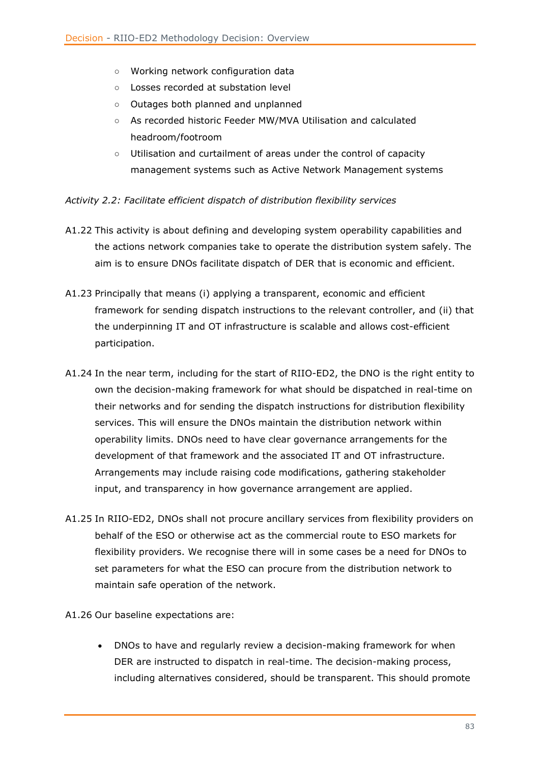- Working network configuration data
- Losses recorded at substation level
- Outages both planned and unplanned
- As recorded historic Feeder MW/MVA Utilisation and calculated headroom/footroom
- Utilisation and curtailment of areas under the control of capacity management systems such as Active Network Management systems

# *Activity 2.2: Facilitate efficient dispatch of distribution flexibility services*

- A1.22 This activity is about defining and developing system operability capabilities and the actions network companies take to operate the distribution system safely. The aim is to ensure DNOs facilitate dispatch of DER that is economic and efficient.
- A1.23 Principally that means (i) applying a transparent, economic and efficient framework for sending dispatch instructions to the relevant controller, and (ii) that the underpinning IT and OT infrastructure is scalable and allows cost-efficient participation.
- A1.24 In the near term, including for the start of RIIO-ED2, the DNO is the right entity to own the decision-making framework for what should be dispatched in real-time on their networks and for sending the dispatch instructions for distribution flexibility services. This will ensure the DNOs maintain the distribution network within operability limits. DNOs need to have clear governance arrangements for the development of that framework and the associated IT and OT infrastructure. Arrangements may include raising code modifications, gathering stakeholder input, and transparency in how governance arrangement are applied.
- A1.25 In RIIO-ED2, DNOs shall not procure ancillary services from flexibility providers on behalf of the ESO or otherwise act as the commercial route to ESO markets for flexibility providers. We recognise there will in some cases be a need for DNOs to set parameters for what the ESO can procure from the distribution network to maintain safe operation of the network.
- A1.26 Our baseline expectations are:
	- DNOs to have and regularly review a decision-making framework for when DER are instructed to dispatch in real-time. The decision-making process, including alternatives considered, should be transparent. This should promote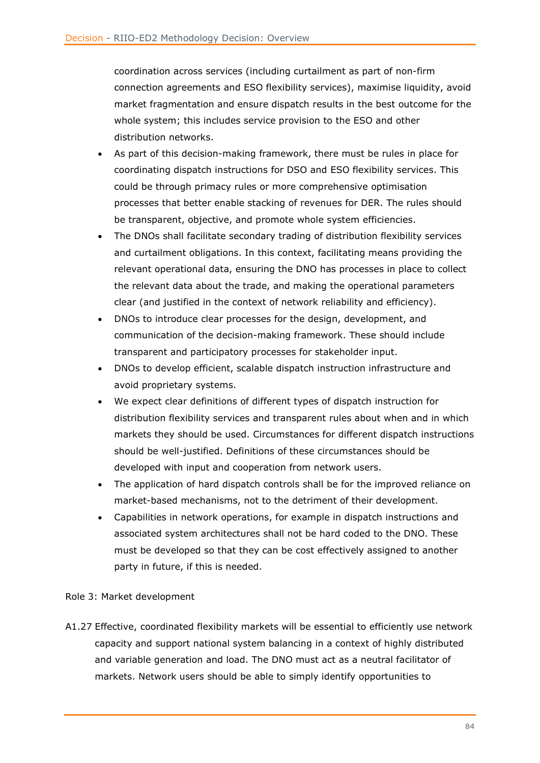coordination across services (including curtailment as part of non-firm connection agreements and ESO flexibility services), maximise liquidity, avoid market fragmentation and ensure dispatch results in the best outcome for the whole system; this includes service provision to the ESO and other distribution networks.

- As part of this decision-making framework, there must be rules in place for coordinating dispatch instructions for DSO and ESO flexibility services. This could be through primacy rules or more comprehensive optimisation processes that better enable stacking of revenues for DER. The rules should be transparent, objective, and promote whole system efficiencies.
- The DNOs shall facilitate secondary trading of distribution flexibility services and curtailment obligations. In this context, facilitating means providing the relevant operational data, ensuring the DNO has processes in place to collect the relevant data about the trade, and making the operational parameters clear (and justified in the context of network reliability and efficiency).
- DNOs to introduce clear processes for the design, development, and communication of the decision-making framework. These should include transparent and participatory processes for stakeholder input.
- DNOs to develop efficient, scalable dispatch instruction infrastructure and avoid proprietary systems.
- We expect clear definitions of different types of dispatch instruction for distribution flexibility services and transparent rules about when and in which markets they should be used. Circumstances for different dispatch instructions should be well-justified. Definitions of these circumstances should be developed with input and cooperation from network users.
- The application of hard dispatch controls shall be for the improved reliance on market-based mechanisms, not to the detriment of their development.
- Capabilities in network operations, for example in dispatch instructions and associated system architectures shall not be hard coded to the DNO. These must be developed so that they can be cost effectively assigned to another party in future, if this is needed.

### Role 3: Market development

A1.27 Effective, coordinated flexibility markets will be essential to efficiently use network capacity and support national system balancing in a context of highly distributed and variable generation and load. The DNO must act as a neutral facilitator of markets. Network users should be able to simply identify opportunities to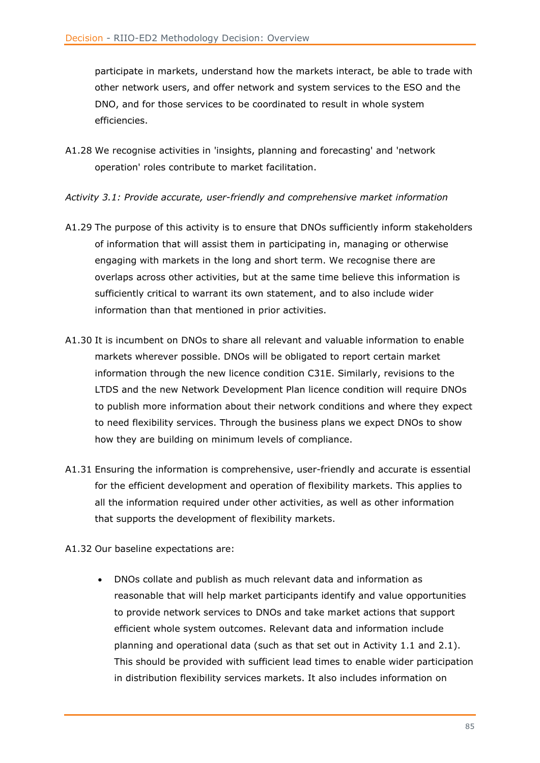participate in markets, understand how the markets interact, be able to trade with other network users, and offer network and system services to the ESO and the DNO, and for those services to be coordinated to result in whole system efficiencies.

A1.28 We recognise activities in 'insights, planning and forecasting' and 'network operation' roles contribute to market facilitation.

*Activity 3.1: Provide accurate, user-friendly and comprehensive market information*

- A1.29 The purpose of this activity is to ensure that DNOs sufficiently inform stakeholders of information that will assist them in participating in, managing or otherwise engaging with markets in the long and short term. We recognise there are overlaps across other activities, but at the same time believe this information is sufficiently critical to warrant its own statement, and to also include wider information than that mentioned in prior activities.
- A1.30 It is incumbent on DNOs to share all relevant and valuable information to enable markets wherever possible. DNOs will be obligated to report certain market information through the new licence condition C31E. Similarly, revisions to the LTDS and the new Network Development Plan licence condition will require DNOs to publish more information about their network conditions and where they expect to need flexibility services. Through the business plans we expect DNOs to show how they are building on minimum levels of compliance.
- A1.31 Ensuring the information is comprehensive, user-friendly and accurate is essential for the efficient development and operation of flexibility markets. This applies to all the information required under other activities, as well as other information that supports the development of flexibility markets.
- A1.32 Our baseline expectations are:
	- DNOs collate and publish as much relevant data and information as reasonable that will help market participants identify and value opportunities to provide network services to DNOs and take market actions that support efficient whole system outcomes. Relevant data and information include planning and operational data (such as that set out in Activity 1.1 and 2.1). This should be provided with sufficient lead times to enable wider participation in distribution flexibility services markets. It also includes information on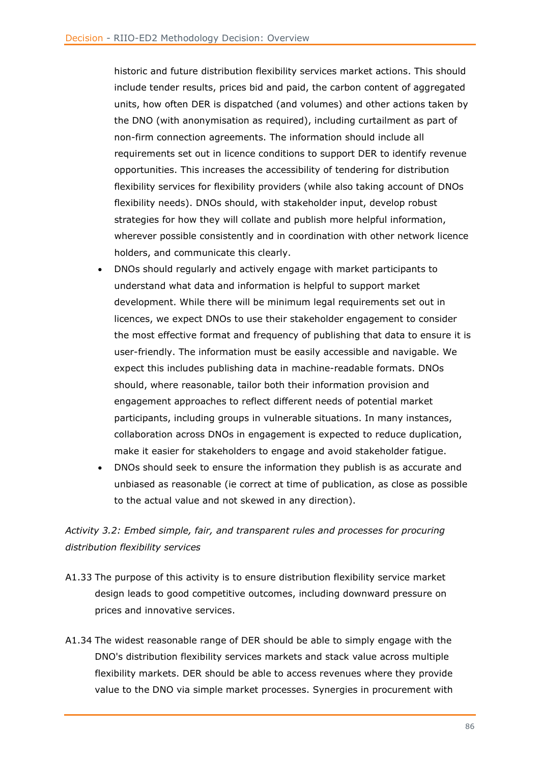historic and future distribution flexibility services market actions. This should include tender results, prices bid and paid, the carbon content of aggregated units, how often DER is dispatched (and volumes) and other actions taken by the DNO (with anonymisation as required), including curtailment as part of non-firm connection agreements. The information should include all requirements set out in licence conditions to support DER to identify revenue opportunities. This increases the accessibility of tendering for distribution flexibility services for flexibility providers (while also taking account of DNOs flexibility needs). DNOs should, with stakeholder input, develop robust strategies for how they will collate and publish more helpful information, wherever possible consistently and in coordination with other network licence holders, and communicate this clearly.

- DNOs should regularly and actively engage with market participants to understand what data and information is helpful to support market development. While there will be minimum legal requirements set out in licences, we expect DNOs to use their stakeholder engagement to consider the most effective format and frequency of publishing that data to ensure it is user-friendly. The information must be easily accessible and navigable. We expect this includes publishing data in machine-readable formats. DNOs should, where reasonable, tailor both their information provision and engagement approaches to reflect different needs of potential market participants, including groups in vulnerable situations. In many instances, collaboration across DNOs in engagement is expected to reduce duplication, make it easier for stakeholders to engage and avoid stakeholder fatigue.
- DNOs should seek to ensure the information they publish is as accurate and unbiased as reasonable (ie correct at time of publication, as close as possible to the actual value and not skewed in any direction).

# *Activity 3.2: Embed simple, fair, and transparent rules and processes for procuring distribution flexibility services*

- A1.33 The purpose of this activity is to ensure distribution flexibility service market design leads to good competitive outcomes, including downward pressure on prices and innovative services.
- A1.34 The widest reasonable range of DER should be able to simply engage with the DNO's distribution flexibility services markets and stack value across multiple flexibility markets. DER should be able to access revenues where they provide value to the DNO via simple market processes. Synergies in procurement with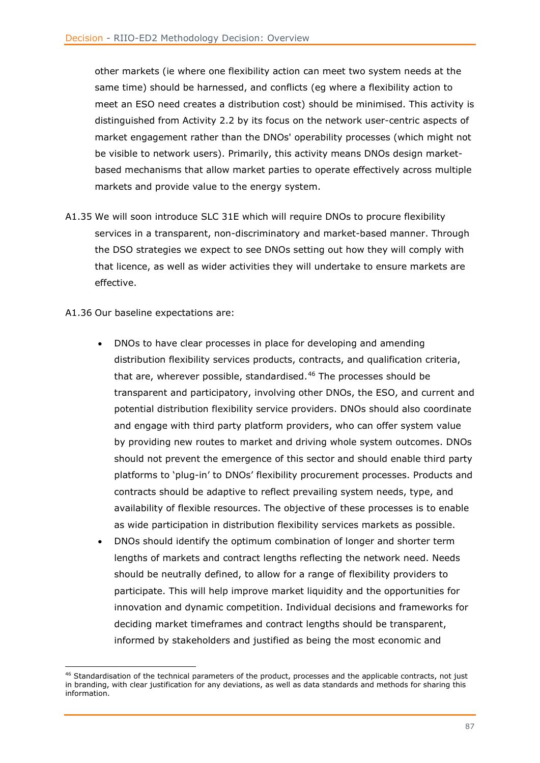other markets (ie where one flexibility action can meet two system needs at the same time) should be harnessed, and conflicts (eg where a flexibility action to meet an ESO need creates a distribution cost) should be minimised. This activity is distinguished from Activity 2.2 by its focus on the network user-centric aspects of market engagement rather than the DNOs' operability processes (which might not be visible to network users). Primarily, this activity means DNOs design marketbased mechanisms that allow market parties to operate effectively across multiple markets and provide value to the energy system.

A1.35 We will soon introduce SLC 31E which will require DNOs to procure flexibility services in a transparent, non-discriminatory and market-based manner. Through the DSO strategies we expect to see DNOs setting out how they will comply with that licence, as well as wider activities they will undertake to ensure markets are effective.

### A1.36 Our baseline expectations are:

- DNOs to have clear processes in place for developing and amending distribution flexibility services products, contracts, and qualification criteria, that are, wherever possible, standardised.<sup>[46](#page-86-0)</sup> The processes should be transparent and participatory, involving other DNOs, the ESO, and current and potential distribution flexibility service providers. DNOs should also coordinate and engage with third party platform providers, who can offer system value by providing new routes to market and driving whole system outcomes. DNOs should not prevent the emergence of this sector and should enable third party platforms to 'plug-in' to DNOs' flexibility procurement processes. Products and contracts should be adaptive to reflect prevailing system needs, type, and availability of flexible resources. The objective of these processes is to enable as wide participation in distribution flexibility services markets as possible.
- DNOs should identify the optimum combination of longer and shorter term lengths of markets and contract lengths reflecting the network need. Needs should be neutrally defined, to allow for a range of flexibility providers to participate. This will help improve market liquidity and the opportunities for innovation and dynamic competition. Individual decisions and frameworks for deciding market timeframes and contract lengths should be transparent, informed by stakeholders and justified as being the most economic and

<span id="page-86-0"></span><sup>&</sup>lt;sup>46</sup> Standardisation of the technical parameters of the product, processes and the applicable contracts, not just in branding, with clear justification for any deviations, as well as data standards and methods for sharing this information.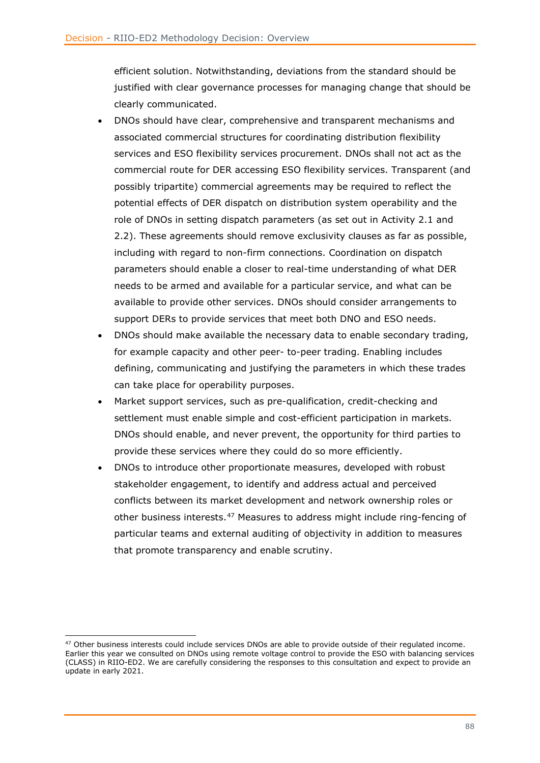efficient solution. Notwithstanding, deviations from the standard should be justified with clear governance processes for managing change that should be clearly communicated.

- DNOs should have clear, comprehensive and transparent mechanisms and associated commercial structures for coordinating distribution flexibility services and ESO flexibility services procurement. DNOs shall not act as the commercial route for DER accessing ESO flexibility services. Transparent (and possibly tripartite) commercial agreements may be required to reflect the potential effects of DER dispatch on distribution system operability and the role of DNOs in setting dispatch parameters (as set out in Activity 2.1 and 2.2). These agreements should remove exclusivity clauses as far as possible, including with regard to non-firm connections. Coordination on dispatch parameters should enable a closer to real-time understanding of what DER needs to be armed and available for a particular service, and what can be available to provide other services. DNOs should consider arrangements to support DERs to provide services that meet both DNO and ESO needs.
- DNOs should make available the necessary data to enable secondary trading, for example capacity and other peer- to-peer trading. Enabling includes defining, communicating and justifying the parameters in which these trades can take place for operability purposes.
- Market support services, such as pre-qualification, credit-checking and settlement must enable simple and cost-efficient participation in markets. DNOs should enable, and never prevent, the opportunity for third parties to provide these services where they could do so more efficiently.
- DNOs to introduce other proportionate measures, developed with robust stakeholder engagement, to identify and address actual and perceived conflicts between its market development and network ownership roles or other business interests.<sup>[47](#page-87-0)</sup> Measures to address might include ring-fencing of particular teams and external auditing of objectivity in addition to measures that promote transparency and enable scrutiny.

<span id="page-87-0"></span><sup>&</sup>lt;sup>47</sup> Other business interests could include services DNOs are able to provide outside of their regulated income. Earlier this year we consulted on DNOs using remote voltage control to provide the ESO with balancing services (CLASS) in RIIO-ED2. We are carefully considering the responses to this consultation and expect to provide an update in early 2021.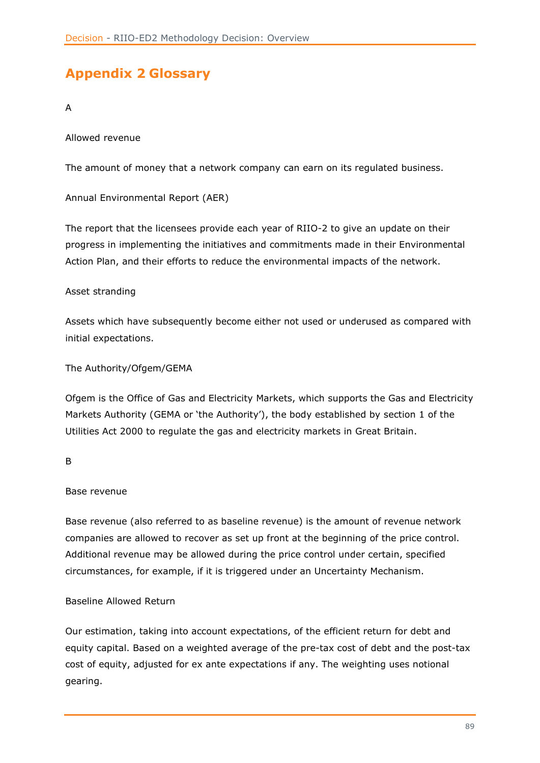# <span id="page-88-0"></span>**Appendix 2 Glossary**

# A

# Allowed revenue

The amount of money that a network company can earn on its regulated business.

Annual Environmental Report (AER)

The report that the licensees provide each year of RIIO-2 to give an update on their progress in implementing the initiatives and commitments made in their Environmental Action Plan, and their efforts to reduce the environmental impacts of the network.

### Asset stranding

Assets which have subsequently become either not used or underused as compared with initial expectations.

# The Authority/Ofgem/GEMA

Ofgem is the Office of Gas and Electricity Markets, which supports the Gas and Electricity Markets Authority (GEMA or 'the Authority'), the body established by section 1 of the Utilities Act 2000 to regulate the gas and electricity markets in Great Britain.

### B

### Base revenue

Base revenue (also referred to as baseline revenue) is the amount of revenue network companies are allowed to recover as set up front at the beginning of the price control. Additional revenue may be allowed during the price control under certain, specified circumstances, for example, if it is triggered under an Uncertainty Mechanism.

### Baseline Allowed Return

Our estimation, taking into account expectations, of the efficient return for debt and equity capital. Based on a weighted average of the pre-tax cost of debt and the post-tax cost of equity, adjusted for ex ante expectations if any. The weighting uses notional gearing.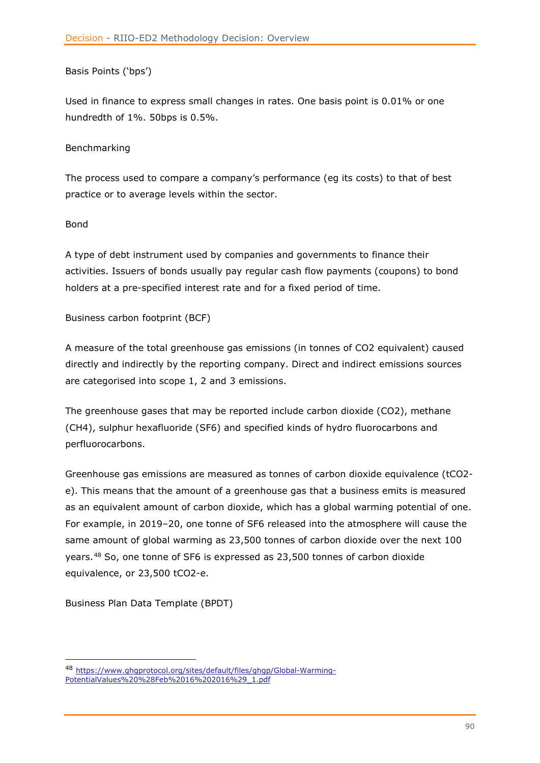# Basis Points ('bps')

Used in finance to express small changes in rates. One basis point is 0.01% or one hundredth of 1%. 50bps is 0.5%.

# Benchmarking

The process used to compare a company's performance (eg its costs) to that of best practice or to average levels within the sector.

### Bond

A type of debt instrument used by companies and governments to finance their activities. Issuers of bonds usually pay regular cash flow payments (coupons) to bond holders at a pre-specified interest rate and for a fixed period of time.

Business carbon footprint (BCF)

A measure of the total greenhouse gas emissions (in tonnes of CO2 equivalent) caused directly and indirectly by the reporting company. Direct and indirect emissions sources are categorised into scope 1, 2 and 3 emissions.

The greenhouse gases that may be reported include carbon dioxide (CO2), methane (CH4), sulphur hexafluoride (SF6) and specified kinds of hydro fluorocarbons and perfluorocarbons.

Greenhouse gas emissions are measured as tonnes of carbon dioxide equivalence (tCO2 e). This means that the amount of a greenhouse gas that a business emits is measured as an equivalent amount of carbon dioxide, which has a global warming potential of one. For example, in 2019–20, one tonne of SF6 released into the atmosphere will cause the same amount of global warming as 23,500 tonnes of carbon dioxide over the next 100 years.[48](#page-89-0) So, one tonne of SF6 is expressed as 23,500 tonnes of carbon dioxide equivalence, or 23,500 tCO2-e.

Business Plan Data Template (BPDT)

<span id="page-89-0"></span><sup>48</sup> [https://www.ghgprotocol.org/sites/default/files/ghgp/Global-Warming-](https://www.ghgprotocol.org/sites/default/files/ghgp/Global-Warming-Potential-Values%20%28Feb%2016%202016%29_1.pdf)[PotentialValues%20%28Feb%2016%202016%29\\_1.pdf](https://www.ghgprotocol.org/sites/default/files/ghgp/Global-Warming-Potential-Values%20%28Feb%2016%202016%29_1.pdf)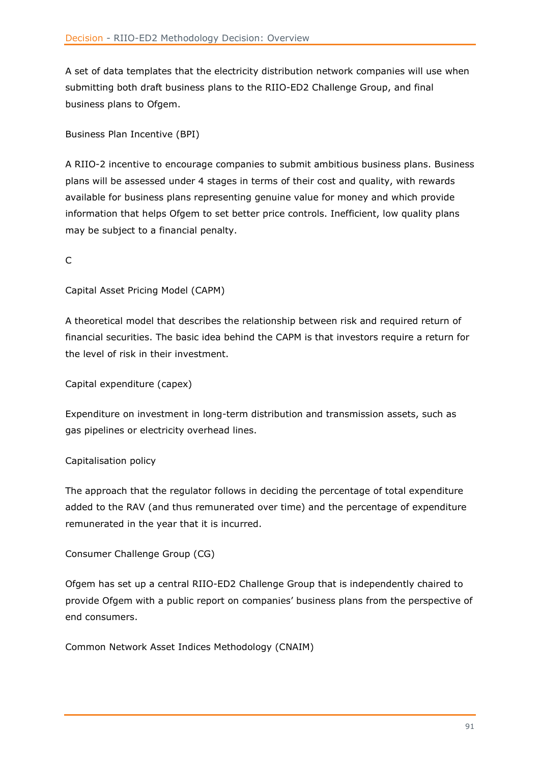A set of data templates that the electricity distribution network companies will use when submitting both draft business plans to the RIIO-ED2 Challenge Group, and final business plans to Ofgem.

Business Plan Incentive (BPI)

A RIIO-2 incentive to encourage companies to submit ambitious business plans. Business plans will be assessed under 4 stages in terms of their cost and quality, with rewards available for business plans representing genuine value for money and which provide information that helps Ofgem to set better price controls. Inefficient, low quality plans may be subject to a financial penalty.

C

Capital Asset Pricing Model (CAPM)

A theoretical model that describes the relationship between risk and required return of financial securities. The basic idea behind the CAPM is that investors require a return for the level of risk in their investment.

Capital expenditure (capex)

Expenditure on investment in long-term distribution and transmission assets, such as gas pipelines or electricity overhead lines.

### Capitalisation policy

The approach that the regulator follows in deciding the percentage of total expenditure added to the RAV (and thus remunerated over time) and the percentage of expenditure remunerated in the year that it is incurred.

```
Consumer Challenge Group (CG)
```
Ofgem has set up a central RIIO-ED2 Challenge Group that is independently chaired to provide Ofgem with a public report on companies' business plans from the perspective of end consumers.

Common Network Asset Indices Methodology (CNAIM)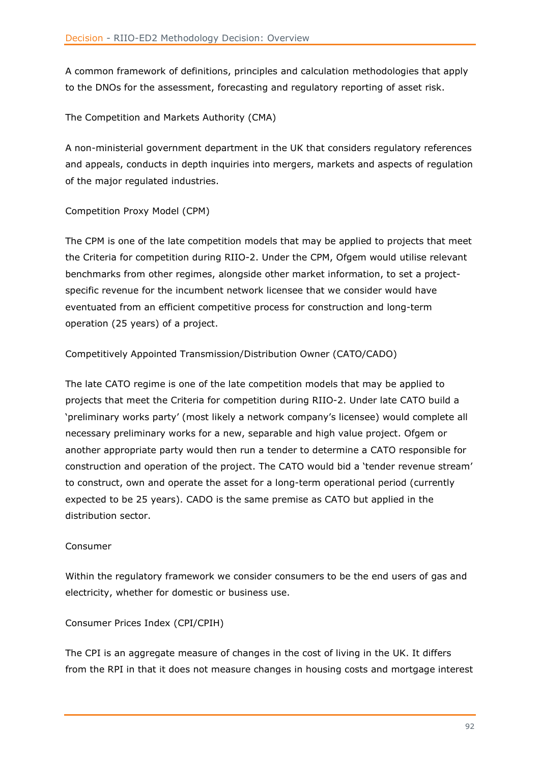A common framework of definitions, principles and calculation methodologies that apply to the DNOs for the assessment, forecasting and regulatory reporting of asset risk.

# The Competition and Markets Authority (CMA)

A non-ministerial government department in the UK that considers regulatory references and appeals, conducts in depth inquiries into mergers, markets and aspects of regulation of the major regulated industries.

# Competition Proxy Model (CPM)

The CPM is one of the late competition models that may be applied to projects that meet the Criteria for competition during RIIO-2. Under the CPM, Ofgem would utilise relevant benchmarks from other regimes, alongside other market information, to set a projectspecific revenue for the incumbent network licensee that we consider would have eventuated from an efficient competitive process for construction and long-term operation (25 years) of a project.

# Competitively Appointed Transmission/Distribution Owner (CATO/CADO)

The late CATO regime is one of the late competition models that may be applied to projects that meet the Criteria for competition during RIIO-2. Under late CATO build a 'preliminary works party' (most likely a network company's licensee) would complete all necessary preliminary works for a new, separable and high value project. Ofgem or another appropriate party would then run a tender to determine a CATO responsible for construction and operation of the project. The CATO would bid a 'tender revenue stream' to construct, own and operate the asset for a long-term operational period (currently expected to be 25 years). CADO is the same premise as CATO but applied in the distribution sector.

### Consumer

Within the regulatory framework we consider consumers to be the end users of gas and electricity, whether for domestic or business use.

# Consumer Prices Index (CPI/CPIH)

The CPI is an aggregate measure of changes in the cost of living in the UK. It differs from the RPI in that it does not measure changes in housing costs and mortgage interest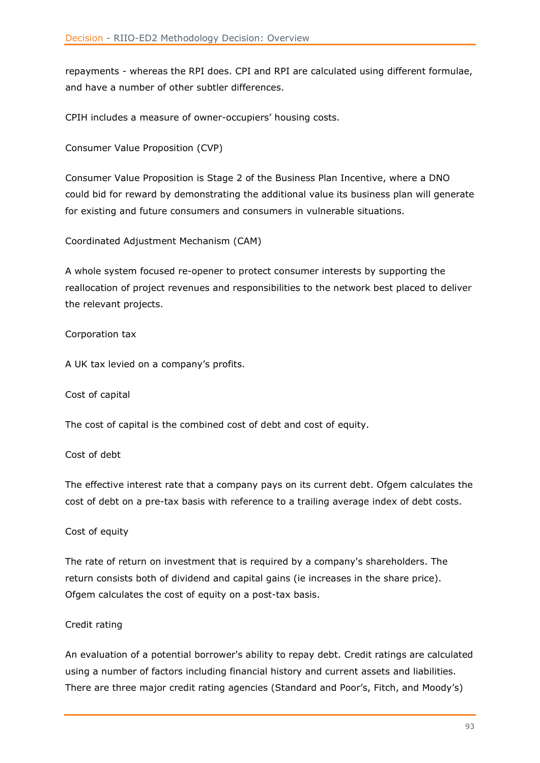repayments - whereas the RPI does. CPI and RPI are calculated using different formulae, and have a number of other subtler differences.

CPIH includes a measure of owner-occupiers' housing costs.

Consumer Value Proposition (CVP)

Consumer Value Proposition is Stage 2 of the Business Plan Incentive, where a DNO could bid for reward by demonstrating the additional value its business plan will generate for existing and future consumers and consumers in vulnerable situations.

Coordinated Adjustment Mechanism (CAM)

A whole system focused re-opener to protect consumer interests by supporting the reallocation of project revenues and responsibilities to the network best placed to deliver the relevant projects.

# Corporation tax

A UK tax levied on a company's profits.

Cost of capital

The cost of capital is the combined cost of debt and cost of equity.

Cost of debt

The effective interest rate that a company pays on its current debt. Ofgem calculates the cost of debt on a pre-tax basis with reference to a trailing average index of debt costs.

### Cost of equity

The rate of return on investment that is required by a company's shareholders. The return consists both of dividend and capital gains (ie increases in the share price). Ofgem calculates the cost of equity on a post-tax basis.

### Credit rating

An evaluation of a potential borrower's ability to repay debt. Credit ratings are calculated using a number of factors including financial history and current assets and liabilities. There are three major credit rating agencies (Standard and Poor's, Fitch, and Moody's)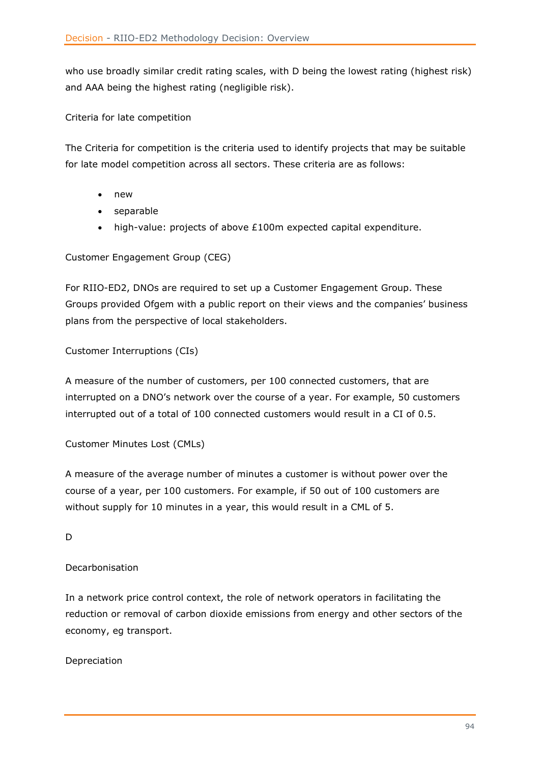who use broadly similar credit rating scales, with D being the lowest rating (highest risk) and AAA being the highest rating (negligible risk).

# Criteria for late competition

The Criteria for competition is the criteria used to identify projects that may be suitable for late model competition across all sectors. These criteria are as follows:

- new
- separable
- high-value: projects of above £100m expected capital expenditure.

# Customer Engagement Group (CEG)

For RIIO-ED2, DNOs are required to set up a Customer Engagement Group. These Groups provided Ofgem with a public report on their views and the companies' business plans from the perspective of local stakeholders.

# Customer Interruptions (CIs)

A measure of the number of customers, per 100 connected customers, that are interrupted on a DNO's network over the course of a year. For example, 50 customers interrupted out of a total of 100 connected customers would result in a CI of 0.5.

Customer Minutes Lost (CMLs)

A measure of the average number of minutes a customer is without power over the course of a year, per 100 customers. For example, if 50 out of 100 customers are without supply for 10 minutes in a year, this would result in a CML of 5.

### D

# Decarbonisation

In a network price control context, the role of network operators in facilitating the reduction or removal of carbon dioxide emissions from energy and other sectors of the economy, eg transport.

### Depreciation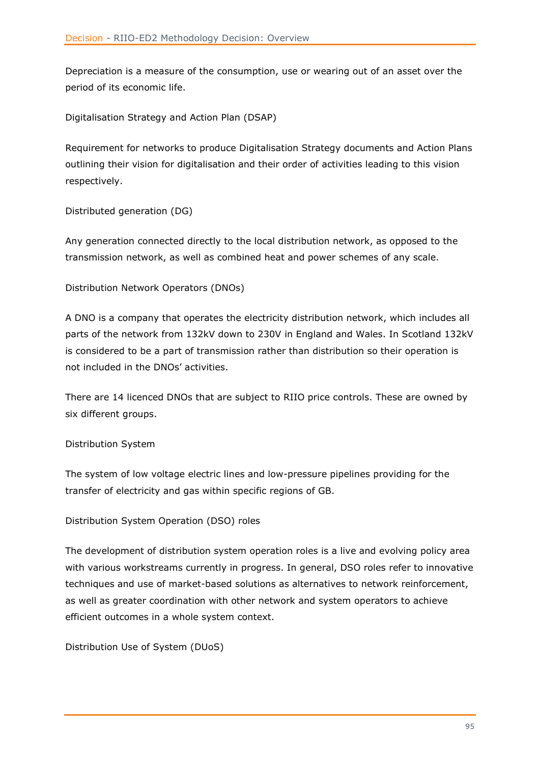Depreciation is a measure of the consumption, use or wearing out of an asset over the period of its economic life.

Digitalisation Strategy and Action Plan (DSAP)

Requirement for networks to produce Digitalisation Strategy documents and Action Plans outlining their vision for digitalisation and their order of activities leading to this vision respectively.

# Distributed generation (DG)

Any generation connected directly to the local distribution network, as opposed to the transmission network, as well as combined heat and power schemes of any scale.

# Distribution Network Operators (DNOs)

A DNO is a company that operates the electricity distribution network, which includes all parts of the network from 132kV down to 230V in England and Wales. In Scotland 132kV is considered to be a part of transmission rather than distribution so their operation is not included in the DNOs' activities.

There are 14 licenced DNOs that are subject to RIIO price controls. These are owned by six different groups.

# Distribution System

The system of low voltage electric lines and low-pressure pipelines providing for the transfer of electricity and gas within specific regions of GB.

Distribution System Operation (DSO) roles

The development of distribution system operation roles is a live and evolving policy area with various workstreams currently in progress. In general, DSO roles refer to innovative techniques and use of market-based solutions as alternatives to network reinforcement, as well as greater coordination with other network and system operators to achieve efficient outcomes in a whole system context.

Distribution Use of System (DUoS)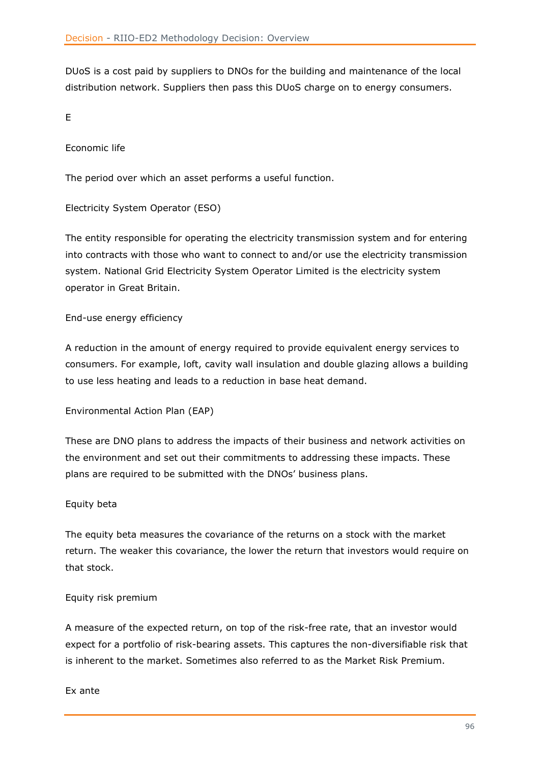DUoS is a cost paid by suppliers to DNOs for the building and maintenance of the local distribution network. Suppliers then pass this DUoS charge on to energy consumers.

E

Economic life

The period over which an asset performs a useful function.

Electricity System Operator (ESO)

The entity responsible for operating the electricity transmission system and for entering into contracts with those who want to connect to and/or use the electricity transmission system. National Grid Electricity System Operator Limited is the electricity system operator in Great Britain.

#### End-use energy efficiency

A reduction in the amount of energy required to provide equivalent energy services to consumers. For example, loft, cavity wall insulation and double glazing allows a building to use less heating and leads to a reduction in base heat demand.

Environmental Action Plan (EAP)

These are DNO plans to address the impacts of their business and network activities on the environment and set out their commitments to addressing these impacts. These plans are required to be submitted with the DNOs' business plans.

Equity beta

The equity beta measures the covariance of the returns on a stock with the market return. The weaker this covariance, the lower the return that investors would require on that stock.

### Equity risk premium

A measure of the expected return, on top of the risk-free rate, that an investor would expect for a portfolio of risk-bearing assets. This captures the non-diversifiable risk that is inherent to the market. Sometimes also referred to as the Market Risk Premium.

Ex ante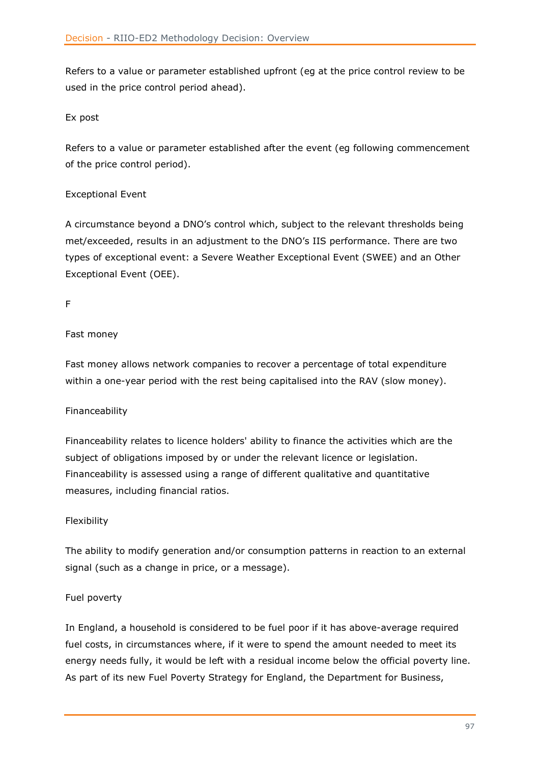Refers to a value or parameter established upfront (eg at the price control review to be used in the price control period ahead).

# Ex post

Refers to a value or parameter established after the event (eg following commencement of the price control period).

# Exceptional Event

A circumstance beyond a DNO's control which, subject to the relevant thresholds being met/exceeded, results in an adjustment to the DNO's IIS performance. There are two types of exceptional event: a Severe Weather Exceptional Event (SWEE) and an Other Exceptional Event (OEE).

F

# Fast money

Fast money allows network companies to recover a percentage of total expenditure within a one-year period with the rest being capitalised into the RAV (slow money).

# Financeability

Financeability relates to licence holders' ability to finance the activities which are the subject of obligations imposed by or under the relevant licence or legislation. Financeability is assessed using a range of different qualitative and quantitative measures, including financial ratios.

### Flexibility

The ability to modify generation and/or consumption patterns in reaction to an external signal (such as a change in price, or a message).

### Fuel poverty

In England, a household is considered to be fuel poor if it has above-average required fuel costs, in circumstances where, if it were to spend the amount needed to meet its energy needs fully, it would be left with a residual income below the official poverty line. As part of its new Fuel Poverty Strategy for England, the Department for Business,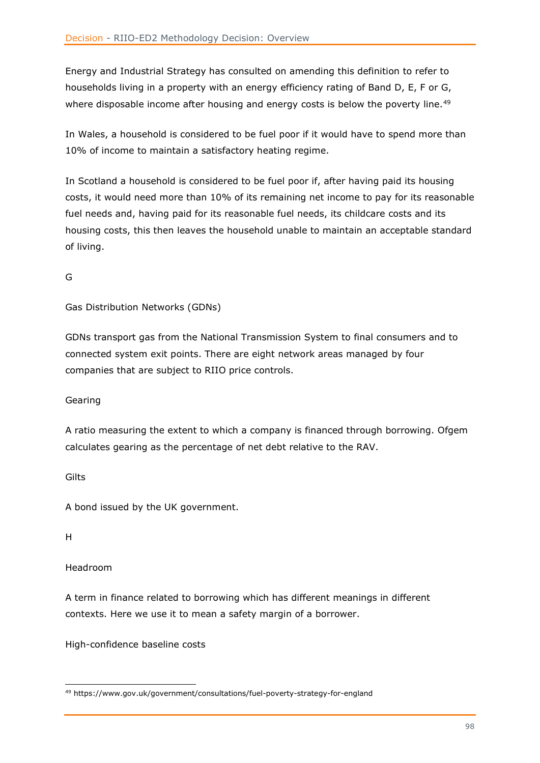Energy and Industrial Strategy has consulted on amending this definition to refer to households living in a property with an energy efficiency rating of Band D, E, F or G, where disposable income after housing and energy costs is below the poverty line.<sup>[49](#page-97-0)</sup>

In Wales, a household is considered to be fuel poor if it would have to spend more than 10% of income to maintain a satisfactory heating regime.

In Scotland a household is considered to be fuel poor if, after having paid its housing costs, it would need more than 10% of its remaining net income to pay for its reasonable fuel needs and, having paid for its reasonable fuel needs, its childcare costs and its housing costs, this then leaves the household unable to maintain an acceptable standard of living.

G

Gas Distribution Networks (GDNs)

GDNs transport gas from the National Transmission System to final consumers and to connected system exit points. There are eight network areas managed by four companies that are subject to RIIO price controls.

Gearing

A ratio measuring the extent to which a company is financed through borrowing. Ofgem calculates gearing as the percentage of net debt relative to the RAV.

**Gilts** 

A bond issued by the UK government.

H

Headroom

A term in finance related to borrowing which has different meanings in different contexts. Here we use it to mean a safety margin of a borrower.

High-confidence baseline costs

<span id="page-97-0"></span><sup>49</sup> https://www.gov.uk/government/consultations/fuel-poverty-strategy-for-england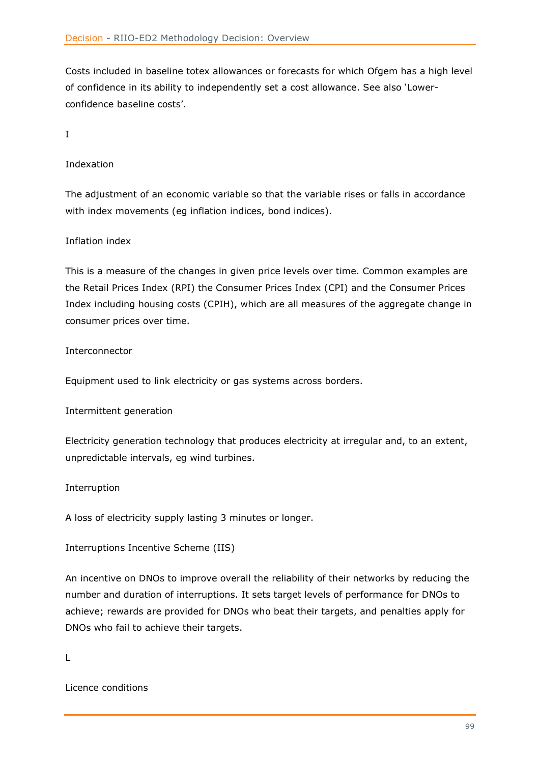Costs included in baseline totex allowances or forecasts for which Ofgem has a high level of confidence in its ability to independently set a cost allowance. See also 'Lowerconfidence baseline costs'.

I

# Indexation

The adjustment of an economic variable so that the variable rises or falls in accordance with index movements (eg inflation indices, bond indices).

# Inflation index

This is a measure of the changes in given price levels over time. Common examples are the Retail Prices Index (RPI) the Consumer Prices Index (CPI) and the Consumer Prices Index including housing costs (CPIH), which are all measures of the aggregate change in consumer prices over time.

### Interconnector

Equipment used to link electricity or gas systems across borders.

Intermittent generation

Electricity generation technology that produces electricity at irregular and, to an extent, unpredictable intervals, eg wind turbines.

### Interruption

A loss of electricity supply lasting 3 minutes or longer.

Interruptions Incentive Scheme (IIS)

An incentive on DNOs to improve overall the reliability of their networks by reducing the number and duration of interruptions. It sets target levels of performance for DNOs to achieve; rewards are provided for DNOs who beat their targets, and penalties apply for DNOs who fail to achieve their targets.

L

Licence conditions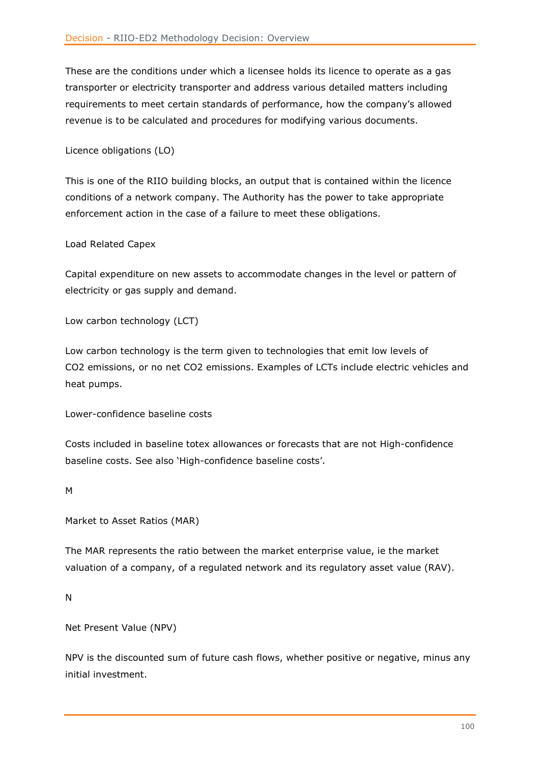These are the conditions under which a licensee holds its licence to operate as a gas transporter or electricity transporter and address various detailed matters including requirements to meet certain standards of performance, how the company's allowed revenue is to be calculated and procedures for modifying various documents.

```
Licence obligations (LO)
```
This is one of the RIIO building blocks, an output that is contained within the licence conditions of a network company. The Authority has the power to take appropriate enforcement action in the case of a failure to meet these obligations.

# Load Related Capex

Capital expenditure on new assets to accommodate changes in the level or pattern of electricity or gas supply and demand.

```
Low carbon technology (LCT)
```
Low carbon technology is the term given to technologies that emit low levels of CO2 emissions, or no net CO2 emissions. Examples of LCTs include electric vehicles and heat pumps.

Lower-confidence baseline costs

Costs included in baseline totex allowances or forecasts that are not High-confidence baseline costs. See also 'High-confidence baseline costs'.

M

Market to Asset Ratios (MAR)

The MAR represents the ratio between the market enterprise value, ie the market valuation of a company, of a regulated network and its regulatory asset value (RAV).

N

Net Present Value (NPV)

NPV is the discounted sum of future cash flows, whether positive or negative, minus any initial investment.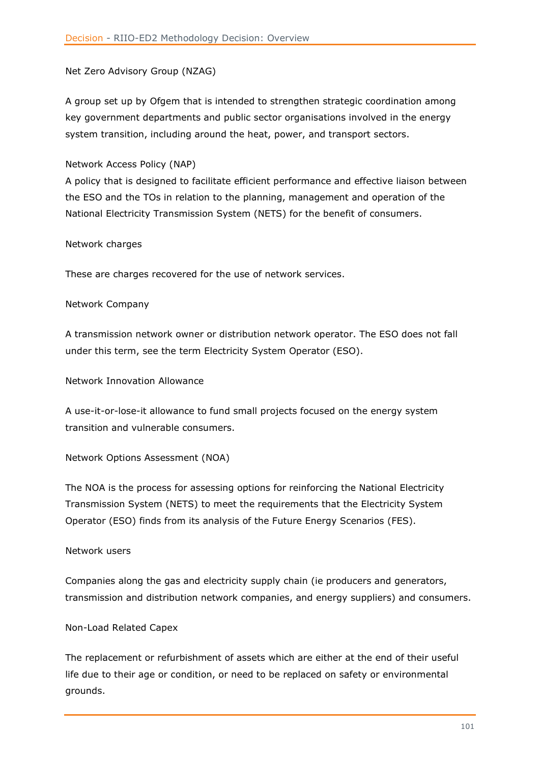### Net Zero Advisory Group (NZAG)

A group set up by Ofgem that is intended to strengthen strategic coordination among key government departments and public sector organisations involved in the energy system transition, including around the heat, power, and transport sectors.

# Network Access Policy (NAP)

A policy that is designed to facilitate efficient performance and effective liaison between the ESO and the TOs in relation to the planning, management and operation of the National Electricity Transmission System (NETS) for the benefit of consumers.

### Network charges

These are charges recovered for the use of network services.

# Network Company

A transmission network owner or distribution network operator. The ESO does not fall under this term, see the term Electricity System Operator (ESO).

Network Innovation Allowance

A use-it-or-lose-it allowance to fund small projects focused on the energy system transition and vulnerable consumers.

Network Options Assessment (NOA)

The NOA is the process for assessing options for reinforcing the National Electricity Transmission System (NETS) to meet the requirements that the Electricity System Operator (ESO) finds from its analysis of the Future Energy Scenarios (FES).

### Network users

Companies along the gas and electricity supply chain (ie producers and generators, transmission and distribution network companies, and energy suppliers) and consumers.

### Non-Load Related Capex

The replacement or refurbishment of assets which are either at the end of their useful life due to their age or condition, or need to be replaced on safety or environmental grounds.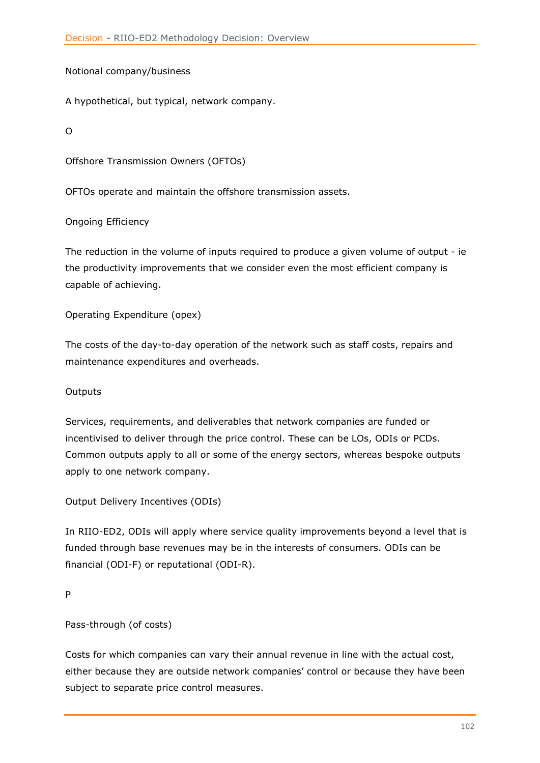Notional company/business

A hypothetical, but typical, network company.

O

Offshore Transmission Owners (OFTOs)

OFTOs operate and maintain the offshore transmission assets.

Ongoing Efficiency

The reduction in the volume of inputs required to produce a given volume of output - ie the productivity improvements that we consider even the most efficient company is capable of achieving.

Operating Expenditure (opex)

The costs of the day-to-day operation of the network such as staff costs, repairs and maintenance expenditures and overheads.

### **Outputs**

Services, requirements, and deliverables that network companies are funded or incentivised to deliver through the price control. These can be LOs, ODIs or PCDs. Common outputs apply to all or some of the energy sectors, whereas bespoke outputs apply to one network company.

Output Delivery Incentives (ODIs)

In RIIO-ED2, ODIs will apply where service quality improvements beyond a level that is funded through base revenues may be in the interests of consumers. ODIs can be financial (ODI-F) or reputational (ODI-R).

```
P
```
Pass-through (of costs)

Costs for which companies can vary their annual revenue in line with the actual cost, either because they are outside network companies' control or because they have been subject to separate price control measures.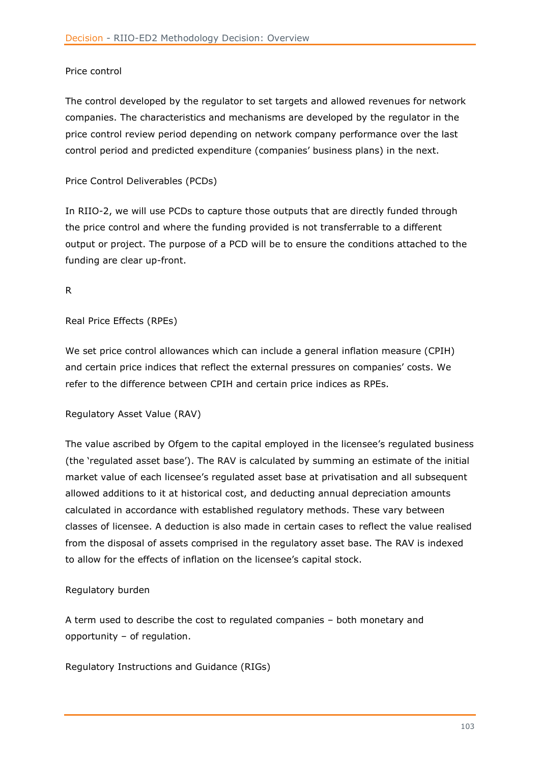# Price control

The control developed by the regulator to set targets and allowed revenues for network companies. The characteristics and mechanisms are developed by the regulator in the price control review period depending on network company performance over the last control period and predicted expenditure (companies' business plans) in the next.

### Price Control Deliverables (PCDs)

In RIIO-2, we will use PCDs to capture those outputs that are directly funded through the price control and where the funding provided is not transferrable to a different output or project. The purpose of a PCD will be to ensure the conditions attached to the funding are clear up-front.

R

# Real Price Effects (RPEs)

We set price control allowances which can include a general inflation measure (CPIH) and certain price indices that reflect the external pressures on companies' costs. We refer to the difference between CPIH and certain price indices as RPEs.

### Regulatory Asset Value (RAV)

The value ascribed by Ofgem to the capital employed in the licensee's regulated business (the 'regulated asset base'). The RAV is calculated by summing an estimate of the initial market value of each licensee's regulated asset base at privatisation and all subsequent allowed additions to it at historical cost, and deducting annual depreciation amounts calculated in accordance with established regulatory methods. These vary between classes of licensee. A deduction is also made in certain cases to reflect the value realised from the disposal of assets comprised in the regulatory asset base. The RAV is indexed to allow for the effects of inflation on the licensee's capital stock.

### Regulatory burden

A term used to describe the cost to regulated companies – both monetary and opportunity – of regulation.

Regulatory Instructions and Guidance (RIGs)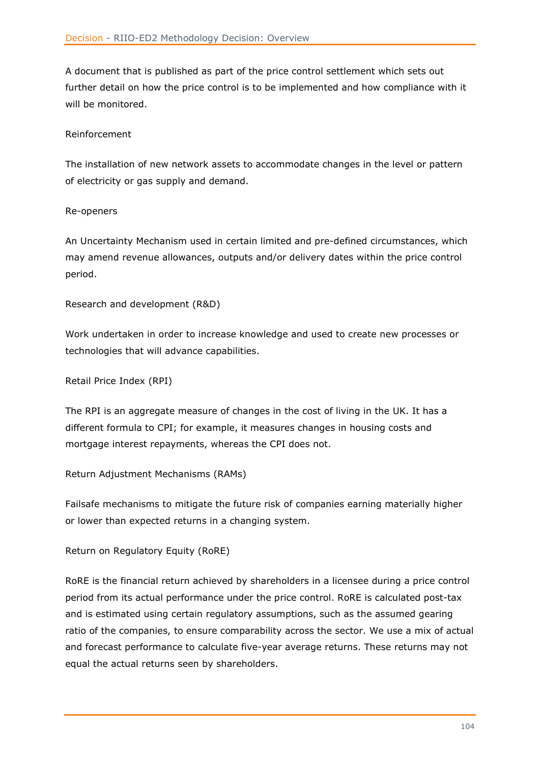A document that is published as part of the price control settlement which sets out further detail on how the price control is to be implemented and how compliance with it will be monitored.

# Reinforcement

The installation of new network assets to accommodate changes in the level or pattern of electricity or gas supply and demand.

# Re-openers

An Uncertainty Mechanism used in certain limited and pre-defined circumstances, which may amend revenue allowances, outputs and/or delivery dates within the price control period.

Research and development (R&D)

Work undertaken in order to increase knowledge and used to create new processes or technologies that will advance capabilities.

Retail Price Index (RPI)

The RPI is an aggregate measure of changes in the cost of living in the UK. It has a different formula to CPI; for example, it measures changes in housing costs and mortgage interest repayments, whereas the CPI does not.

Return Adjustment Mechanisms (RAMs)

Failsafe mechanisms to mitigate the future risk of companies earning materially higher or lower than expected returns in a changing system.

Return on Regulatory Equity (RoRE)

RoRE is the financial return achieved by shareholders in a licensee during a price control period from its actual performance under the price control. RoRE is calculated post-tax and is estimated using certain regulatory assumptions, such as the assumed gearing ratio of the companies, to ensure comparability across the sector. We use a mix of actual and forecast performance to calculate five-year average returns. These returns may not equal the actual returns seen by shareholders.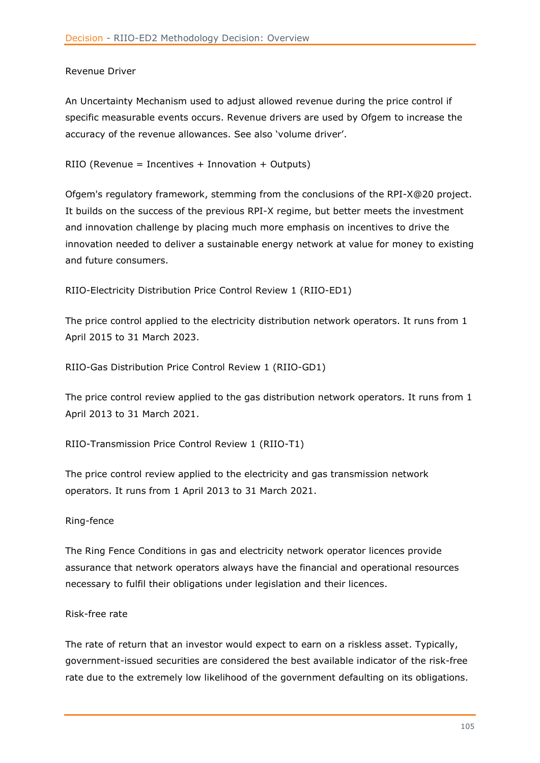#### Revenue Driver

An Uncertainty Mechanism used to adjust allowed revenue during the price control if specific measurable events occurs. Revenue drivers are used by Ofgem to increase the accuracy of the revenue allowances. See also 'volume driver'.

RIIO (Revenue = Incentives + Innovation + Outputs)

Ofgem's regulatory framework, stemming from the conclusions of the RPI-X@20 project. It builds on the success of the previous RPI-X regime, but better meets the investment and innovation challenge by placing much more emphasis on incentives to drive the innovation needed to deliver a sustainable energy network at value for money to existing and future consumers.

RIIO-Electricity Distribution Price Control Review 1 (RIIO-ED1)

The price control applied to the electricity distribution network operators. It runs from 1 April 2015 to 31 March 2023.

RIIO-Gas Distribution Price Control Review 1 (RIIO-GD1)

The price control review applied to the gas distribution network operators. It runs from 1 April 2013 to 31 March 2021.

RIIO-Transmission Price Control Review 1 (RIIO-T1)

The price control review applied to the electricity and gas transmission network operators. It runs from 1 April 2013 to 31 March 2021.

#### Ring-fence

The Ring Fence Conditions in gas and electricity network operator licences provide assurance that network operators always have the financial and operational resources necessary to fulfil their obligations under legislation and their licences.

#### Risk-free rate

The rate of return that an investor would expect to earn on a riskless asset. Typically, government-issued securities are considered the best available indicator of the risk-free rate due to the extremely low likelihood of the government defaulting on its obligations.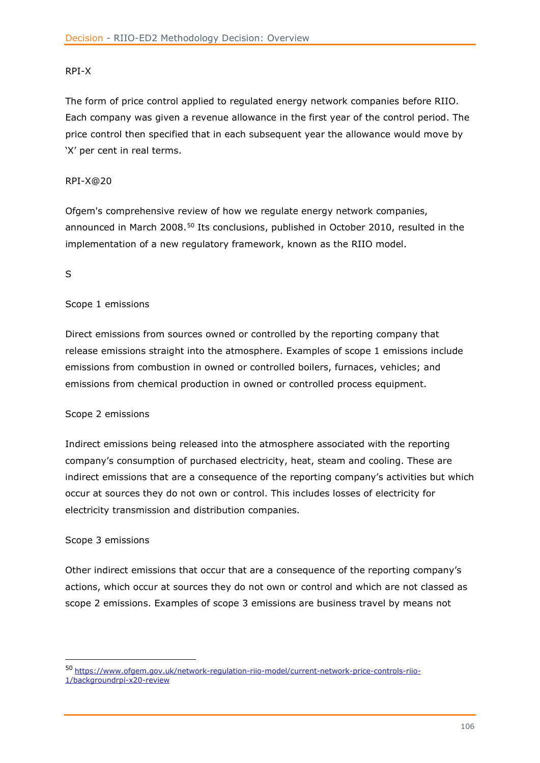# RPI-X

The form of price control applied to regulated energy network companies before RIIO. Each company was given a revenue allowance in the first year of the control period. The price control then specified that in each subsequent year the allowance would move by 'X' per cent in real terms.

### RPI-X@20

Ofgem's comprehensive review of how we regulate energy network companies, announced in March 2008.<sup>[50](#page-105-0)</sup> Its conclusions, published in October 2010, resulted in the implementation of a new regulatory framework, known as the RIIO model.

S

### Scope 1 emissions

Direct emissions from sources owned or controlled by the reporting company that release emissions straight into the atmosphere. Examples of scope 1 emissions include emissions from combustion in owned or controlled boilers, furnaces, vehicles; and emissions from chemical production in owned or controlled process equipment.

### Scope 2 emissions

Indirect emissions being released into the atmosphere associated with the reporting company's consumption of purchased electricity, heat, steam and cooling. These are indirect emissions that are a consequence of the reporting company's activities but which occur at sources they do not own or control. This includes losses of electricity for electricity transmission and distribution companies.

### Scope 3 emissions

Other indirect emissions that occur that are a consequence of the reporting company's actions, which occur at sources they do not own or control and which are not classed as scope 2 emissions. Examples of scope 3 emissions are business travel by means not

<span id="page-105-0"></span><sup>50</sup> [https://www.ofgem.gov.uk/network-regulation-riio-model/current-network-price-controls-riio-](https://www.ofgem.gov.uk/network-regulation-riio-model/current-network-price-controls-riio-1/background-rpi-x20-review)[1/backgroundrpi-x20-review](https://www.ofgem.gov.uk/network-regulation-riio-model/current-network-price-controls-riio-1/background-rpi-x20-review)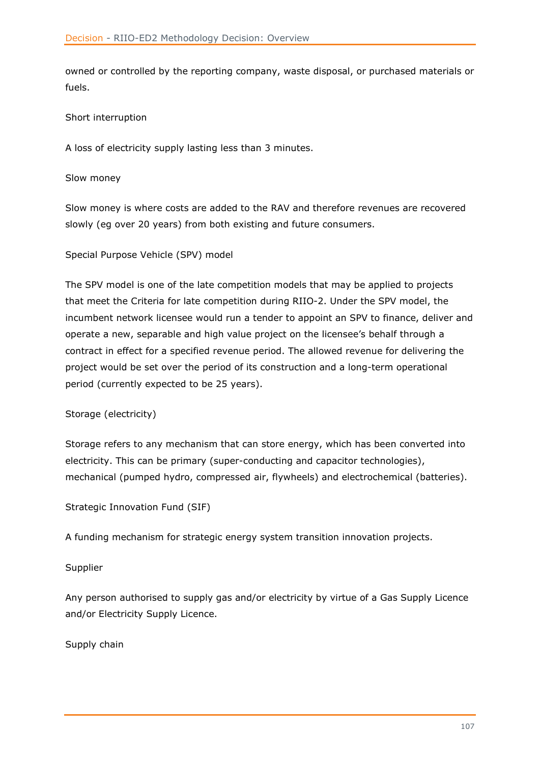owned or controlled by the reporting company, waste disposal, or purchased materials or fuels.

# Short interruption

A loss of electricity supply lasting less than 3 minutes.

### Slow money

Slow money is where costs are added to the RAV and therefore revenues are recovered slowly (eg over 20 years) from both existing and future consumers.

### Special Purpose Vehicle (SPV) model

The SPV model is one of the late competition models that may be applied to projects that meet the Criteria for late competition during RIIO-2. Under the SPV model, the incumbent network licensee would run a tender to appoint an SPV to finance, deliver and operate a new, separable and high value project on the licensee's behalf through a contract in effect for a specified revenue period. The allowed revenue for delivering the project would be set over the period of its construction and a long-term operational period (currently expected to be 25 years).

### Storage (electricity)

Storage refers to any mechanism that can store energy, which has been converted into electricity. This can be primary (super-conducting and capacitor technologies), mechanical (pumped hydro, compressed air, flywheels) and electrochemical (batteries).

Strategic Innovation Fund (SIF)

A funding mechanism for strategic energy system transition innovation projects.

# Supplier

Any person authorised to supply gas and/or electricity by virtue of a Gas Supply Licence and/or Electricity Supply Licence.

Supply chain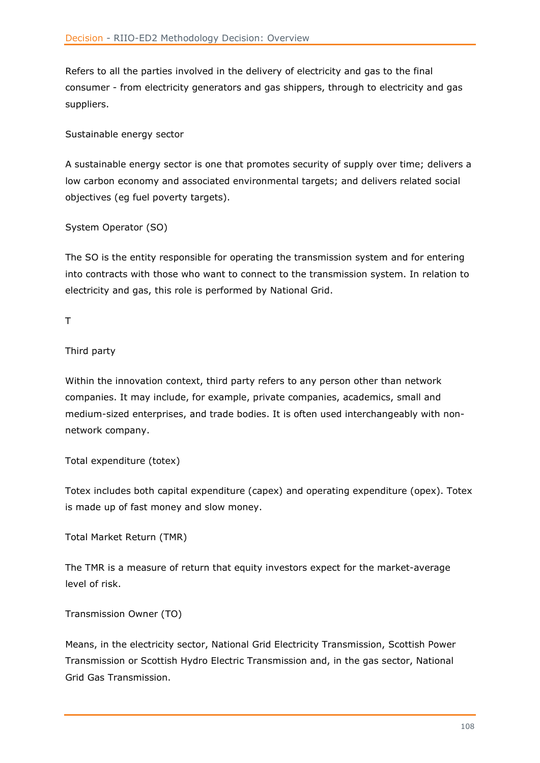Refers to all the parties involved in the delivery of electricity and gas to the final consumer - from electricity generators and gas shippers, through to electricity and gas suppliers.

Sustainable energy sector

A sustainable energy sector is one that promotes security of supply over time; delivers a low carbon economy and associated environmental targets; and delivers related social objectives (eg fuel poverty targets).

System Operator (SO)

The SO is the entity responsible for operating the transmission system and for entering into contracts with those who want to connect to the transmission system. In relation to electricity and gas, this role is performed by National Grid.

```
T
```
Third party

Within the innovation context, third party refers to any person other than network companies. It may include, for example, private companies, academics, small and medium-sized enterprises, and trade bodies. It is often used interchangeably with nonnetwork company.

Total expenditure (totex)

Totex includes both capital expenditure (capex) and operating expenditure (opex). Totex is made up of fast money and slow money.

Total Market Return (TMR)

The TMR is a measure of return that equity investors expect for the market-average level of risk.

Transmission Owner (TO)

Means, in the electricity sector, National Grid Electricity Transmission, Scottish Power Transmission or Scottish Hydro Electric Transmission and, in the gas sector, National Grid Gas Transmission.